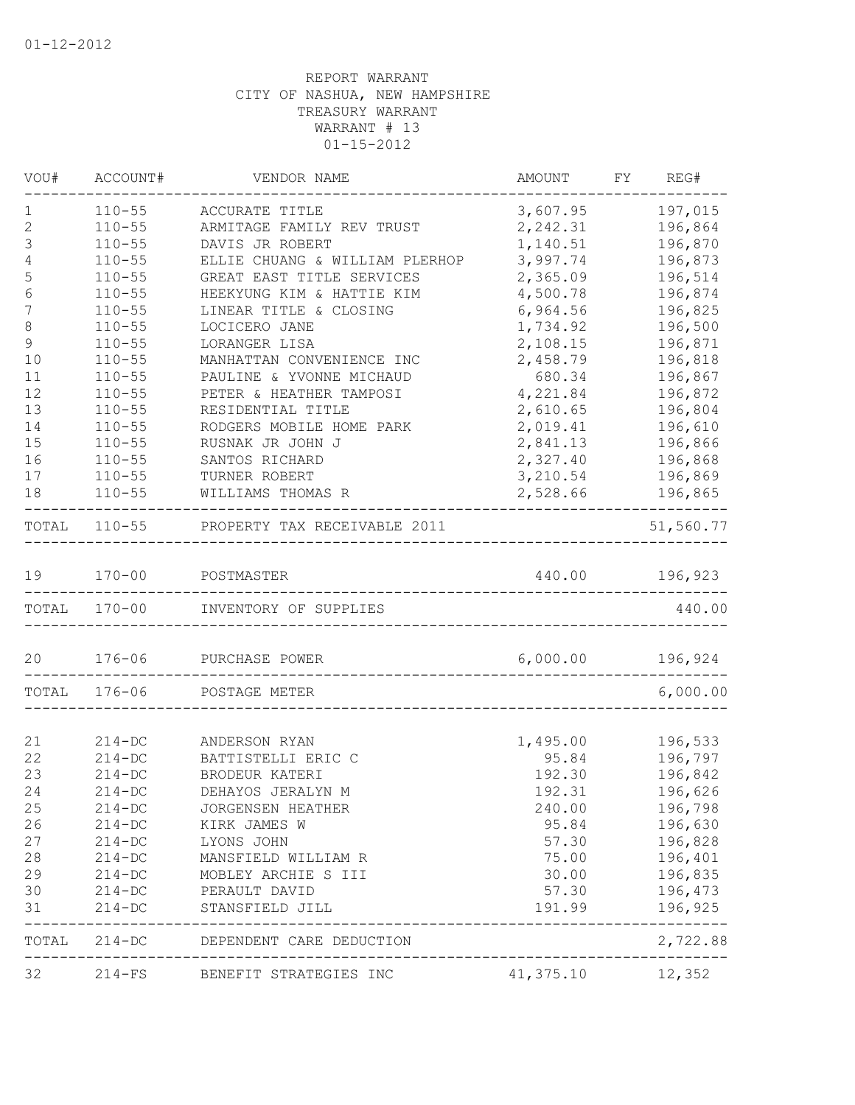| VOU#             | ACCOUNT#                 | VENDOR NAME                                              | AMOUNT             | FY REG#                  |
|------------------|--------------------------|----------------------------------------------------------|--------------------|--------------------------|
| 1                | $110 - 55$               | ACCURATE TITLE                                           | 3,607.95           | 197,015                  |
| $\sqrt{2}$       | $110 - 55$               | ARMITAGE FAMILY REV TRUST                                | 2,242.31           | 196,864                  |
| 3                | $110 - 55$               | DAVIS JR ROBERT                                          | 1,140.51           | 196,870                  |
| 4                | $110 - 55$               | ELLIE CHUANG & WILLIAM PLERHOP                           | 3,997.74           | 196,873                  |
| 5                | $110 - 55$               | GREAT EAST TITLE SERVICES                                | 2,365.09           | 196,514                  |
| 6                | $110 - 55$               | HEEKYUNG KIM & HATTIE KIM                                | 4,500.78           | 196,874                  |
| 7                | $110 - 55$               | LINEAR TITLE & CLOSING                                   | 6,964.56           | 196,825                  |
| 8<br>$\mathsf 9$ | $110 - 55$               | LOCICERO JANE                                            | 1,734.92           | 196,500<br>196,871       |
| 10               | $110 - 55$               | LORANGER LISA                                            | 2,108.15           |                          |
| 11               | $110 - 55$<br>$110 - 55$ | MANHATTAN CONVENIENCE INC<br>PAULINE & YVONNE MICHAUD    | 2,458.79<br>680.34 | 196,818                  |
| 12               | $110 - 55$               | PETER & HEATHER TAMPOSI                                  | 4,221.84           | 196,867<br>196,872       |
| 13               | $110 - 55$               | RESIDENTIAL TITLE                                        | 2,610.65           | 196,804                  |
| 14               | $110 - 55$               | RODGERS MOBILE HOME PARK                                 | 2,019.41           | 196,610                  |
| 15               | $110 - 55$               | RUSNAK JR JOHN J                                         | 2,841.13           | 196,866                  |
| 16               | $110 - 55$               | SANTOS RICHARD                                           | 2,327.40           | 196,868                  |
| 17               | $110 - 55$               | TURNER ROBERT                                            | 3,210.54           | 196,869                  |
| 18               | $110 - 55$               | WILLIAMS THOMAS R                                        | 2,528.66           | 196,865                  |
|                  |                          | -----------------------------------                      |                    | --------------           |
|                  |                          | TOTAL 110-55 PROPERTY TAX RECEIVABLE 2011                |                    | 51,560.77                |
| 19               |                          | 170-00 POSTMASTER                                        | 440.00 196,923     |                          |
|                  | TOTAL 170-00             | _______________________________<br>INVENTORY OF SUPPLIES |                    | 440.00                   |
|                  |                          |                                                          |                    |                          |
| 20               |                          | 176-06 PURCHASE POWER                                    | 6,000.00           | 196,924                  |
|                  | TOTAL 176-06             | POSTAGE METER                                            |                    | 6,000.00                 |
|                  |                          |                                                          |                    |                          |
| 21               | $214 - DC$               | ANDERSON RYAN                                            | 1,495.00           | 196,533                  |
| 22               | $214 - DC$               | BATTISTELLI ERIC C                                       | 95.84              | 196,797                  |
| 23               | $214 - DC$               | BRODEUR KATERI                                           | 192.30             | 196,842                  |
| 24               | $214 - DC$               | DEHAYOS JERALYN M                                        | 192.31             | 196,626                  |
| 25               | $214 - DC$               | JORGENSEN HEATHER                                        | 240.00             | 196,798                  |
| 26               | $214 - DC$               | KIRK JAMES W                                             | 95.84              | 196,630                  |
| 27               | $214 - DC$               | LYONS JOHN                                               | 57.30              | 196,828                  |
| 28               | $214 - DC$               | MANSFIELD WILLIAM R                                      | 75.00              | 196,401                  |
| 29               | $214 - DC$               | MOBLEY ARCHIE S III                                      | 30.00              | 196,835                  |
| 30               | $214 - DC$               | PERAULT DAVID                                            | 57.30              | 196,473                  |
| 31               | $214 - DC$               | STANSFIELD JILL                                          | 191.99             | 196,925<br>$- - - - - -$ |
|                  |                          | TOTAL 214-DC DEPENDENT CARE DEDUCTION                    |                    | 2,722.88                 |
| 32               |                          | 214-FS BENEFIT STRATEGIES INC                            | 41, 375.10 12, 352 |                          |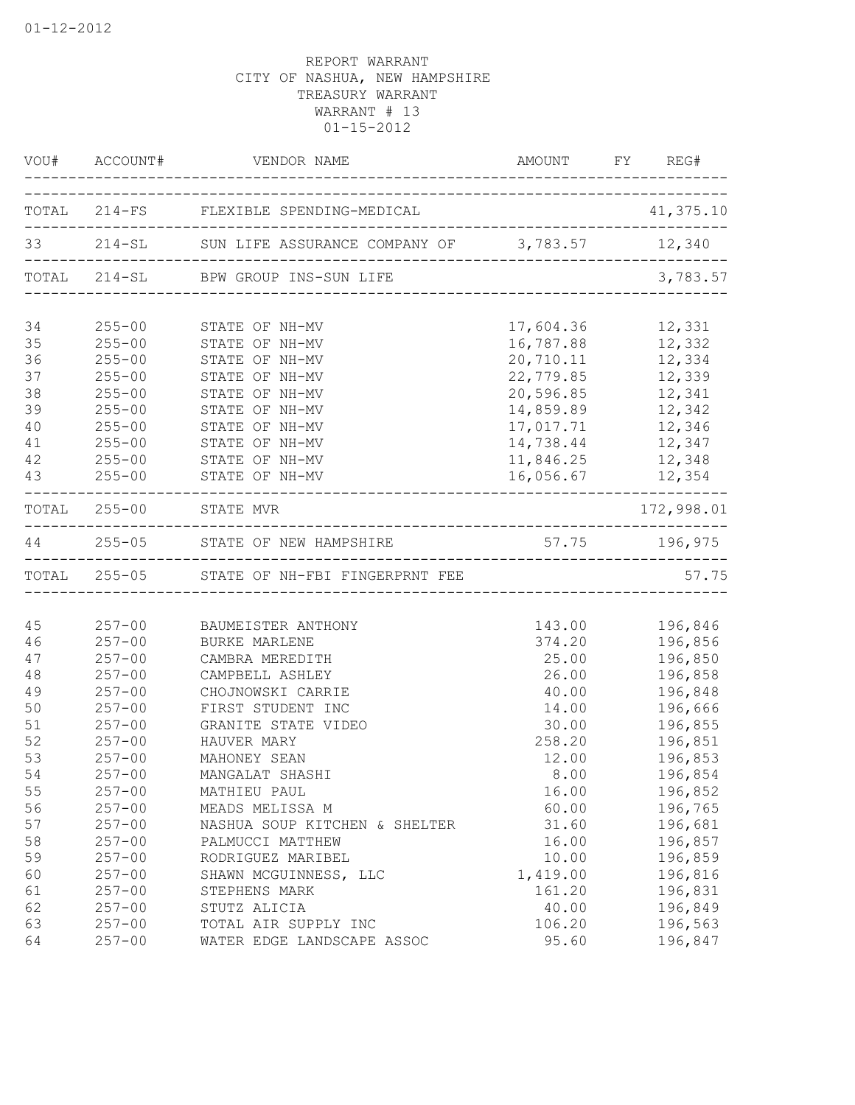| VOU#     | ACCOUNT#                 | VENDOR NAME                                             |                                  | AMOUNT FY REG# |
|----------|--------------------------|---------------------------------------------------------|----------------------------------|----------------|
|          |                          | TOTAL 214-FS FLEXIBLE SPENDING-MEDICAL                  |                                  | 41,375.10      |
|          |                          | 33 214-SL SUN LIFE ASSURANCE COMPANY OF 3,783.57 12,340 |                                  |                |
|          |                          | TOTAL 214-SL BPW GROUP INS-SUN LIFE                     | ________________________________ | 3,783.57       |
|          |                          |                                                         |                                  |                |
| 34<br>35 | $255 - 00$<br>$255 - 00$ | STATE OF NH-MV                                          | 17,604.36                        | 12,331         |
|          |                          | STATE OF NH-MV                                          | 16,787.88<br>20,710.11           | 12,332         |
| 36       | $255 - 00$               | STATE OF NH-MV                                          |                                  | 12,334         |
| 37       | $255 - 00$               | STATE OF NH-MV                                          | 22,779.85                        | 12,339         |
| 38       | $255 - 00$               | STATE OF NH-MV                                          | 20,596.85                        | 12,341         |
| 39       | $255 - 00$               | STATE OF NH-MV                                          | 14,859.89                        | 12,342         |
| 40       | $255 - 00$               | STATE OF NH-MV                                          | 17,017.71                        | 12,346         |
| 41       | $255 - 00$               | STATE OF NH-MV                                          | 14,738.44                        | 12,347         |
| 42       | $255 - 00$               | STATE OF NH-MV                                          | 11,846.25                        | 12,348         |
| 43       | $255 - 00$               | STATE OF NH-MV<br>________________________              | 16,056.67                        | 12,354         |
|          |                          | TOTAL 255-00 STATE MVR                                  |                                  | 172,998.01     |
|          |                          | 44 255-05 STATE OF NEW HAMPSHIRE                        |                                  | 57.75 196,975  |
|          |                          | TOTAL 255-05 STATE OF NH-FBI FINGERPRNT FEE             |                                  | 57.75          |
|          |                          |                                                         |                                  |                |
| 45       | $257 - 00$               | BAUMEISTER ANTHONY                                      | 143.00                           | 196,846        |
| 46       | $257 - 00$               | <b>BURKE MARLENE</b>                                    | 374.20                           | 196,856        |
| 47       | $257 - 00$               | CAMBRA MEREDITH                                         | 25.00                            | 196,850        |
| 48       | $257 - 00$               | CAMPBELL ASHLEY                                         | 26.00                            | 196,858        |
| 49       | $257 - 00$               | CHOJNOWSKI CARRIE                                       | 40.00                            | 196,848        |
| 50       | $257 - 00$               | FIRST STUDENT INC                                       | 14.00                            | 196,666        |
| 51       | $257 - 00$               | GRANITE STATE VIDEO                                     | 30.00                            | 196,855        |
| 52       | $257 - 00$               | HAUVER MARY                                             | 258.20                           | 196,851        |
| 53       | $257 - 00$               | MAHONEY SEAN                                            | 12.00                            | 196,853        |
| 54       | $257 - 00$               | MANGALAT SHASHI                                         | 8.00                             | 196,854        |
| 55       | $257 - 00$               | MATHIEU PAUL                                            | 16.00                            | 196,852        |
| 56       | $257 - 00$               | MEADS MELISSA M                                         | 60.00                            | 196,765        |
| 57       | $257 - 00$               | NASHUA SOUP KITCHEN & SHELTER                           | 31.60                            | 196,681        |
| 58       | $257 - 00$               | PALMUCCI MATTHEW                                        | 16.00                            | 196,857        |
| 59       | $257 - 00$               | RODRIGUEZ MARIBEL                                       | 10.00                            | 196,859        |
| 60       | $257 - 00$               | SHAWN MCGUINNESS, LLC                                   | 1,419.00                         | 196,816        |
| 61       | $257 - 00$               | STEPHENS MARK                                           | 161.20                           | 196,831        |
| 62       | $257 - 00$               | STUTZ ALICIA                                            | 40.00                            | 196,849        |
| 63       | $257 - 00$               | TOTAL AIR SUPPLY INC                                    | 106.20                           | 196,563        |
| 64       | $257 - 00$               | WATER EDGE LANDSCAPE ASSOC                              | 95.60                            | 196,847        |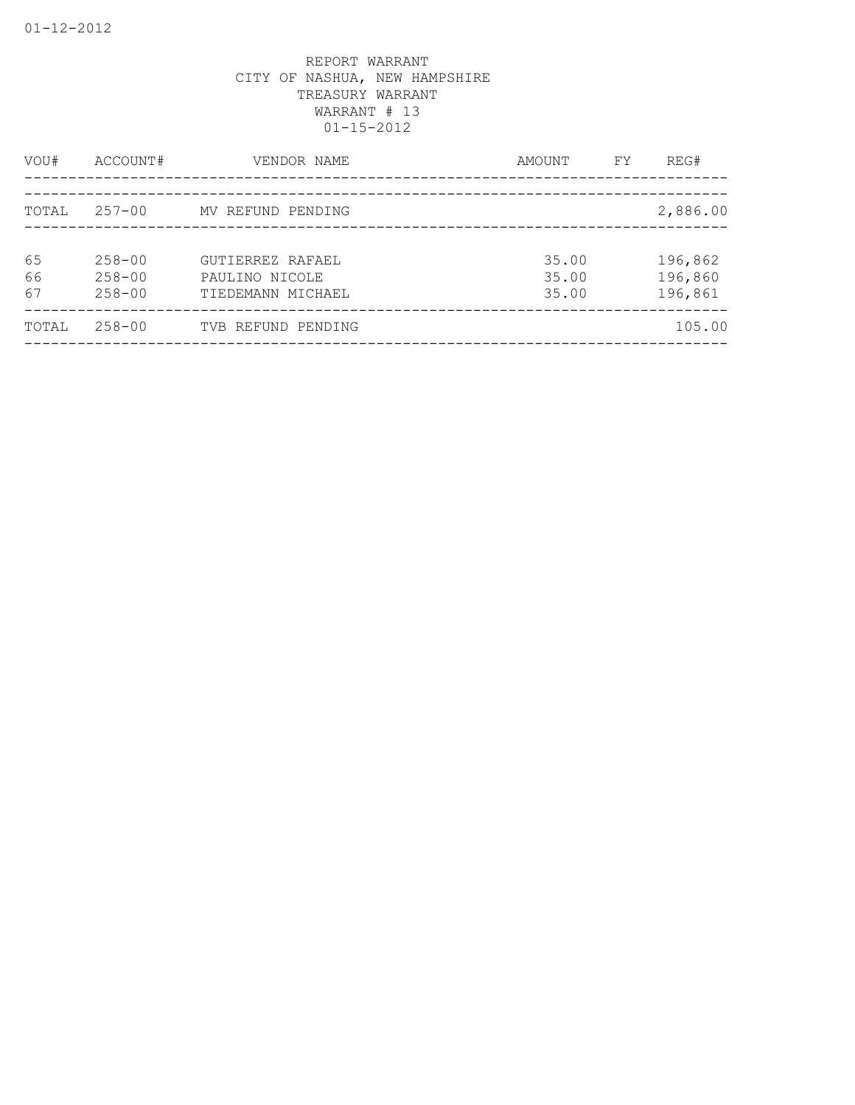| VOU#           | ACCOUNT#                               | VENDOR NAME                                             | AMOUNT                  | FY | REG#                          |
|----------------|----------------------------------------|---------------------------------------------------------|-------------------------|----|-------------------------------|
| TOTAL          | 257-00                                 | MV REFUND PENDING                                       |                         |    | 2,886.00                      |
| 65<br>66<br>67 | $258 - 00$<br>$258 - 00$<br>$258 - 00$ | GUTIERREZ RAFAEL<br>PAULINO NICOLE<br>TIEDEMANN MICHAEL | 35.00<br>35.00<br>35.00 |    | 196,862<br>196,860<br>196,861 |
| TOTAL          | $258 - 00$                             | TVB REFUND PENDING                                      |                         |    | 105.00                        |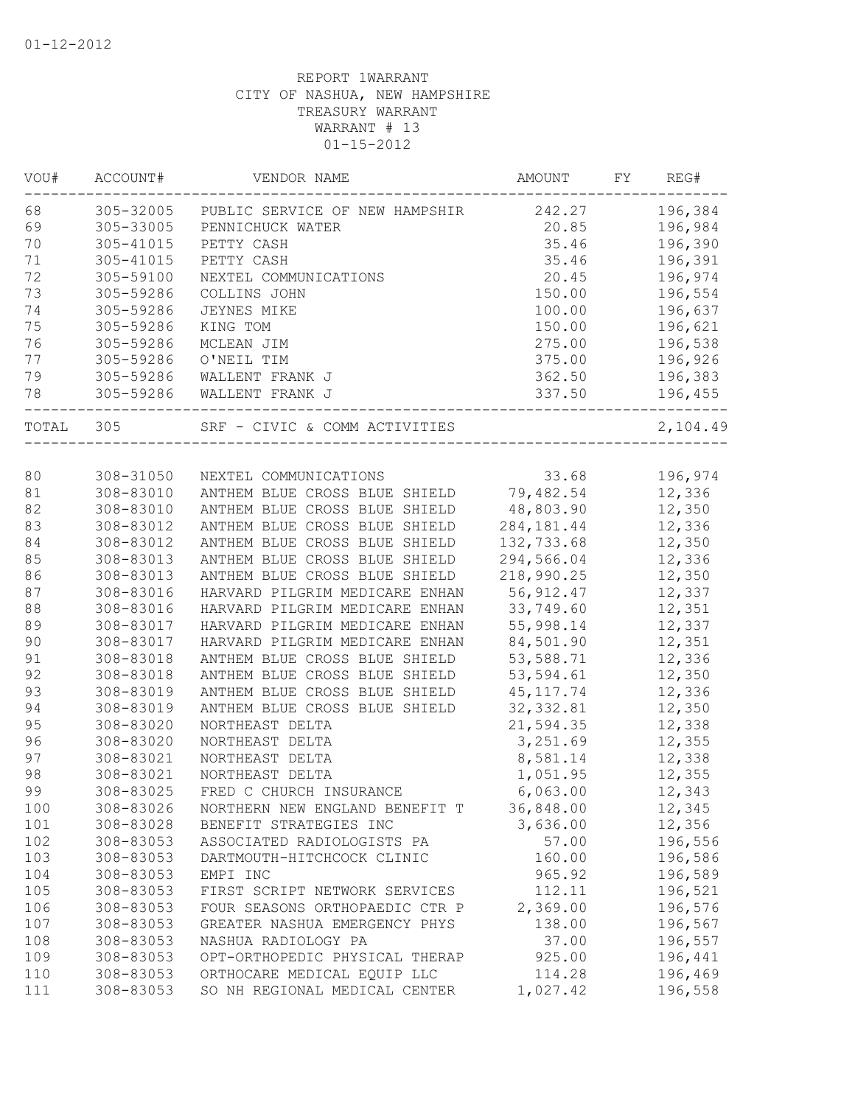| VOU#  | ACCOUNT#  | VENDOR NAME                                     | AMOUNT      | FY | REG#                    |
|-------|-----------|-------------------------------------------------|-------------|----|-------------------------|
| 68    |           | 305-32005 PUBLIC SERVICE OF NEW HAMPSHIR 242.27 |             |    | 196,384                 |
| 69    | 305-33005 | PENNICHUCK WATER                                | 20.85       |    | 196,984                 |
| 70    | 305-41015 | PETTY CASH                                      | 35.46       |    | 196,390                 |
| 71    | 305-41015 | PETTY CASH                                      | 35.46       |    | 196,391                 |
| 72    | 305-59100 | NEXTEL COMMUNICATIONS                           | 20.45       |    | 196,974                 |
| 73    | 305-59286 | COLLINS JOHN                                    | 150.00      |    | 196,554                 |
| 74    | 305-59286 | JEYNES MIKE                                     | 100.00      |    | 196,637                 |
| 75    | 305-59286 | KING TOM                                        | 150.00      |    | 196,621                 |
| 76    | 305-59286 | MCLEAN JIM                                      | 275.00      |    | 196,538                 |
| 77    | 305-59286 | O'NEIL TIM                                      | 375.00      |    | 196,926                 |
| 79    | 305-59286 | WALLENT FRANK J                                 | 362.50      |    | 196,383                 |
| 78    |           | 305-59286 WALLENT FRANK J                       | 337.50      |    | 196,455<br>------------ |
| TOTAL | 305       | SRF - CIVIC & COMM ACTIVITIES                   |             |    | 2,104.49                |
|       |           |                                                 |             |    |                         |
| 80    | 308-31050 | NEXTEL COMMUNICATIONS                           | 33.68       |    | 196,974                 |
| 81    | 308-83010 | ANTHEM BLUE CROSS BLUE SHIELD 79,482.54         |             |    | 12,336                  |
| 82    | 308-83010 | ANTHEM BLUE CROSS BLUE SHIELD                   | 48,803.90   |    | 12,350                  |
| 83    | 308-83012 | ANTHEM BLUE CROSS BLUE SHIELD                   | 284, 181.44 |    | 12,336                  |
| 84    | 308-83012 | ANTHEM BLUE CROSS BLUE SHIELD                   | 132,733.68  |    | 12,350                  |
| 85    | 308-83013 | ANTHEM BLUE CROSS BLUE SHIELD                   | 294,566.04  |    | 12,336                  |
| 86    | 308-83013 | ANTHEM BLUE CROSS BLUE SHIELD                   | 218,990.25  |    | 12,350                  |
| 87    | 308-83016 | HARVARD PILGRIM MEDICARE ENHAN                  | 56, 912.47  |    | 12,337                  |
| 88    | 308-83016 | HARVARD PILGRIM MEDICARE ENHAN                  | 33,749.60   |    | 12,351                  |
| 89    | 308-83017 | HARVARD PILGRIM MEDICARE ENHAN                  | 55,998.14   |    | 12,337                  |
| 90    | 308-83017 | HARVARD PILGRIM MEDICARE ENHAN                  | 84,501.90   |    | 12,351                  |
| 91    | 308-83018 | ANTHEM BLUE CROSS BLUE SHIELD                   | 53,588.71   |    | 12,336                  |
| 92    | 308-83018 | ANTHEM BLUE CROSS BLUE SHIELD                   | 53,594.61   |    | 12,350                  |
| 93    | 308-83019 | ANTHEM BLUE CROSS BLUE SHIELD                   | 45, 117.74  |    | 12,336                  |
| 94    | 308-83019 | ANTHEM BLUE CROSS BLUE SHIELD                   | 32, 332.81  |    | 12,350                  |
| 95    | 308-83020 | NORTHEAST DELTA                                 | 21,594.35   |    | 12,338                  |
| 96    | 308-83020 | NORTHEAST DELTA                                 | 3,251.69    |    | 12,355                  |
| 97    | 308-83021 | NORTHEAST DELTA                                 | 8,581.14    |    | 12,338                  |
| 98    | 308-83021 | NORTHEAST DELTA                                 | 1,051.95    |    | 12,355                  |
| 99    | 308-83025 | FRED C CHURCH INSURANCE                         | 6,063.00    |    | 12,343                  |
| 100   | 308-83026 | NORTHERN NEW ENGLAND BENEFIT T                  | 36,848.00   |    | 12,345                  |
| 101   | 308-83028 | BENEFIT STRATEGIES INC                          | 3,636.00    |    | 12,356                  |
| 102   | 308-83053 | ASSOCIATED RADIOLOGISTS PA                      | 57.00       |    | 196,556                 |
| 103   | 308-83053 | DARTMOUTH-HITCHCOCK CLINIC                      | 160.00      |    | 196,586                 |
| 104   | 308-83053 | EMPI INC                                        | 965.92      |    | 196,589                 |
| 105   | 308-83053 | FIRST SCRIPT NETWORK SERVICES                   | 112.11      |    | 196,521                 |
| 106   | 308-83053 | FOUR SEASONS ORTHOPAEDIC CTR P                  | 2,369.00    |    | 196,576                 |
| 107   | 308-83053 | GREATER NASHUA EMERGENCY PHYS                   | 138.00      |    | 196,567                 |
| 108   | 308-83053 | NASHUA RADIOLOGY PA                             | 37.00       |    | 196,557                 |
| 109   | 308-83053 | OPT-ORTHOPEDIC PHYSICAL THERAP                  | 925.00      |    | 196,441                 |
| 110   | 308-83053 | ORTHOCARE MEDICAL EQUIP LLC                     | 114.28      |    | 196,469                 |
| 111   | 308-83053 | SO NH REGIONAL MEDICAL CENTER                   | 1,027.42    |    | 196,558                 |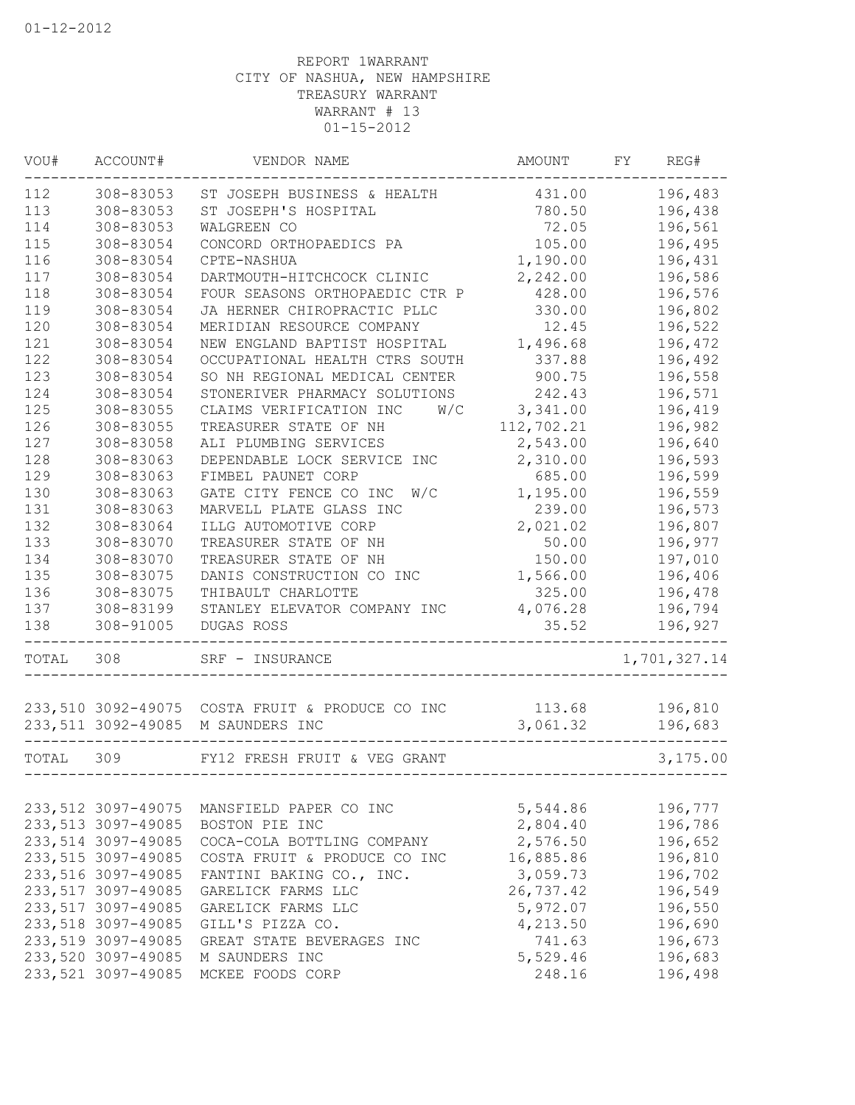| VOU#  | ACCOUNT#            | VENDOR NAME                                     | AMOUNT     | FY | REG#         |
|-------|---------------------|-------------------------------------------------|------------|----|--------------|
| 112   | 308-83053           | ST JOSEPH BUSINESS & HEALTH                     | 431.00     |    | 196,483      |
| 113   | 308-83053           | ST JOSEPH'S HOSPITAL                            | 780.50     |    | 196,438      |
| 114   | 308-83053           | WALGREEN CO                                     | 72.05      |    | 196,561      |
| 115   | 308-83054           | CONCORD ORTHOPAEDICS PA                         | 105.00     |    | 196,495      |
| 116   | 308-83054           | CPTE-NASHUA                                     | 1,190.00   |    | 196,431      |
| 117   | 308-83054           | DARTMOUTH-HITCHCOCK CLINIC                      | 2,242.00   |    | 196,586      |
| 118   | 308-83054           | FOUR SEASONS ORTHOPAEDIC CTR P                  | 428.00     |    | 196,576      |
| 119   | 308-83054           | JA HERNER CHIROPRACTIC PLLC                     | 330.00     |    | 196,802      |
| 120   | 308-83054           | MERIDIAN RESOURCE COMPANY                       | 12.45      |    | 196,522      |
| 121   | 308-83054           | NEW ENGLAND BAPTIST HOSPITAL                    | 1,496.68   |    | 196,472      |
| 122   | 308-83054           | OCCUPATIONAL HEALTH CTRS SOUTH                  | 337.88     |    | 196,492      |
| 123   | 308-83054           | SO NH REGIONAL MEDICAL CENTER                   | 900.75     |    | 196,558      |
| 124   | 308-83054           | STONERIVER PHARMACY SOLUTIONS                   | 242.43     |    | 196,571      |
| 125   | 308-83055           | CLAIMS VERIFICATION INC<br>W/C                  | 3,341.00   |    | 196,419      |
| 126   | 308-83055           | TREASURER STATE OF NH                           | 112,702.21 |    | 196,982      |
| 127   | 308-83058           | ALI PLUMBING SERVICES                           | 2,543.00   |    | 196,640      |
| 128   | 308-83063           | DEPENDABLE LOCK SERVICE INC                     | 2,310.00   |    | 196,593      |
| 129   | 308-83063           | FIMBEL PAUNET CORP                              | 685.00     |    | 196,599      |
| 130   | 308-83063           | GATE CITY FENCE CO INC<br>W/C                   | 1,195.00   |    | 196,559      |
| 131   | 308-83063           | MARVELL PLATE GLASS INC                         | 239.00     |    | 196,573      |
| 132   | 308-83064           | ILLG AUTOMOTIVE CORP                            | 2,021.02   |    | 196,807      |
| 133   | 308-83070           | TREASURER STATE OF NH                           | 50.00      |    | 196,977      |
| 134   | 308-83070           | TREASURER STATE OF NH                           | 150.00     |    | 197,010      |
| 135   | 308-83075           | DANIS CONSTRUCTION CO INC                       | 1,566.00   |    | 196,406      |
| 136   | 308-83075           | THIBAULT CHARLOTTE                              | 325.00     |    | 196,478      |
| 137   | 308-83199           | STANLEY ELEVATOR COMPANY INC                    | 4,076.28   |    | 196,794      |
| 138   | 308-91005           | DUGAS ROSS                                      | 35.52      |    | 196,927      |
| TOTAL | 308                 | SRF - INSURANCE                                 |            |    | 1,701,327.14 |
|       |                     |                                                 |            |    |              |
|       |                     | 233,510 3092-49075 COSTA FRUIT & PRODUCE CO INC | 113.68     |    | 196,810      |
|       | 233, 511 3092-49085 | M SAUNDERS INC                                  | 3,061.32   |    | 196,683      |
| TOTAL | 309                 | FY12 FRESH FRUIT & VEG GRANT                    |            |    | 3,175.00     |
|       |                     |                                                 |            |    |              |
|       | 233, 512 3097-49075 | MANSFIELD PAPER CO INC                          | 5,544.86   |    | 196,777      |
|       | 233, 513 3097-49085 | BOSTON PIE INC                                  | 2,804.40   |    | 196,786      |
|       | 233,514 3097-49085  | COCA-COLA BOTTLING COMPANY                      | 2,576.50   |    | 196,652      |
|       | 233, 515 3097-49085 | COSTA FRUIT & PRODUCE CO INC                    | 16,885.86  |    | 196,810      |
|       | 233, 516 3097-49085 | FANTINI BAKING CO., INC.                        | 3,059.73   |    | 196,702      |
|       | 233,517 3097-49085  | GARELICK FARMS LLC                              | 26,737.42  |    | 196,549      |
|       | 233, 517 3097-49085 | GARELICK FARMS LLC                              | 5,972.07   |    | 196,550      |
|       | 233, 518 3097-49085 | GILL'S PIZZA CO.                                | 4,213.50   |    | 196,690      |
|       | 233,519 3097-49085  | GREAT STATE BEVERAGES INC                       | 741.63     |    | 196,673      |
|       | 233,520 3097-49085  | M SAUNDERS INC                                  | 5,529.46   |    | 196,683      |
|       | 233, 521 3097-49085 | MCKEE FOODS CORP                                | 248.16     |    | 196,498      |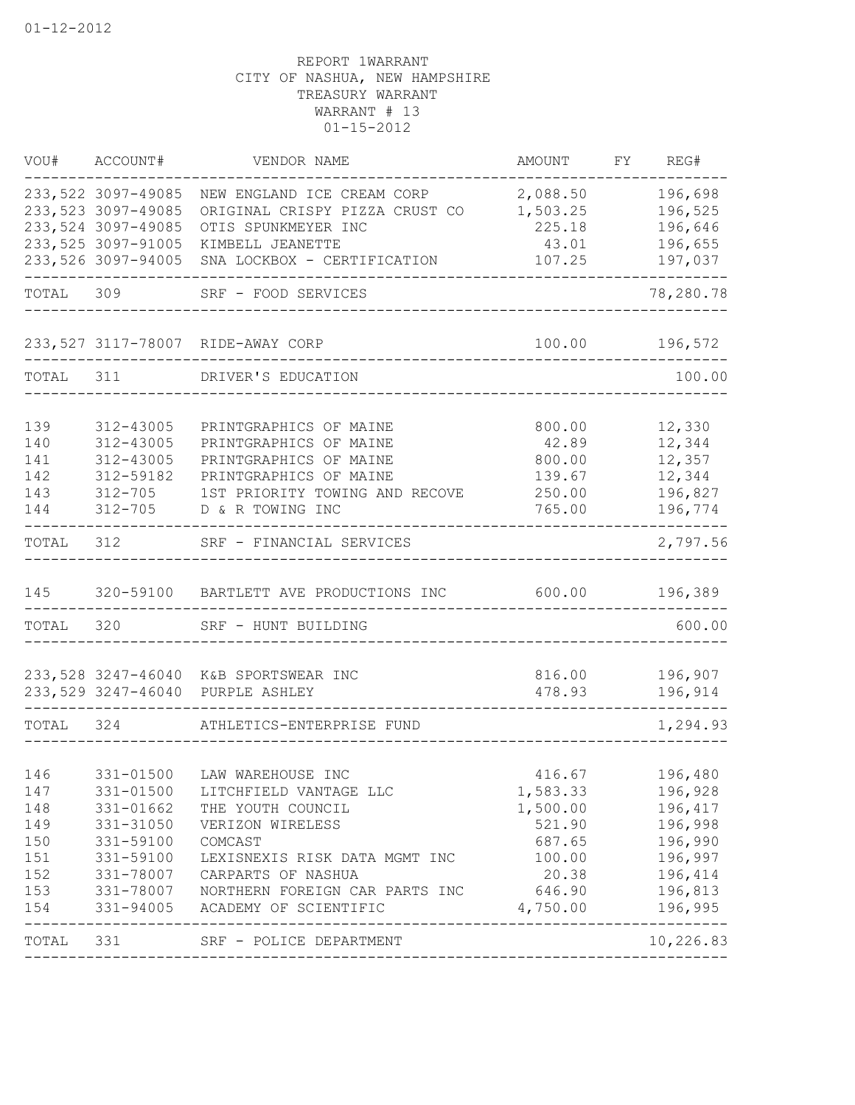| VOU#       | ACCOUNT#               | VENDOR NAME                                      | AMOUNT                       | FY REG#            |
|------------|------------------------|--------------------------------------------------|------------------------------|--------------------|
|            | 233, 522 3097-49085    | NEW ENGLAND ICE CREAM CORP                       | 2,088.50                     | 196,698            |
|            | 233, 523 3097-49085    | ORIGINAL CRISPY PIZZA CRUST CO                   | 1,503.25                     | 196,525            |
|            | 233, 524 3097-49085    | OTIS SPUNKMEYER INC                              | 225.18                       | 196,646            |
|            | 233, 525 3097-91005    | KIMBELL JEANETTE                                 | 43.01                        | 196,655            |
|            | 233, 526 3097-94005    | SNA LOCKBOX - CERTIFICATION                      | 107.25                       | 197,037            |
| TOTAL 309  |                        | SRF - FOOD SERVICES                              |                              | 78,280.78          |
|            |                        | 233,527 3117-78007 RIDE-AWAY CORP                |                              | 100.00 196,572     |
| TOTAL 311  |                        | DRIVER'S EDUCATION                               |                              | 100.00             |
|            |                        |                                                  |                              |                    |
| 139        | 312-43005              | PRINTGRAPHICS OF MAINE                           | 800.00                       | 12,330             |
| 140        | 312-43005              | PRINTGRAPHICS OF MAINE                           | 42.89                        | 12,344             |
| 141<br>142 | 312-43005<br>312-59182 | PRINTGRAPHICS OF MAINE<br>PRINTGRAPHICS OF MAINE | 800.00                       | 12,357<br>12,344   |
| 143        | $312 - 705$            | 1ST PRIORITY TOWING AND RECOVE                   | 139.67<br>250.00             | 196,827            |
| 144        | 312-705                | D & R TOWING INC                                 | 765.00                       | 196,774            |
| TOTAL      | 312                    | SRF - FINANCIAL SERVICES                         |                              | 2,797.56           |
| 145        |                        | 320-59100 BARTLETT AVE PRODUCTIONS INC           | 600.00                       | 196,389            |
| TOTAL      | 320                    | SRF - HUNT BUILDING                              |                              | 600.00             |
|            |                        |                                                  |                              |                    |
|            |                        | 233,528 3247-46040 K&B SPORTSWEAR INC            | 816.00                       | 196,907            |
|            | 233,529 3247-46040     | PURPLE ASHLEY                                    | 478.93                       | 196,914            |
| TOTAL 324  |                        | ATHLETICS-ENTERPRISE FUND                        |                              | 1,294.93           |
|            |                        |                                                  |                              |                    |
| 146        | 331-01500              | LAW WAREHOUSE INC                                |                              | 416.67 196,480     |
| 147<br>148 | 331-01662              | 331-01500 LITCHFIELD VANTAGE LLC                 | 1,583.33<br>1,500.00 196,417 | 196,928            |
| 149        |                        | THE YOUTH COUNCIL                                |                              |                    |
|            | 331-31050              | VERIZON WIRELESS<br>COMCAST                      | 521.90                       | 196,998<br>196,990 |
| 150<br>151 | 331-59100<br>331-59100 | LEXISNEXIS RISK DATA MGMT INC                    | 687.65                       | 100.00 196,997     |
| 152        | 331-78007              | CARPARTS OF NASHUA                               | 20.38 196,414                |                    |
| 153        |                        | 331-78007 NORTHERN FOREIGN CAR PARTS INC         | 646.90                       | 196,813            |
| 154        |                        | 331-94005 ACADEMY OF SCIENTIFIC                  | 4,750.00                     | 196,995            |
|            |                        | TOTAL 331 SRF - POLICE DEPARTMENT                |                              | 10,226.83          |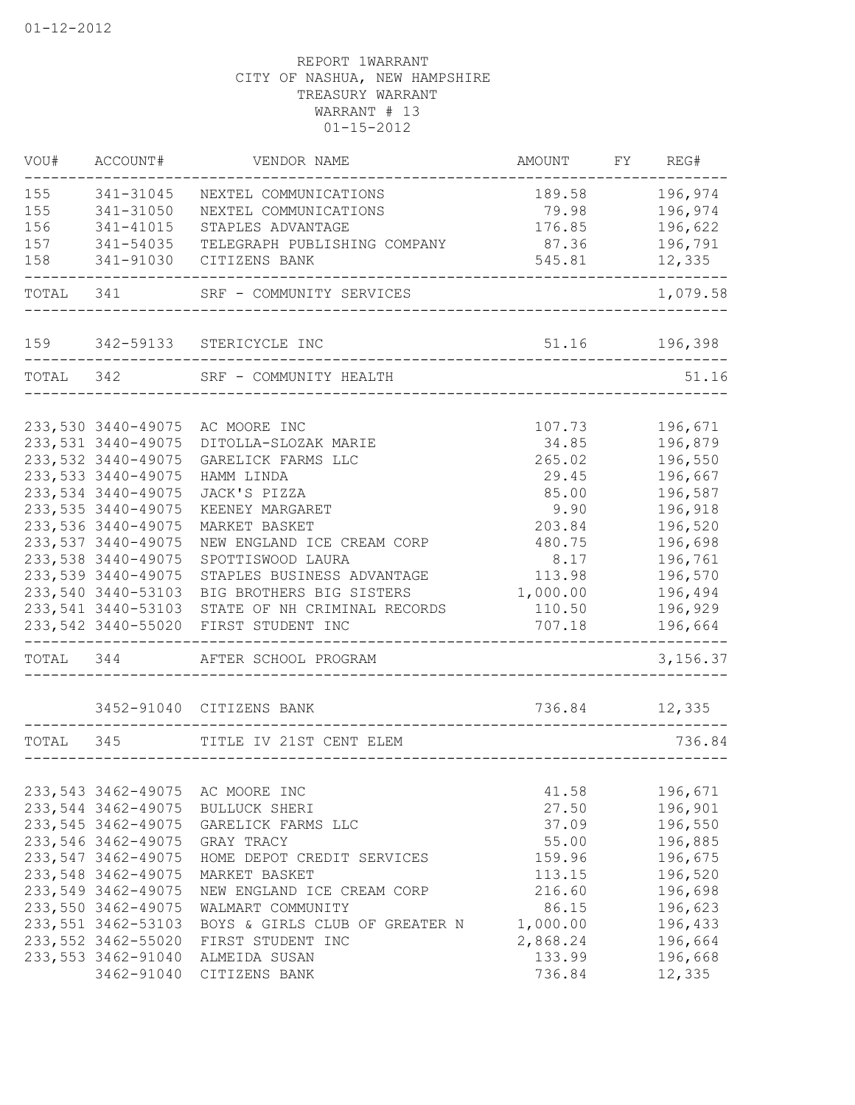| VOU#      | ACCOUNT#            | VENDOR NAME                                             | AMOUNT                                | FY REG#                 |
|-----------|---------------------|---------------------------------------------------------|---------------------------------------|-------------------------|
| 155       | 341-31045           | NEXTEL COMMUNICATIONS                                   | 189.58                                | 196,974                 |
| 155       | 341-31050           | NEXTEL COMMUNICATIONS                                   | 79.98                                 | 196,974                 |
| 156       | 341-41015           | STAPLES ADVANTAGE                                       | 176.85                                | 196,622                 |
| 157       | 341-54035           | TELEGRAPH PUBLISHING COMPANY                            | 87.36                                 | 196,791                 |
| 158       | 341-91030           | CITIZENS BANK                                           | 545.81                                | 12,335                  |
| TOTAL 341 |                     | SRF - COMMUNITY SERVICES                                |                                       | 1,079.58                |
| 159       |                     | 342-59133 STERICYCLE INC                                |                                       | 51.16 196,398           |
|           |                     | TOTAL 342 SRF - COMMUNITY HEALTH                        |                                       | 51.16                   |
|           | 233,530 3440-49075  | AC MOORE INC                                            | 107.73                                | 196,671                 |
|           | 233, 531 3440-49075 | DITOLLA-SLOZAK MARIE                                    | 34.85                                 | 196,879                 |
|           | 233, 532 3440-49075 | GARELICK FARMS LLC                                      | 265.02                                | 196,550                 |
|           | 233, 533 3440-49075 | HAMM LINDA                                              | 29.45                                 | 196,667                 |
|           | 233, 534 3440-49075 | JACK'S PIZZA                                            | 85.00                                 | 196,587                 |
|           | 233, 535 3440-49075 | KEENEY MARGARET                                         | 9.90                                  | 196,918                 |
|           | 233, 536 3440-49075 | MARKET BASKET                                           | 203.84                                | 196,520                 |
|           | 233, 537 3440-49075 | NEW ENGLAND ICE CREAM CORP                              | 480.75                                | 196,698                 |
|           | 233, 538 3440-49075 | SPOTTISWOOD LAURA                                       | 8.17                                  | 196,761                 |
|           | 233,539 3440-49075  | STAPLES BUSINESS ADVANTAGE                              | 113.98                                | 196,570                 |
|           | 233,540 3440-53103  | BIG BROTHERS BIG SISTERS                                | 1,000.00                              | 196,494                 |
|           | 233, 541 3440-53103 | STATE OF NH CRIMINAL RECORDS                            | 110.50                                | 196,929                 |
|           | 233,542 3440-55020  | FIRST STUDENT INC<br>---------------------------------- | 707.18                                | 196,664<br>------------ |
|           |                     | TOTAL 344 AFTER SCHOOL PROGRAM                          | _____________________________________ | 3,156.37                |
|           |                     | 3452-91040 CITIZENS BANK                                | 736.84                                | 12,335                  |
| TOTAL 345 |                     | TITLE IV 21ST CENT ELEM                                 |                                       | 736.84                  |
|           |                     |                                                         | ___________________________________   |                         |
|           | 233, 543 3462-49075 | AC MOORE INC                                            | 41.58                                 | 196,671                 |
|           | 233, 544 3462-49075 | BULLUCK SHERI                                           | 27.50                                 | 196,901                 |
|           | 233, 545 3462-49075 | GARELICK FARMS LLC                                      | 37.09                                 | 196,550                 |
|           | 233,546 3462-49075  | GRAY TRACY                                              | 55.00                                 | 196,885                 |
|           | 233,547 3462-49075  | HOME DEPOT CREDIT SERVICES                              | 159.96                                | 196,675                 |
|           | 233,548 3462-49075  | MARKET BASKET                                           | 113.15                                | 196,520                 |
|           | 233,549 3462-49075  | NEW ENGLAND ICE CREAM CORP                              | 216.60                                | 196,698                 |
|           | 233,550 3462-49075  | WALMART COMMUNITY                                       | 86.15                                 | 196,623                 |
|           | 233, 551 3462-53103 | BOYS & GIRLS CLUB OF GREATER N                          | 1,000.00                              | 196,433                 |
|           | 233, 552 3462-55020 | FIRST STUDENT INC                                       | 2,868.24                              | 196,664                 |
|           | 233, 553 3462-91040 | ALMEIDA SUSAN                                           | 133.99                                | 196,668                 |
|           | 3462-91040          | CITIZENS BANK                                           | 736.84                                | 12,335                  |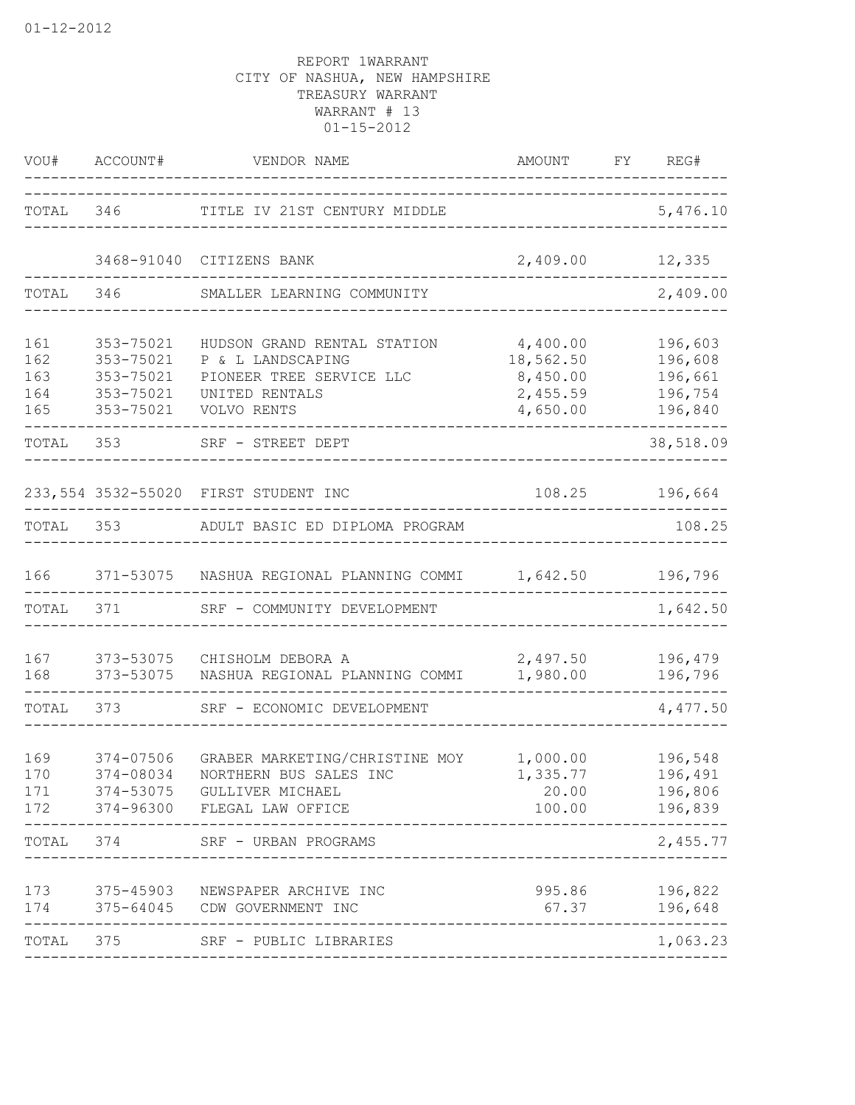| VOU#                            | ACCOUNT#                                                      | VENDOR NAME                                                                                                   | AMOUNT<br>----------------------------------              | FY REG#                                                              |
|---------------------------------|---------------------------------------------------------------|---------------------------------------------------------------------------------------------------------------|-----------------------------------------------------------|----------------------------------------------------------------------|
| TOTAL 346                       |                                                               | TITLE IV 21ST CENTURY MIDDLE                                                                                  |                                                           | 5,476.10                                                             |
|                                 | 3468-91040                                                    | CITIZENS BANK                                                                                                 | 2,409.00 12,335                                           |                                                                      |
| TOTAL                           | 346                                                           | SMALLER LEARNING COMMUNITY                                                                                    |                                                           | 2,409.00                                                             |
| 161<br>162<br>163<br>164<br>165 | 353-75021<br>353-75021<br>353-75021<br>353-75021<br>353-75021 | HUDSON GRAND RENTAL STATION<br>P & L LANDSCAPING<br>PIONEER TREE SERVICE LLC<br>UNITED RENTALS<br>VOLVO RENTS | 4,400.00<br>18,562.50<br>8,450.00<br>2,455.59<br>4,650.00 | 196,603<br>196,608<br>196,661<br>196,754<br>196,840<br>$\frac{1}{2}$ |
| TOTAL                           | 353                                                           | SRF - STREET DEPT                                                                                             |                                                           | 38,518.09                                                            |
|                                 |                                                               | 233,554 3532-55020 FIRST STUDENT INC                                                                          | 108.25                                                    | 196,664                                                              |
| TOTAL                           | 353                                                           | ADULT BASIC ED DIPLOMA PROGRAM                                                                                |                                                           | 108.25                                                               |
| 166                             |                                                               | 371-53075 NASHUA REGIONAL PLANNING COMMI 1,642.50                                                             |                                                           | 196,796                                                              |
| TOTAL                           | 371                                                           | SRF - COMMUNITY DEVELOPMENT                                                                                   |                                                           | 1,642.50                                                             |
| 167<br>168                      | 373-53075<br>373-53075                                        | CHISHOLM DEBORA A<br>NASHUA REGIONAL PLANNING COMMI                                                           | 2,497.50<br>1,980.00                                      | 196,479<br>196,796<br>-------                                        |
| TOTAL                           | 373                                                           | SRF - ECONOMIC DEVELOPMENT                                                                                    |                                                           | 4,477.50                                                             |
| 169<br>170<br>171<br>172        | 374-07506<br>374-08034<br>374-53075<br>374-96300              | GRABER MARKETING/CHRISTINE MOY<br>NORTHERN BUS SALES INC<br>GULLIVER MICHAEL<br>FLEGAL LAW OFFICE             | 1,000.00<br>1,335.77<br>20.00<br>100.00                   | 196,548<br>196,491<br>196,806<br>196,839                             |
| TOTAL                           | 374                                                           | SRF - URBAN PROGRAMS                                                                                          |                                                           | 2,455.77                                                             |
| 173<br>174                      | 375-45903<br>375-64045                                        | NEWSPAPER ARCHIVE INC<br>CDW GOVERNMENT INC                                                                   | 995.86<br>67.37                                           | 196,822<br>196,648                                                   |
| TOTAL                           | 375                                                           | SRF - PUBLIC LIBRARIES                                                                                        |                                                           | 1,063.23                                                             |
|                                 |                                                               |                                                                                                               |                                                           |                                                                      |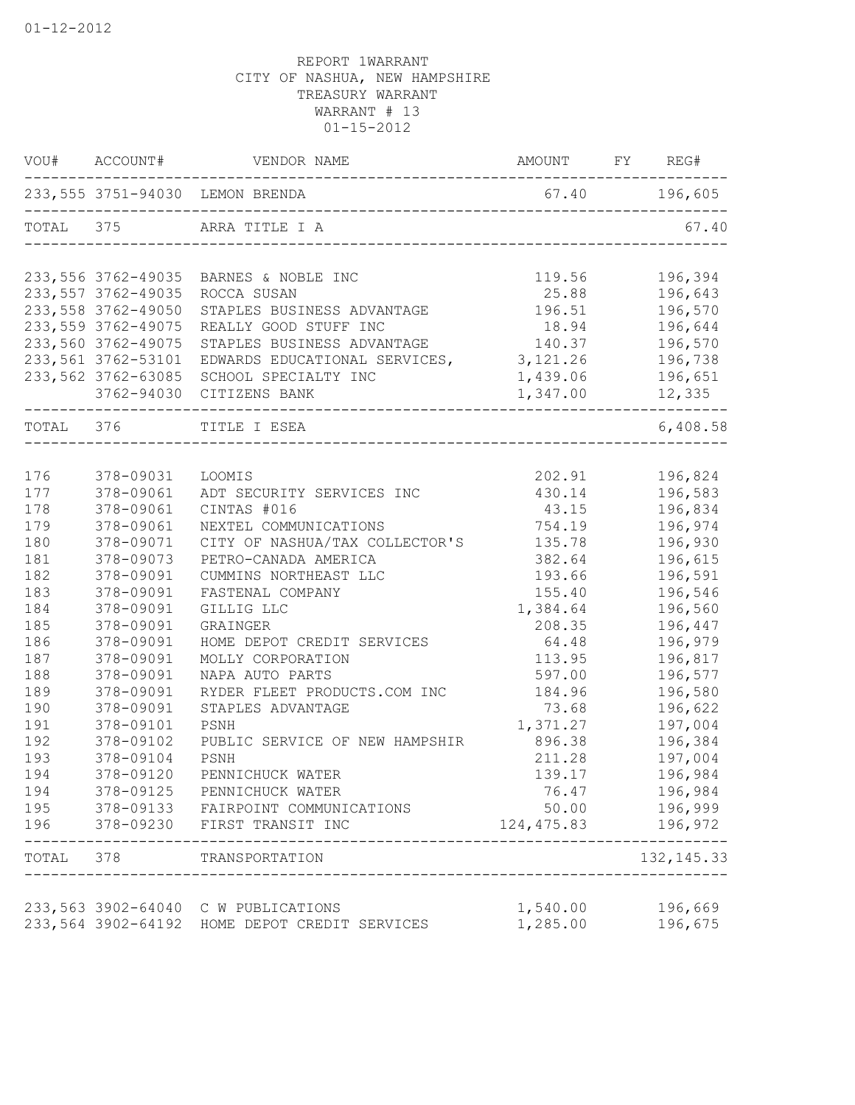| VOU#      | ACCOUNT#                                 | VENDOR NAME                           | AMOUNT               | FY REG#           |
|-----------|------------------------------------------|---------------------------------------|----------------------|-------------------|
|           |                                          | 233,555 3751-94030 LEMON BRENDA       |                      | 67.40 196,605     |
| TOTAL 375 |                                          | ARRA TITLE I A                        |                      | 67.40             |
|           | 233, 556 3762-49035                      | BARNES & NOBLE INC                    | 119.56               | 196,394           |
|           | 233, 557 3762-49035                      | ROCCA SUSAN                           | 25.88                | 196,643           |
|           | 233, 558 3762-49050                      | STAPLES BUSINESS ADVANTAGE            | 196.51               | 196,570           |
|           | 233, 559 3762-49075                      | REALLY GOOD STUFF INC                 | 18.94                | 196,644           |
|           | 233,560 3762-49075                       | STAPLES BUSINESS ADVANTAGE            | 140.37               | 196,570           |
|           | 233,561 3762-53101                       | EDWARDS EDUCATIONAL SERVICES,         | 3, 121.26            | 196,738           |
|           | 233, 562 3762-63085<br>3762-94030        | SCHOOL SPECIALTY INC<br>CITIZENS BANK | 1,439.06<br>1,347.00 | 196,651<br>12,335 |
| TOTAL 376 |                                          | TITLE I ESEA                          |                      | -----<br>6,408.58 |
|           |                                          |                                       |                      |                   |
| 176       | 378-09031                                | LOOMIS                                | 202.91               | 196,824           |
| 177       | 378-09061                                | ADT SECURITY SERVICES INC             | 430.14               | 196,583           |
| 178       | 378-09061                                | CINTAS #016                           | 43.15                | 196,834           |
| 179       | 378-09061                                | NEXTEL COMMUNICATIONS                 | 754.19               | 196,974           |
| 180       | 378-09071                                | CITY OF NASHUA/TAX COLLECTOR'S        | 135.78               | 196,930           |
| 181       | 378-09073                                | PETRO-CANADA AMERICA                  | 382.64               | 196,615           |
| 182       | 378-09091                                | CUMMINS NORTHEAST LLC                 | 193.66               | 196,591           |
| 183       | 378-09091                                | FASTENAL COMPANY                      | 155.40               | 196,546           |
| 184       | 378-09091                                | GILLIG LLC                            | 1,384.64             | 196,560           |
| 185       | 378-09091                                | GRAINGER                              | 208.35               | 196,447           |
| 186       | 378-09091                                | HOME DEPOT CREDIT SERVICES            | 64.48                | 196,979           |
| 187       | 378-09091                                | MOLLY CORPORATION                     | 113.95               | 196,817           |
| 188       | 378-09091                                | NAPA AUTO PARTS                       | 597.00               | 196,577           |
| 189       | 378-09091                                | RYDER FLEET PRODUCTS.COM INC          | 184.96               | 196,580           |
| 190       | 378-09091                                | STAPLES ADVANTAGE                     | 73.68                | 196,622           |
| 191       | 378-09101                                | PSNH                                  | 1,371.27             | 197,004           |
| 192       | 378-09102                                | PUBLIC SERVICE OF NEW HAMPSHIR        | 896.38               | 196,384           |
| 193       | 378-09104                                | PSNH                                  | 211.28               | 197,004           |
| 194       | 378-09120                                | PENNICHUCK WATER                      | 139.17               | 196,984           |
| 194       | 378-09125                                | PENNICHUCK WATER                      | 76.47                | 196,984           |
| 195       | 378-09133                                | FAIRPOINT COMMUNICATIONS              | 50.00                | 196,999           |
| 196       | 378-09230                                | FIRST TRANSIT INC                     | 124, 475.83          | 196,972           |
| TOTAL     | 378                                      | TRANSPORTATION                        |                      | 132, 145. 33      |
|           |                                          |                                       |                      |                   |
|           | 233,563 3902-64040<br>233,564 3902-64192 | C W PUBLICATIONS                      | 1,540.00<br>1,285.00 | 196,669           |
|           |                                          | HOME DEPOT CREDIT SERVICES            |                      | 196,675           |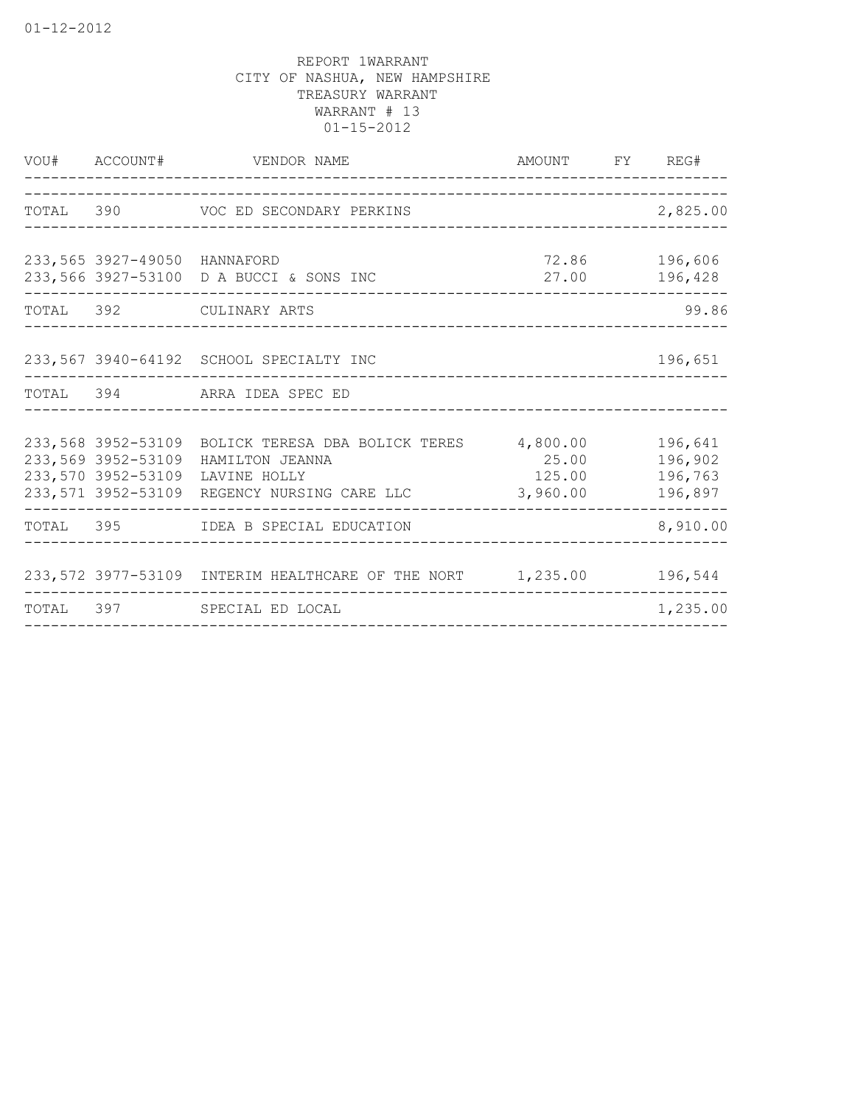|                              | VOU# ACCOUNT# VENDOR NAME                                                                                                                                                                  | AMOUNT FY REG#                      |                    |
|------------------------------|--------------------------------------------------------------------------------------------------------------------------------------------------------------------------------------------|-------------------------------------|--------------------|
|                              | TOTAL 390 VOC ED SECONDARY PERKINS                                                                                                                                                         |                                     | 2,825.00           |
| 233,565 3927-49050 HANNAFORD | 233,566 3927-53100 D A BUCCI & SONS INC                                                                                                                                                    | 27.00 196,428                       | 72.86 196,606      |
|                              | TOTAL 392 CULINARY ARTS                                                                                                                                                                    |                                     | 99.86              |
|                              | 233,567 3940-64192 SCHOOL SPECIALTY INC                                                                                                                                                    |                                     | 196,651            |
|                              | TOTAL 394 ARRA IDEA SPEC ED                                                                                                                                                                |                                     |                    |
|                              | 233,568 3952-53109 BOLICK TERESA DBA BOLICK TERES 4,800.00 196,641<br>233,569 3952-53109 HAMILTON JEANNA<br>233,570 3952-53109 LAVINE HOLLY<br>233,571 3952-53109 REGENCY NURSING CARE LLC | 25.00<br>125.00 196,763<br>3,960.00 | 196,902<br>196,897 |
|                              | TOTAL 395 IDEA B SPECIAL EDUCATION                                                                                                                                                         |                                     | 8,910.00           |
|                              | 233,572 3977-53109 INTERIM HEALTHCARE OF THE NORT 1,235.00 196,544                                                                                                                         |                                     |                    |
|                              | TOTAL 397 SPECIAL ED LOCAL                                                                                                                                                                 |                                     | 1,235.00           |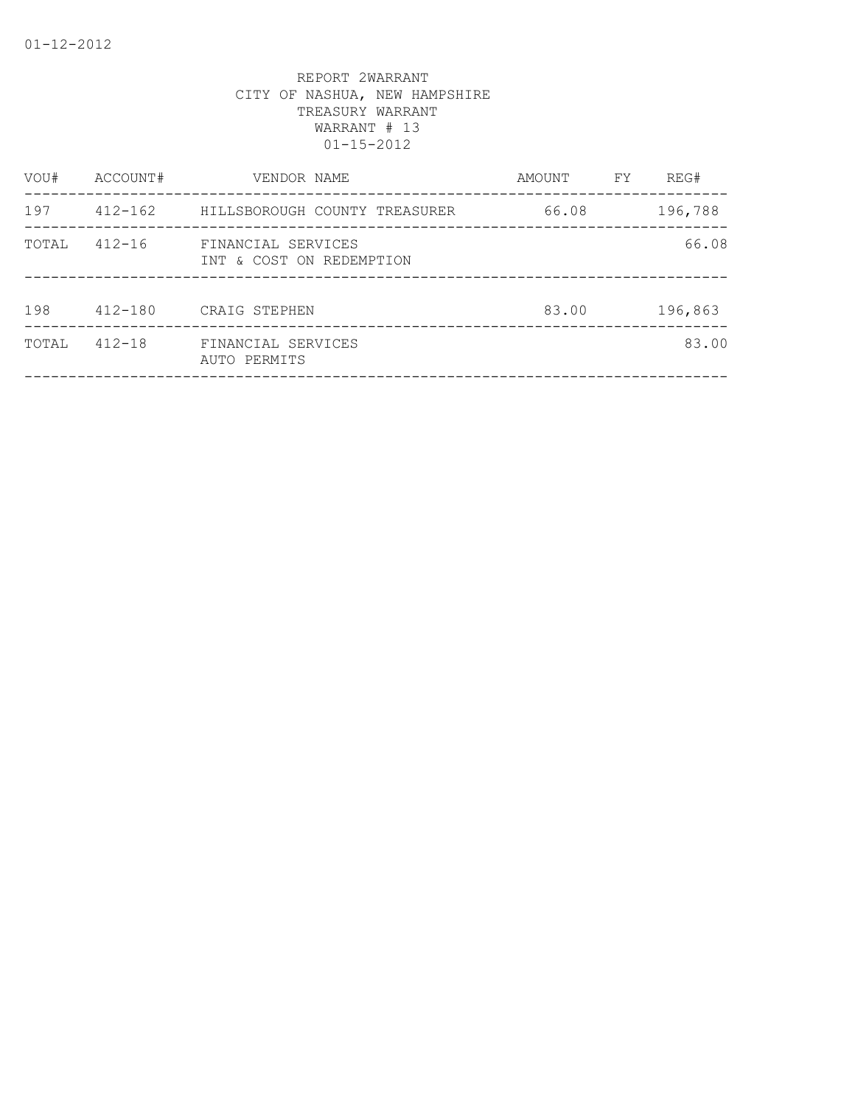| VOU#  | ACCOUNT#    | VENDOR NAME                                    | AMOUNT | FY | REG#    |
|-------|-------------|------------------------------------------------|--------|----|---------|
| 197   | $412 - 162$ | HILLSBOROUGH COUNTY TREASURER                  | 66.08  |    | 196,788 |
| TOTAL | $412 - 16$  | FINANCIAL SERVICES<br>INT & COST ON REDEMPTION |        |    | 66.08   |
| 198   | $412 - 180$ | CRAIG STEPHEN                                  | 83.00  |    | 196,863 |
| TOTAL | $412 - 18$  | FINANCIAL SERVICES<br>AUTO PERMITS             |        |    | 83.00   |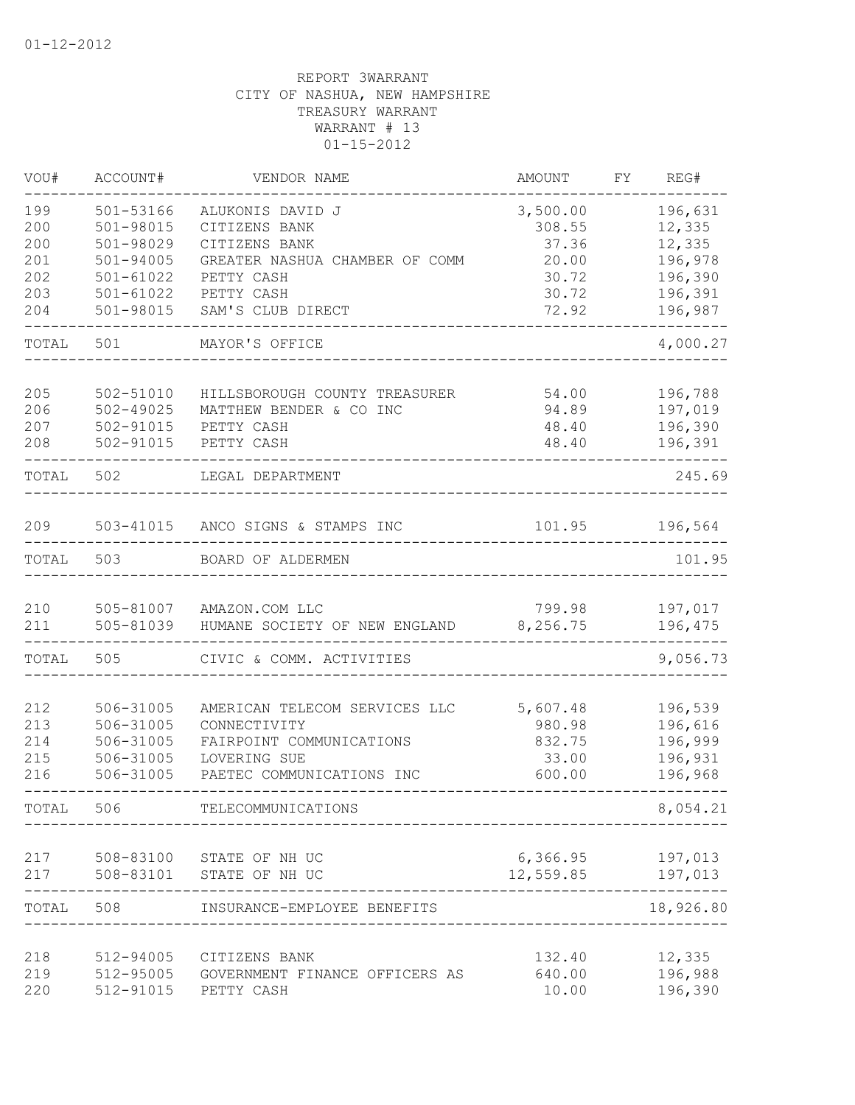| VOU#       | ACCOUNT#               | VENDOR NAME                       | AMOUNT         | FΥ | REG#                  |
|------------|------------------------|-----------------------------------|----------------|----|-----------------------|
| 199        | 501-53166              | ALUKONIS DAVID J                  | 3,500.00       |    | 196,631               |
| 200        | 501-98015              | CITIZENS BANK                     | 308.55         |    | 12,335                |
| 200        | 501-98029              | CITIZENS BANK                     | 37.36          |    | 12,335                |
| 201        | $501 - 94005$          | GREATER NASHUA CHAMBER OF COMM    | 20.00          |    | 196,978               |
| 202        | 501-61022              | PETTY CASH                        | 30.72          |    | 196,390               |
| 203<br>204 | 501-61022<br>501-98015 | PETTY CASH<br>SAM'S CLUB DIRECT   | 30.72<br>72.92 |    | 196,391<br>196,987    |
|            |                        |                                   |                |    |                       |
| TOTAL      | 501                    | MAYOR'S OFFICE                    |                |    | 4,000.27              |
| 205        | 502-51010              | HILLSBOROUGH COUNTY TREASURER     | 54.00          |    | 196,788               |
| 206        | $502 - 49025$          | MATTHEW BENDER & CO INC           | 94.89          |    | 197,019               |
| 207        | 502-91015              | PETTY CASH                        | 48.40          |    | 196,390               |
| 208        | 502-91015              | PETTY CASH                        | 48.40          |    | 196,391               |
| TOTAL      | 502                    | LEGAL DEPARTMENT                  |                |    | 245.69                |
| 209        |                        | 503-41015 ANCO SIGNS & STAMPS INC | 101.95         |    | 196,564               |
|            |                        |                                   |                |    |                       |
| TOTAL      | 503                    | BOARD OF ALDERMEN                 |                |    | 101.95                |
| 210        | 505-81007              | AMAZON.COM LLC                    | 799.98         |    | 197,017               |
| 211        | 505-81039              | HUMANE SOCIETY OF NEW ENGLAND     | 8,256.75       |    | 196,475               |
| TOTAL      | 505                    | CIVIC & COMM. ACTIVITIES          |                |    | 9,056.73              |
| 212        | 506-31005              | AMERICAN TELECOM SERVICES LLC     | 5,607.48       |    | 196,539               |
| 213        | 506-31005              | CONNECTIVITY                      | 980.98         |    | 196,616               |
| 214        | 506-31005              | FAIRPOINT COMMUNICATIONS          | 832.75         |    | 196,999               |
| 215        | 506-31005              | LOVERING SUE                      | 33.00          |    | 196,931               |
| 216        | 506-31005              | PAETEC COMMUNICATIONS INC         | 600.00         |    | 196,968               |
| TOTAL      | 506                    | TELECOMMUNICATIONS                |                |    | 8,054.21              |
| 217        | 508-83100              | STATE OF NH UC                    | 6, 366.95      |    | 197,013               |
| 217        | 508-83101              | STATE OF NH UC                    | 12,559.85      |    | 197,013               |
| TOTAL      | 508                    | INSURANCE-EMPLOYEE BENEFITS       |                |    | $------$<br>18,926.80 |
| 218        | 512-94005              | CITIZENS BANK                     | 132.40         |    | 12,335                |
| 219        | 512-95005              | GOVERNMENT FINANCE OFFICERS AS    | 640.00         |    | 196,988               |
| 220        | 512-91015              | PETTY CASH                        | 10.00          |    | 196,390               |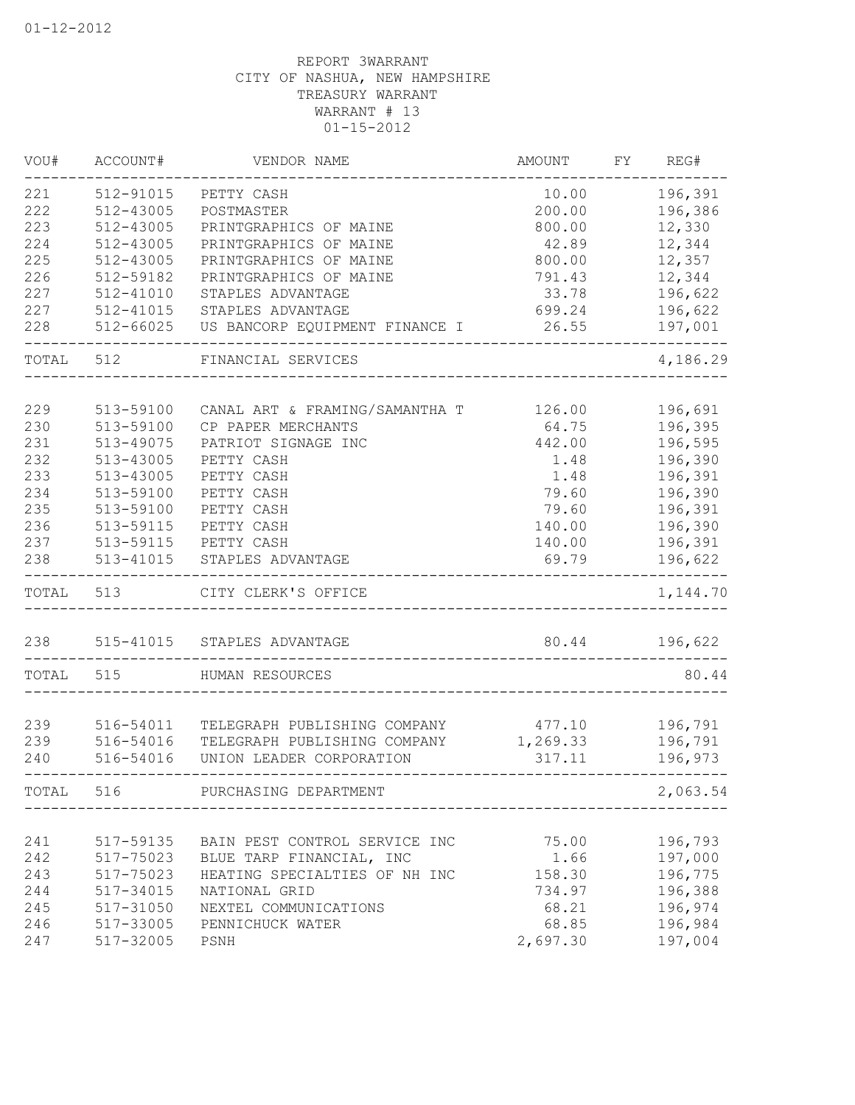| VOU#  | ACCOUNT#  | VENDOR NAME                    | AMOUNT          | FY | REG#     |
|-------|-----------|--------------------------------|-----------------|----|----------|
| 221   | 512-91015 | PETTY CASH                     | 10.00           |    | 196,391  |
| 222   | 512-43005 | POSTMASTER                     | 200.00          |    | 196,386  |
| 223   | 512-43005 | PRINTGRAPHICS OF MAINE         | 800.00          |    | 12,330   |
| 224   | 512-43005 | PRINTGRAPHICS OF MAINE         | 42.89           |    | 12,344   |
| 225   | 512-43005 | PRINTGRAPHICS OF MAINE         | 800.00          |    | 12,357   |
| 226   | 512-59182 | PRINTGRAPHICS OF MAINE         | 791.43          |    | 12,344   |
| 227   | 512-41010 | STAPLES ADVANTAGE              | 33.78           |    | 196,622  |
| 227   | 512-41015 | STAPLES ADVANTAGE              | 699.24          |    | 196,622  |
| 228   | 512-66025 | US BANCORP EQUIPMENT FINANCE I | 26.55           |    | 197,001  |
| TOTAL | 512       | FINANCIAL SERVICES             |                 |    | 4,186.29 |
| 229   | 513-59100 | CANAL ART & FRAMING/SAMANTHA T | 126.00          |    | 196,691  |
| 230   | 513-59100 | CP PAPER MERCHANTS             | 64.75           |    | 196,395  |
| 231   | 513-49075 | PATRIOT SIGNAGE INC            | 442.00          |    | 196,595  |
| 232   | 513-43005 | PETTY CASH                     | 1.48            |    | 196,390  |
| 233   | 513-43005 | PETTY CASH                     | 1.48            |    | 196,391  |
| 234   | 513-59100 | PETTY CASH                     | 79.60           |    | 196,390  |
| 235   | 513-59100 | PETTY CASH                     | 79.60           |    | 196,391  |
| 236   | 513-59115 | PETTY CASH                     | 140.00          |    | 196,390  |
| 237   | 513-59115 | PETTY CASH                     |                 |    | 196,391  |
| 238   | 513-41015 | STAPLES ADVANTAGE              | 140.00<br>69.79 |    | 196,622  |
| TOTAL | 513       | CITY CLERK'S OFFICE            |                 |    | 1,144.70 |
| 238   |           | 515-41015 STAPLES ADVANTAGE    | 80.44           |    | 196,622  |
| TOTAL | 515       | HUMAN RESOURCES                |                 |    | 80.44    |
|       |           |                                |                 |    |          |
| 239   | 516-54011 | TELEGRAPH PUBLISHING COMPANY   | 477.10          |    | 196,791  |
| 239   | 516-54016 | TELEGRAPH PUBLISHING COMPANY   | 1,269.33        |    | 196,791  |
| 240   | 516-54016 | UNION LEADER CORPORATION       | 317.11          |    | 196,973  |
| TOTAL | 516       | PURCHASING DEPARTMENT          |                 |    | 2,063.54 |
|       |           |                                |                 |    |          |
| 241   | 517-59135 | BAIN PEST CONTROL SERVICE INC  | 75.00           |    | 196,793  |
| 242   | 517-75023 | BLUE TARP FINANCIAL, INC       | 1.66            |    | 197,000  |
| 243   | 517-75023 | HEATING SPECIALTIES OF NH INC  | 158.30          |    | 196,775  |
| 244   | 517-34015 | NATIONAL GRID                  | 734.97          |    | 196,388  |
| 245   | 517-31050 | NEXTEL COMMUNICATIONS          | 68.21           |    | 196,974  |
| 246   | 517-33005 | PENNICHUCK WATER               | 68.85           |    | 196,984  |
| 247   | 517-32005 | PSNH                           | 2,697.30        |    | 197,004  |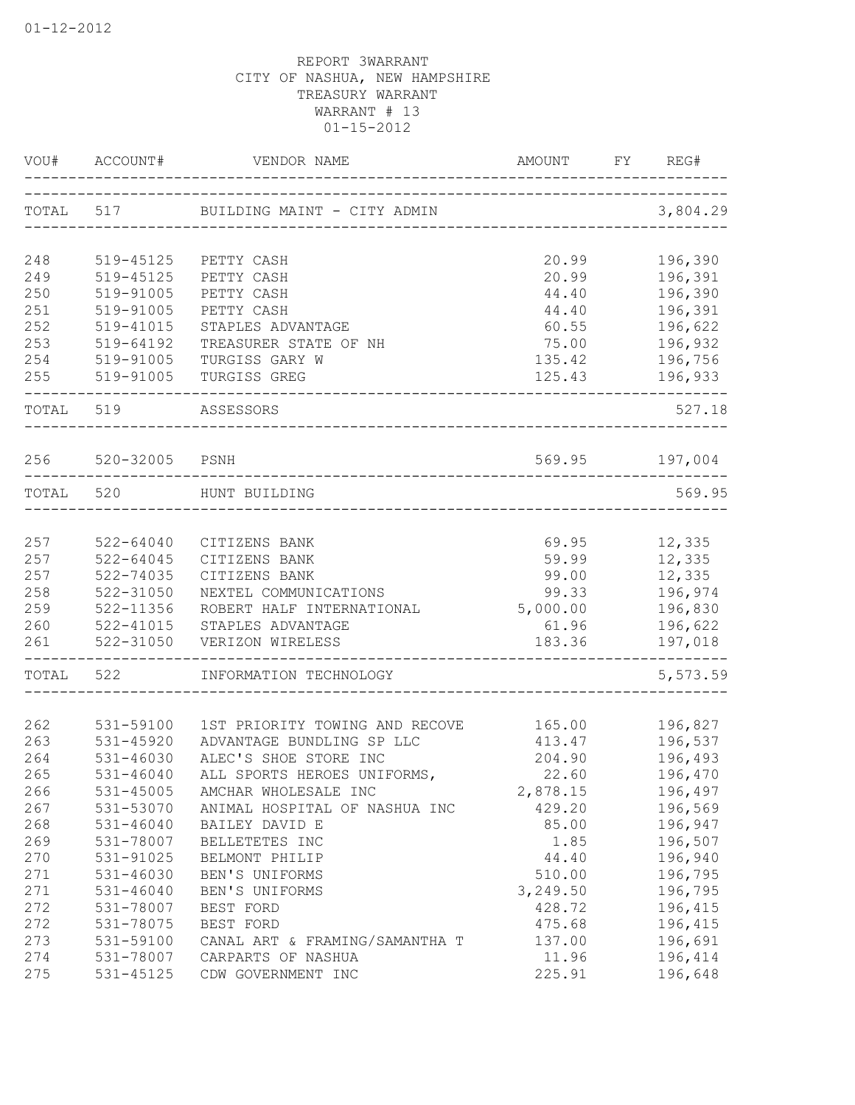| VOU#       |                        |                                                           |                               | REG#               |
|------------|------------------------|-----------------------------------------------------------|-------------------------------|--------------------|
|            |                        | TOTAL 517 BUILDING MAINT - CITY ADMIN                     |                               | 3,804.29           |
| 248        | 519-45125              | PETTY CASH                                                | 20.99                         | 196,390            |
| 249        | 519-45125              | PETTY CASH                                                | 20.99                         | 196,391            |
| 250        | 519-91005              | PETTY CASH                                                | 44.40                         | 196,390            |
| 251        | 519-91005              | PETTY CASH                                                | 44.40                         | 196,391            |
| 252        | 519-41015              | STAPLES ADVANTAGE                                         | 60.55                         | 196,622            |
| 253        | 519-64192              | TREASURER STATE OF NH                                     | 75.00                         | 196,932            |
| 254        | 519-91005              | TURGISS GARY W                                            | 135.42                        | 196,756            |
| 255        | 519-91005              | TURGISS GREG                                              | 125.43                        | 196,933            |
|            | TOTAL 519              | -------------------------------<br>ASSESSORS              |                               | 527.18             |
| 256        | 520-32005 PSNH         |                                                           | 569.95 197,004                |                    |
|            | TOTAL 520              | HUNT BUILDING                                             |                               | 569.95             |
|            |                        |                                                           |                               |                    |
| 257        | $522 - 64040$          | CITIZENS BANK                                             | 69.95                         | 12,335             |
| 257        | 522-64045              | CITIZENS BANK                                             | 59.99                         | 12,335             |
| 257        | 522-74035              | CITIZENS BANK                                             | 99.00                         | 12,335             |
| 258        | 522-31050              | NEXTEL COMMUNICATIONS                                     | 99.33                         | 196,974            |
| 259        | 522-11356              | ROBERT HALF INTERNATIONAL                                 | 5,000.00                      | 196,830            |
| 260        | 522-41015              | STAPLES ADVANTAGE                                         | 61.96                         | 196,622            |
| 261        | 522-31050              | VERIZON WIRELESS<br>------------------------------------- | 183.36                        | 197,018            |
| TOTAL      | 522                    | INFORMATION TECHNOLOGY                                    | ----------------------------- | 5,573.59           |
|            |                        |                                                           |                               |                    |
| 262        | 531-59100              | 1ST PRIORITY TOWING AND RECOVE                            | 165.00                        | 196,827            |
| 263        | 531-45920              | ADVANTAGE BUNDLING SP LLC                                 | 413.47                        | 196,537            |
| 264        | 531-46030              | ALEC'S SHOE STORE INC                                     | 204.90                        | 196,493            |
| 265        | $531 - 46040$          | ALL SPORTS HEROES UNIFORMS,                               | 22.60                         | 196,470            |
| 266        | 531-45005              | AMCHAR WHOLESALE INC                                      | 2,878.15                      | 196,497            |
| 267        | 531-53070              | ANIMAL HOSPITAL OF NASHUA INC                             | 429.20                        | 196,569            |
| 268        | $531 - 46040$          | BAILEY DAVID E                                            | 85.00                         | 196,947            |
| 269        | 531-78007              | BELLETETES INC                                            | 1.85                          | 196,507            |
| 270        | 531-91025              | BELMONT PHILIP                                            | 44.40                         | 196,940            |
| 271        | 531-46030              | BEN'S UNIFORMS                                            | 510.00                        | 196,795            |
| 271<br>272 | $531 - 46040$          | BEN'S UNIFORMS                                            | 3,249.50<br>428.72            | 196,795            |
| 272        | 531-78007<br>531-78075 | BEST FORD                                                 |                               | 196,415            |
| 273        | 531-59100              | BEST FORD<br>CANAL ART & FRAMING/SAMANTHA T               | 475.68<br>137.00              | 196,415<br>196,691 |
| 274        | 531-78007              | CARPARTS OF NASHUA                                        | 11.96                         | 196,414            |
| 275        | 531-45125              | CDW GOVERNMENT INC                                        | 225.91                        | 196,648            |
|            |                        |                                                           |                               |                    |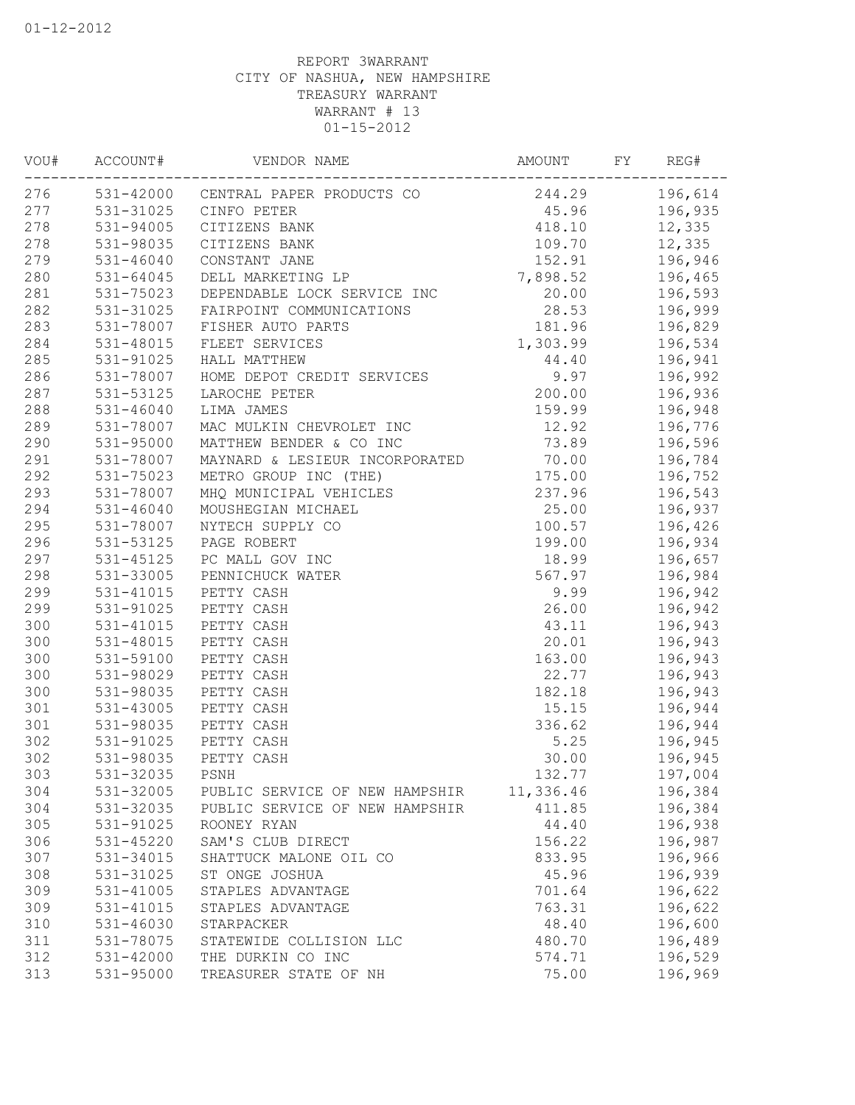| VOU# | ACCOUNT#      | VENDOR NAME                         | AMOUNT    | FY | REG#    |
|------|---------------|-------------------------------------|-----------|----|---------|
| 276  |               | 531-42000 CENTRAL PAPER PRODUCTS CO | 244.29    |    | 196,614 |
| 277  | 531-31025     | CINFO PETER                         | 45.96     |    | 196,935 |
| 278  | 531-94005     | CITIZENS BANK                       | 418.10    |    | 12,335  |
| 278  | 531-98035     | CITIZENS BANK                       | 109.70    |    | 12,335  |
| 279  | 531-46040     | CONSTANT JANE                       | 152.91    |    | 196,946 |
| 280  | 531-64045     | DELL MARKETING LP                   | 7,898.52  |    | 196,465 |
| 281  | 531-75023     | DEPENDABLE LOCK SERVICE INC         | 20.00     |    | 196,593 |
| 282  | 531-31025     | FAIRPOINT COMMUNICATIONS            | 28.53     |    | 196,999 |
| 283  | 531-78007     | FISHER AUTO PARTS                   | 181.96    |    | 196,829 |
| 284  | 531-48015     | FLEET SERVICES                      | 1,303.99  |    | 196,534 |
| 285  | 531-91025     | HALL MATTHEW                        | 44.40     |    | 196,941 |
| 286  | 531-78007     | HOME DEPOT CREDIT SERVICES          | 9.97      |    | 196,992 |
| 287  | 531-53125     | LAROCHE PETER                       | 200.00    |    | 196,936 |
| 288  | 531-46040     | LIMA JAMES                          | 159.99    |    | 196,948 |
| 289  | 531-78007     | MAC MULKIN CHEVROLET INC            | 12.92     |    | 196,776 |
| 290  | 531-95000     | MATTHEW BENDER & CO INC             | 73.89     |    | 196,596 |
| 291  | 531-78007     | MAYNARD & LESIEUR INCORPORATED      | 70.00     |    | 196,784 |
| 292  | 531-75023     | METRO GROUP INC (THE)               | 175.00    |    | 196,752 |
| 293  | 531-78007     | MHQ MUNICIPAL VEHICLES              | 237.96    |    | 196,543 |
| 294  | $531 - 46040$ | MOUSHEGIAN MICHAEL                  | 25.00     |    | 196,937 |
| 295  | 531-78007     | NYTECH SUPPLY CO                    | 100.57    |    | 196,426 |
| 296  | 531-53125     | PAGE ROBERT                         | 199.00    |    | 196,934 |
| 297  | 531-45125     | PC MALL GOV INC                     | 18.99     |    | 196,657 |
| 298  | 531-33005     | PENNICHUCK WATER                    | 567.97    |    | 196,984 |
| 299  | 531-41015     | PETTY CASH                          | 9.99      |    | 196,942 |
| 299  | 531-91025     | PETTY CASH                          | 26.00     |    | 196,942 |
| 300  | 531-41015     | PETTY CASH                          | 43.11     |    | 196,943 |
| 300  | 531-48015     | PETTY CASH                          | 20.01     |    | 196,943 |
| 300  | 531-59100     | PETTY CASH                          | 163.00    |    | 196,943 |
| 300  | 531-98029     | PETTY CASH                          | 22.77     |    | 196,943 |
| 300  | 531-98035     | PETTY CASH                          | 182.18    |    | 196,943 |
| 301  | 531-43005     | PETTY CASH                          | 15.15     |    | 196,944 |
| 301  | 531-98035     | PETTY CASH                          | 336.62    |    | 196,944 |
| 302  | 531-91025     | PETTY CASH                          | 5.25      |    | 196,945 |
| 302  | 531-98035     | PETTY CASH                          | 30.00     |    | 196,945 |
| 303  | 531-32035     | PSNH                                | 132.77    |    | 197,004 |
| 304  | 531-32005     | PUBLIC SERVICE OF NEW HAMPSHIR      | 11,336.46 |    | 196,384 |
| 304  | 531-32035     | PUBLIC SERVICE OF NEW HAMPSHIR      | 411.85    |    | 196,384 |
| 305  | 531-91025     | ROONEY RYAN                         | 44.40     |    | 196,938 |
| 306  | 531-45220     | SAM'S CLUB DIRECT                   | 156.22    |    | 196,987 |
| 307  | 531-34015     | SHATTUCK MALONE OIL CO              | 833.95    |    | 196,966 |
| 308  | 531-31025     | ST ONGE JOSHUA                      | 45.96     |    | 196,939 |
| 309  | 531-41005     | STAPLES ADVANTAGE                   | 701.64    |    | 196,622 |
| 309  | 531-41015     | STAPLES ADVANTAGE                   | 763.31    |    | 196,622 |
| 310  | 531-46030     | STARPACKER                          | 48.40     |    | 196,600 |
| 311  | 531-78075     | STATEWIDE COLLISION LLC             | 480.70    |    | 196,489 |
| 312  | 531-42000     | THE DURKIN CO INC                   | 574.71    |    | 196,529 |
| 313  | 531-95000     | TREASURER STATE OF NH               | 75.00     |    | 196,969 |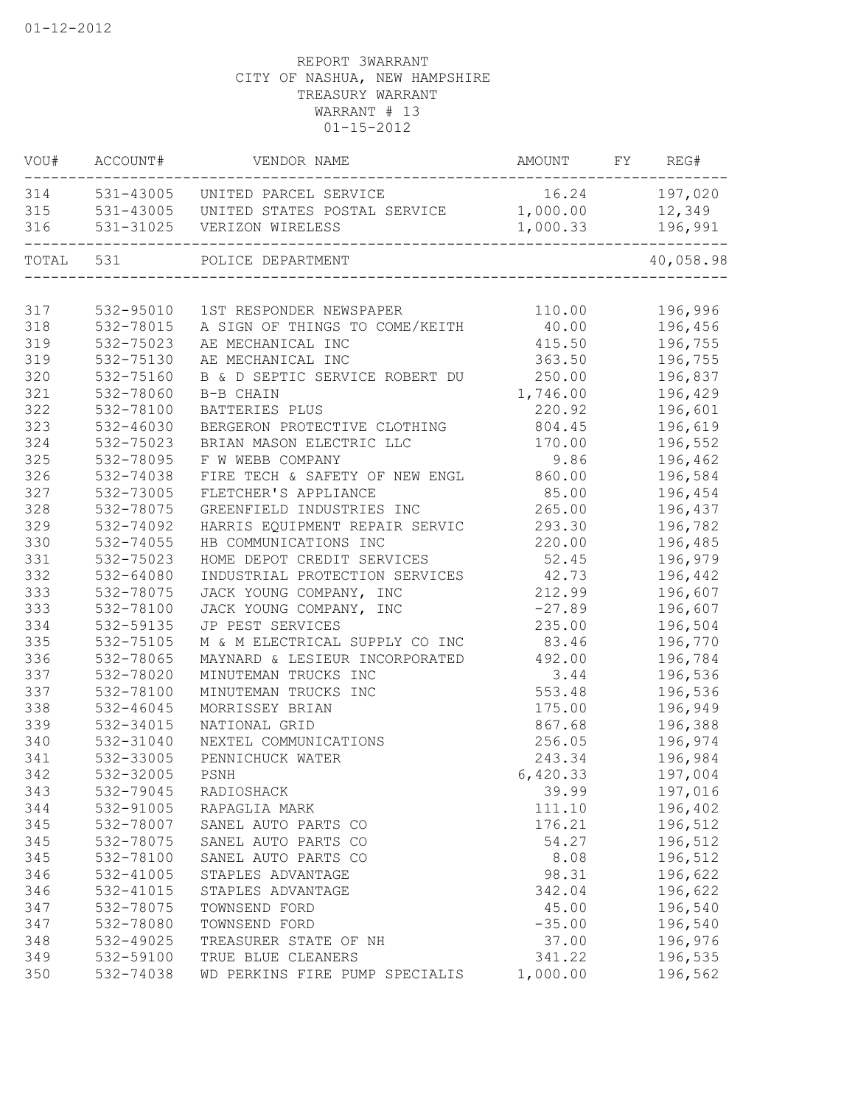| VOU#      | ACCOUNT#  | VENDOR NAME                            | AMOUNT   | FY | REG#      |
|-----------|-----------|----------------------------------------|----------|----|-----------|
| 314       |           | 531-43005 UNITED PARCEL SERVICE        | 16.24    |    | 197,020   |
| 315       |           | 531-43005 UNITED STATES POSTAL SERVICE | 1,000.00 |    | 12,349    |
| 316       |           | 531-31025 VERIZON WIRELESS             | 1,000.33 |    | 196,991   |
| TOTAL 531 |           | POLICE DEPARTMENT                      |          |    | 40,058.98 |
|           |           |                                        |          |    |           |
| 317       | 532-95010 | 1ST RESPONDER NEWSPAPER                | 110.00   |    | 196,996   |
| 318       | 532-78015 | A SIGN OF THINGS TO COME/KEITH         | 40.00    |    | 196,456   |
| 319       | 532-75023 | AE MECHANICAL INC                      | 415.50   |    | 196,755   |
| 319       | 532-75130 | AE MECHANICAL INC                      | 363.50   |    | 196,755   |
| 320       | 532-75160 | B & D SEPTIC SERVICE ROBERT DU         | 250.00   |    | 196,837   |
| 321       | 532-78060 | B-B CHAIN                              | 1,746.00 |    | 196,429   |
| 322       | 532-78100 | BATTERIES PLUS                         | 220.92   |    | 196,601   |
| 323       | 532-46030 | BERGERON PROTECTIVE CLOTHING           | 804.45   |    | 196,619   |
| 324       | 532-75023 | BRIAN MASON ELECTRIC LLC               | 170.00   |    | 196,552   |
| 325       | 532-78095 | F W WEBB COMPANY                       | 9.86     |    | 196,462   |
| 326       | 532-74038 | FIRE TECH & SAFETY OF NEW ENGL         | 860.00   |    | 196,584   |
| 327       | 532-73005 | FLETCHER'S APPLIANCE                   | 85.00    |    | 196,454   |
| 328       | 532-78075 | GREENFIELD INDUSTRIES INC              | 265.00   |    | 196,437   |
| 329       | 532-74092 | HARRIS EQUIPMENT REPAIR SERVIC         | 293.30   |    | 196,782   |
| 330       | 532-74055 | HB COMMUNICATIONS INC                  | 220.00   |    | 196,485   |
| 331       | 532-75023 | HOME DEPOT CREDIT SERVICES             | 52.45    |    | 196,979   |
| 332       | 532-64080 | INDUSTRIAL PROTECTION SERVICES         | 42.73    |    | 196,442   |
| 333       | 532-78075 | JACK YOUNG COMPANY, INC                | 212.99   |    | 196,607   |
| 333       | 532-78100 | JACK YOUNG COMPANY, INC                | $-27.89$ |    | 196,607   |
| 334       | 532-59135 | JP PEST SERVICES                       | 235.00   |    | 196,504   |
| 335       | 532-75105 | M & M ELECTRICAL SUPPLY CO INC         | 83.46    |    | 196,770   |
| 336       | 532-78065 | MAYNARD & LESIEUR INCORPORATED         | 492.00   |    | 196,784   |
| 337       | 532-78020 | MINUTEMAN TRUCKS INC                   | 3.44     |    | 196,536   |
| 337       | 532-78100 | MINUTEMAN TRUCKS INC                   | 553.48   |    | 196,536   |
| 338       | 532-46045 | MORRISSEY BRIAN                        | 175.00   |    | 196,949   |
| 339       | 532-34015 | NATIONAL GRID                          | 867.68   |    | 196,388   |
| 340       | 532-31040 | NEXTEL COMMUNICATIONS                  | 256.05   |    | 196,974   |
| 341       | 532-33005 | PENNICHUCK WATER                       | 243.34   |    | 196,984   |
| 342       | 532-32005 | PSNH                                   | 6,420.33 |    | 197,004   |
| 343       | 532-79045 | RADIOSHACK                             | 39.99    |    | 197,016   |
| 344       | 532-91005 | RAPAGLIA MARK                          | 111.10   |    | 196,402   |
| 345       | 532-78007 | SANEL AUTO PARTS CO                    | 176.21   |    | 196,512   |
| 345       | 532-78075 | SANEL AUTO PARTS CO                    | 54.27    |    | 196,512   |
| 345       | 532-78100 | SANEL AUTO PARTS CO                    | 8.08     |    | 196,512   |
| 346       | 532-41005 | STAPLES ADVANTAGE                      | 98.31    |    | 196,622   |
| 346       | 532-41015 | STAPLES ADVANTAGE                      | 342.04   |    | 196,622   |
| 347       | 532-78075 | TOWNSEND FORD                          | 45.00    |    | 196,540   |
| 347       | 532-78080 | TOWNSEND FORD                          | $-35.00$ |    | 196,540   |
| 348       | 532-49025 | TREASURER STATE OF NH                  | 37.00    |    | 196,976   |
| 349       | 532-59100 | TRUE BLUE CLEANERS                     | 341.22   |    | 196,535   |
| 350       | 532-74038 | WD PERKINS FIRE PUMP SPECIALIS         | 1,000.00 |    | 196,562   |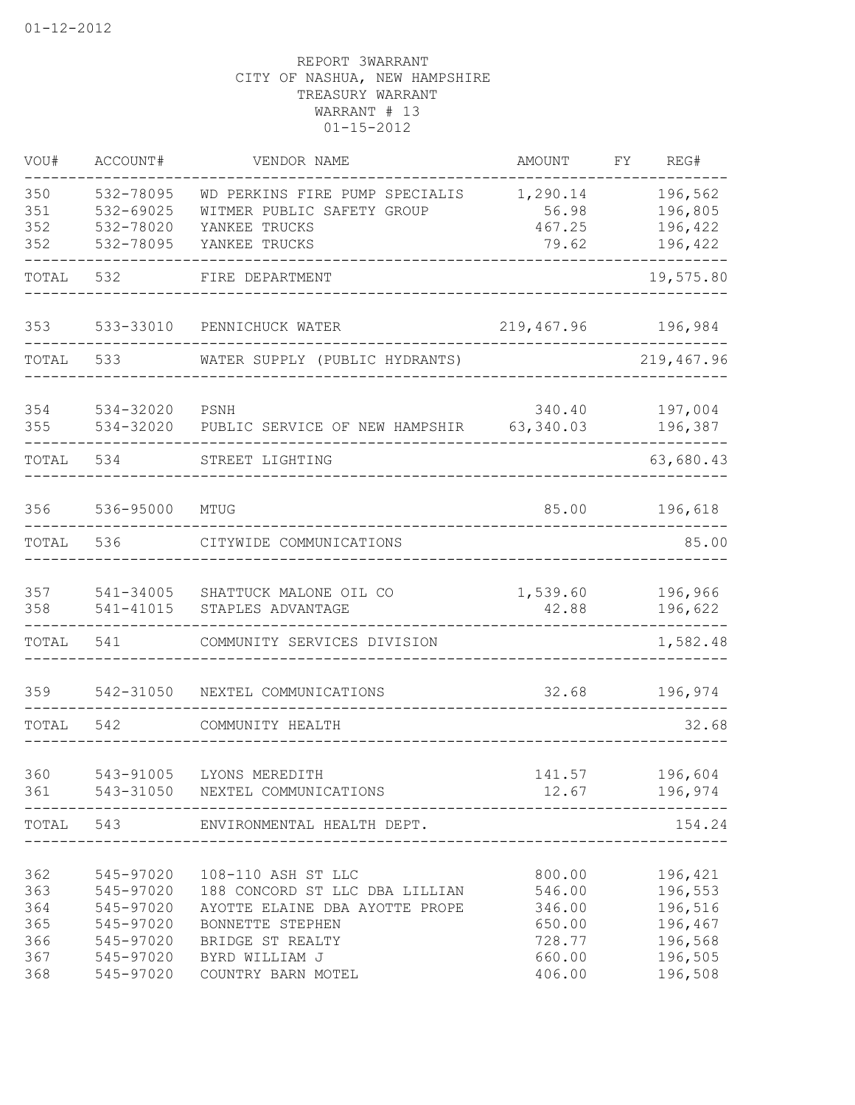| VOU#                                          | ACCOUNT#                                                                                | VENDOR NAME                                                                                                                                                            | AMOUNT                                                             | FY | REG#                                                                      |
|-----------------------------------------------|-----------------------------------------------------------------------------------------|------------------------------------------------------------------------------------------------------------------------------------------------------------------------|--------------------------------------------------------------------|----|---------------------------------------------------------------------------|
| 350<br>351<br>352<br>352                      | 532-78095<br>532-69025<br>532-78020<br>532-78095                                        | WD PERKINS FIRE PUMP SPECIALIS<br>WITMER PUBLIC SAFETY GROUP<br>YANKEE TRUCKS<br>YANKEE TRUCKS                                                                         | 1,290.14<br>56.98<br>467.25<br>79.62                               |    | 196,562<br>196,805<br>196,422<br>196,422                                  |
| TOTAL                                         | 532                                                                                     | FIRE DEPARTMENT<br>_______________________                                                                                                                             |                                                                    |    | 19,575.80                                                                 |
| 353                                           |                                                                                         | 533-33010 PENNICHUCK WATER                                                                                                                                             | 219,467.96 196,984                                                 |    |                                                                           |
| TOTAL                                         | 533                                                                                     | WATER SUPPLY (PUBLIC HYDRANTS)                                                                                                                                         |                                                                    |    | 219,467.96                                                                |
| 354<br>355                                    | 534-32020<br>534-32020                                                                  | PSNH<br>PUBLIC SERVICE OF NEW HAMPSHIR 63,340.03                                                                                                                       | 340.40                                                             |    | 197,004<br>196,387                                                        |
| TOTAL                                         | 534                                                                                     | STREET LIGHTING                                                                                                                                                        |                                                                    |    | 63,680.43                                                                 |
| 356                                           | 536-95000                                                                               | MTUG                                                                                                                                                                   | 85.00                                                              |    | 196,618                                                                   |
| TOTAL                                         | 536                                                                                     | CITYWIDE COMMUNICATIONS                                                                                                                                                |                                                                    |    | 85.00                                                                     |
| 357<br>358                                    | 541-34005<br>541-41015                                                                  | SHATTUCK MALONE OIL CO<br>STAPLES ADVANTAGE                                                                                                                            | 1,539.60<br>42.88                                                  |    | 196,966<br>196,622                                                        |
| TOTAL                                         | 541                                                                                     | COMMUNITY SERVICES DIVISION                                                                                                                                            |                                                                    |    | $- - - - - - -$<br>1,582.48                                               |
| 359                                           | 542-31050                                                                               | NEXTEL COMMUNICATIONS                                                                                                                                                  | 32.68                                                              |    | 196,974                                                                   |
| TOTAL                                         | 542                                                                                     | COMMUNITY HEALTH                                                                                                                                                       |                                                                    |    | 32.68                                                                     |
| 360<br>361                                    | 543-91005<br>-------------                                                              | LYONS MEREDITH<br>543-31050 NEXTEL COMMUNICATIONS                                                                                                                      | 141.57                                                             |    | 196,604<br>12.67 196,974                                                  |
|                                               |                                                                                         | TOTAL 543 ENVIRONMENTAL HEALTH DEPT.                                                                                                                                   |                                                                    |    | 154.24                                                                    |
| 362<br>363<br>364<br>365<br>366<br>367<br>368 | 545-97020<br>545-97020<br>545-97020<br>545-97020<br>545-97020<br>545-97020<br>545-97020 | 108-110 ASH ST LLC<br>188 CONCORD ST LLC DBA LILLIAN<br>AYOTTE ELAINE DBA AYOTTE PROPE<br>BONNETTE STEPHEN<br>BRIDGE ST REALTY<br>BYRD WILLIAM J<br>COUNTRY BARN MOTEL | 800.00<br>546.00<br>346.00<br>650.00<br>728.77<br>660.00<br>406.00 |    | 196,421<br>196,553<br>196,516<br>196,467<br>196,568<br>196,505<br>196,508 |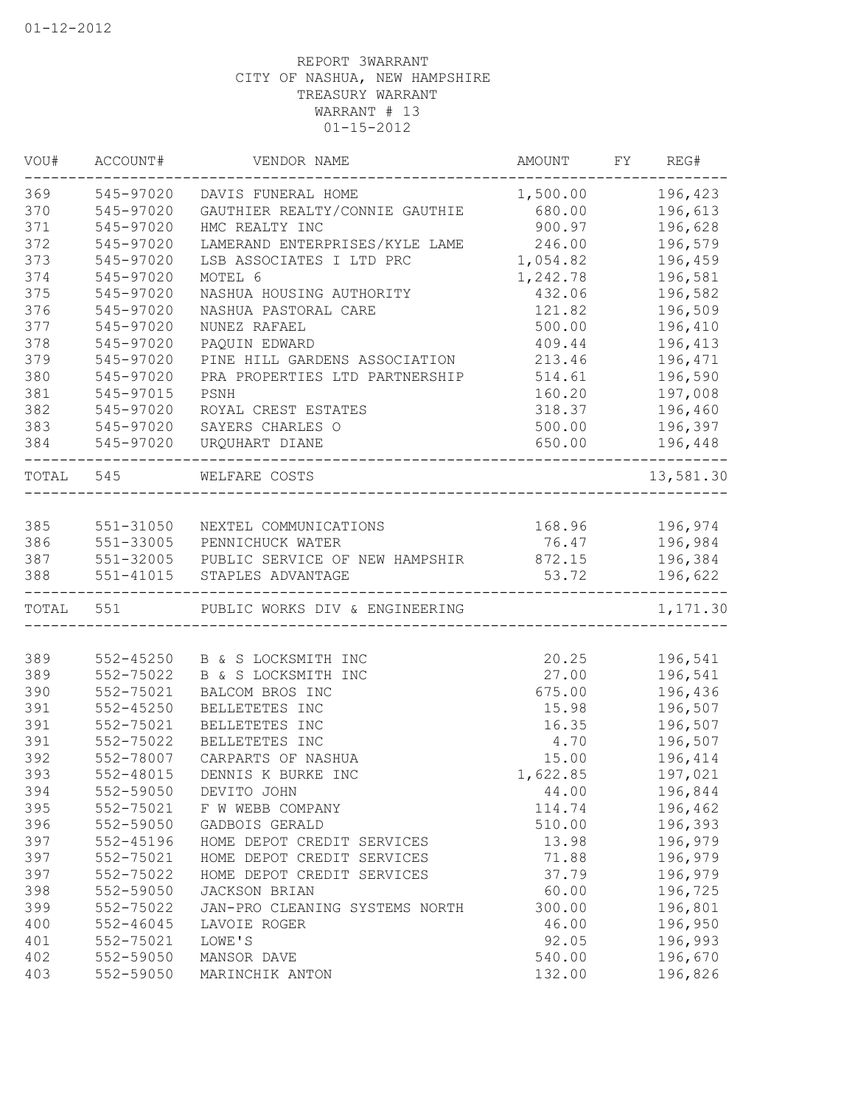| VOU#  | ACCOUNT#  | VENDOR NAME                    | AMOUNT   | FY | REG#           |
|-------|-----------|--------------------------------|----------|----|----------------|
| 369   | 545-97020 | DAVIS FUNERAL HOME             | 1,500.00 |    | 196,423        |
| 370   | 545-97020 | GAUTHIER REALTY/CONNIE GAUTHIE | 680.00   |    | 196,613        |
| 371   | 545-97020 | HMC REALTY INC                 | 900.97   |    | 196,628        |
| 372   | 545-97020 | LAMERAND ENTERPRISES/KYLE LAME | 246.00   |    | 196,579        |
| 373   | 545-97020 | LSB ASSOCIATES I LTD PRC       | 1,054.82 |    | 196,459        |
| 374   | 545-97020 | MOTEL 6                        | 1,242.78 |    | 196,581        |
| 375   | 545-97020 | NASHUA HOUSING AUTHORITY       | 432.06   |    | 196,582        |
| 376   | 545-97020 | NASHUA PASTORAL CARE           | 121.82   |    | 196,509        |
| 377   | 545-97020 | NUNEZ RAFAEL                   | 500.00   |    | 196,410        |
| 378   | 545-97020 | PAQUIN EDWARD                  | 409.44   |    | 196,413        |
| 379   | 545-97020 | PINE HILL GARDENS ASSOCIATION  | 213.46   |    | 196,471        |
| 380   | 545-97020 | PRA PROPERTIES LTD PARTNERSHIP | 514.61   |    | 196,590        |
| 381   | 545-97015 | PSNH                           | 160.20   |    | 197,008        |
| 382   | 545-97020 | ROYAL CREST ESTATES            | 318.37   |    | 196,460        |
| 383   | 545-97020 | SAYERS CHARLES O               | 500.00   |    | 196,397        |
| 384   | 545-97020 | URQUHART DIANE                 | 650.00   |    | 196,448        |
| TOTAL | 545       | WELFARE COSTS                  |          |    | 13,581.30      |
|       |           |                                |          |    |                |
| 385   | 551-31050 | NEXTEL COMMUNICATIONS          |          |    | 168.96 196,974 |
| 386   | 551-33005 | PENNICHUCK WATER               | 76.47    |    | 196,984        |
| 387   | 551-32005 | PUBLIC SERVICE OF NEW HAMPSHIR | 872.15   |    | 196,384        |
| 388   | 551-41015 | STAPLES ADVANTAGE              | 53.72    |    | 196,622        |
| TOTAL | 551       | PUBLIC WORKS DIV & ENGINEERING |          |    | 1,171.30       |
|       |           |                                |          |    |                |
| 389   | 552-45250 | B & S LOCKSMITH INC            | 20.25    |    | 196,541        |
| 389   | 552-75022 | B & S LOCKSMITH INC            | 27.00    |    | 196,541        |
| 390   | 552-75021 | BALCOM BROS INC                | 675.00   |    | 196,436        |
| 391   | 552-45250 | BELLETETES INC                 | 15.98    |    | 196,507        |
| 391   | 552-75021 | BELLETETES INC                 | 16.35    |    | 196,507        |
| 391   | 552-75022 | BELLETETES INC                 | 4.70     |    | 196,507        |
| 392   | 552-78007 | CARPARTS OF NASHUA             | 15.00    |    | 196,414        |
| 393   | 552-48015 | DENNIS K BURKE INC             | 1,622.85 |    | 197,021        |
| 394   | 552-59050 | DEVITO JOHN                    | 44.00    |    | 196,844        |
| 395   | 552-75021 | F W WEBB COMPANY               | 114.74   |    | 196,462        |
| 396   | 552-59050 | GADBOIS GERALD                 | 510.00   |    | 196,393        |
| 397   | 552-45196 | HOME DEPOT CREDIT SERVICES     | 13.98    |    | 196,979        |
| 397   | 552-75021 | HOME DEPOT CREDIT SERVICES     | 71.88    |    | 196,979        |
| 397   | 552-75022 | HOME DEPOT CREDIT SERVICES     | 37.79    |    | 196,979        |
| 398   | 552-59050 | JACKSON BRIAN                  | 60.00    |    | 196,725        |
| 399   | 552-75022 | JAN-PRO CLEANING SYSTEMS NORTH | 300.00   |    | 196,801        |
| 400   | 552-46045 | LAVOIE ROGER                   | 46.00    |    | 196,950        |
| 401   | 552-75021 | LOWE'S                         | 92.05    |    | 196,993        |
| 402   | 552-59050 | MANSOR DAVE                    | 540.00   |    | 196,670        |
| 403   | 552-59050 | MARINCHIK ANTON                | 132.00   |    | 196,826        |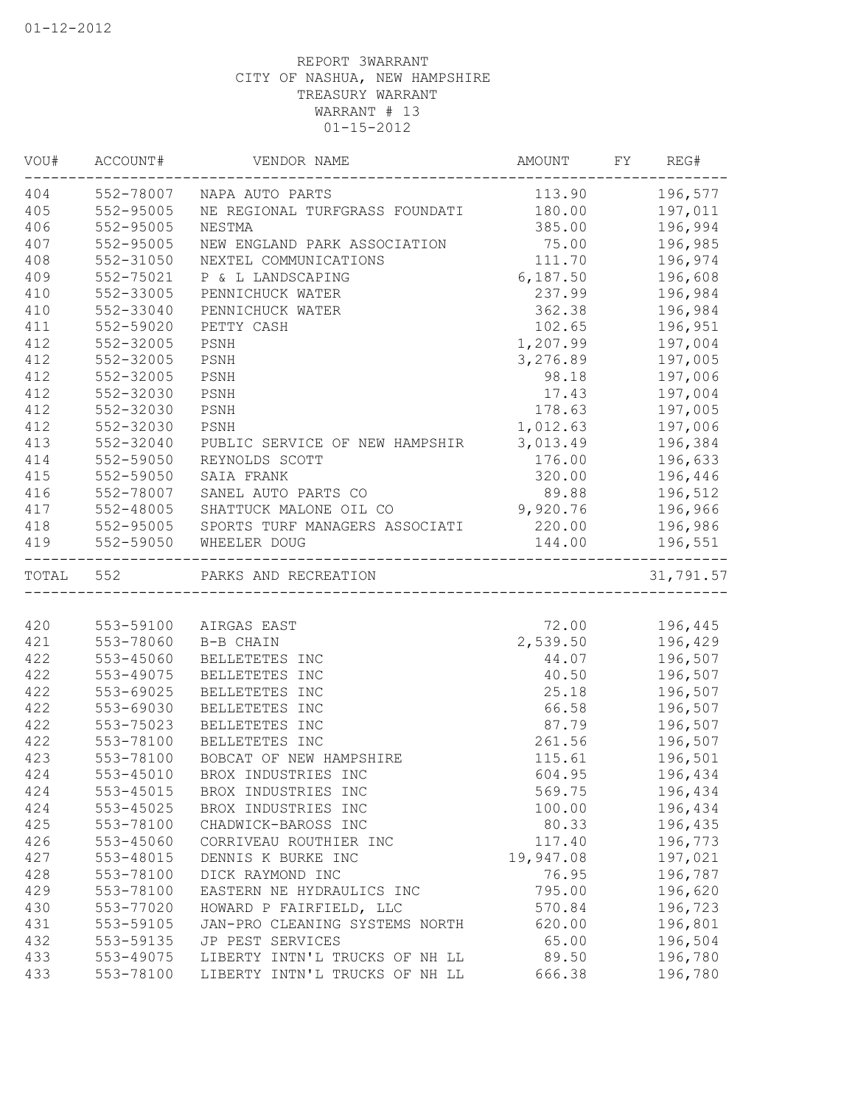| VOU# | ACCOUNT#  | VENDOR NAME                    | AMOUNT    | FY | REG#      |
|------|-----------|--------------------------------|-----------|----|-----------|
| 404  | 552-78007 | NAPA AUTO PARTS                | 113.90    |    | 196,577   |
| 405  | 552-95005 | NE REGIONAL TURFGRASS FOUNDATI | 180.00    |    | 197,011   |
| 406  | 552-95005 | NESTMA                         | 385.00    |    | 196,994   |
| 407  | 552-95005 | NEW ENGLAND PARK ASSOCIATION   | 75.00     |    | 196,985   |
| 408  | 552-31050 | NEXTEL COMMUNICATIONS          | 111.70    |    | 196,974   |
| 409  | 552-75021 | P & L LANDSCAPING              | 6,187.50  |    | 196,608   |
| 410  | 552-33005 | PENNICHUCK WATER               | 237.99    |    | 196,984   |
| 410  | 552-33040 | PENNICHUCK WATER               | 362.38    |    | 196,984   |
| 411  | 552-59020 | PETTY CASH                     | 102.65    |    | 196,951   |
| 412  | 552-32005 | PSNH                           | 1,207.99  |    | 197,004   |
| 412  | 552-32005 | PSNH                           | 3,276.89  |    | 197,005   |
| 412  | 552-32005 | PSNH                           | 98.18     |    | 197,006   |
| 412  | 552-32030 | PSNH                           | 17.43     |    | 197,004   |
| 412  | 552-32030 | PSNH                           | 178.63    |    | 197,005   |
| 412  | 552-32030 | PSNH                           | 1,012.63  |    | 197,006   |
| 413  | 552-32040 | PUBLIC SERVICE OF NEW HAMPSHIR | 3,013.49  |    | 196,384   |
| 414  | 552-59050 | REYNOLDS SCOTT                 | 176.00    |    | 196,633   |
| 415  | 552-59050 | SAIA FRANK                     | 320.00    |    | 196,446   |
| 416  | 552-78007 | SANEL AUTO PARTS CO            | 89.88     |    | 196,512   |
| 417  | 552-48005 | SHATTUCK MALONE OIL CO         | 9,920.76  |    | 196,966   |
| 418  | 552-95005 | SPORTS TURF MANAGERS ASSOCIATI | 220.00    |    | 196,986   |
| 419  | 552-59050 | WHEELER DOUG                   | 144.00    |    | 196,551   |
|      | TOTAL 552 | PARKS AND RECREATION           |           |    | 31,791.57 |
|      |           |                                |           |    |           |
| 420  | 553-59100 | AIRGAS EAST                    | 72.00     |    | 196,445   |
| 421  | 553-78060 | B-B CHAIN                      | 2,539.50  |    | 196,429   |
| 422  | 553-45060 | BELLETETES INC                 | 44.07     |    | 196,507   |
| 422  | 553-49075 | BELLETETES INC                 | 40.50     |    | 196,507   |
| 422  | 553-69025 | BELLETETES INC                 | 25.18     |    | 196,507   |
| 422  | 553-69030 | BELLETETES INC                 | 66.58     |    | 196,507   |
| 422  | 553-75023 | BELLETETES INC                 | 87.79     |    | 196,507   |
| 422  | 553-78100 | BELLETETES INC                 | 261.56    |    | 196,507   |
| 423  | 553-78100 | BOBCAT OF NEW HAMPSHIRE        | 115.61    |    | 196,501   |
| 424  | 553-45010 | BROX INDUSTRIES INC            | 604.95    |    | 196,434   |
| 424  | 553-45015 | BROX INDUSTRIES INC            | 569.75    |    | 196,434   |
| 424  | 553-45025 | BROX INDUSTRIES INC            | 100.00    |    | 196,434   |
| 425  | 553-78100 | CHADWICK-BAROSS INC            | 80.33     |    | 196,435   |
| 426  | 553-45060 | CORRIVEAU ROUTHIER INC         | 117.40    |    | 196,773   |
| 427  | 553-48015 | DENNIS K BURKE INC             | 19,947.08 |    | 197,021   |
| 428  | 553-78100 | DICK RAYMOND INC               | 76.95     |    | 196,787   |
| 429  | 553-78100 | EASTERN NE HYDRAULICS INC      | 795.00    |    | 196,620   |
| 430  | 553-77020 | HOWARD P FAIRFIELD, LLC        | 570.84    |    | 196,723   |
| 431  | 553-59105 | JAN-PRO CLEANING SYSTEMS NORTH | 620.00    |    | 196,801   |
| 432  | 553-59135 | JP PEST SERVICES               | 65.00     |    | 196,504   |
| 433  | 553-49075 | LIBERTY INTN'L TRUCKS OF NH LL | 89.50     |    | 196,780   |
| 433  | 553-78100 | LIBERTY INTN'L TRUCKS OF NH LL | 666.38    |    | 196,780   |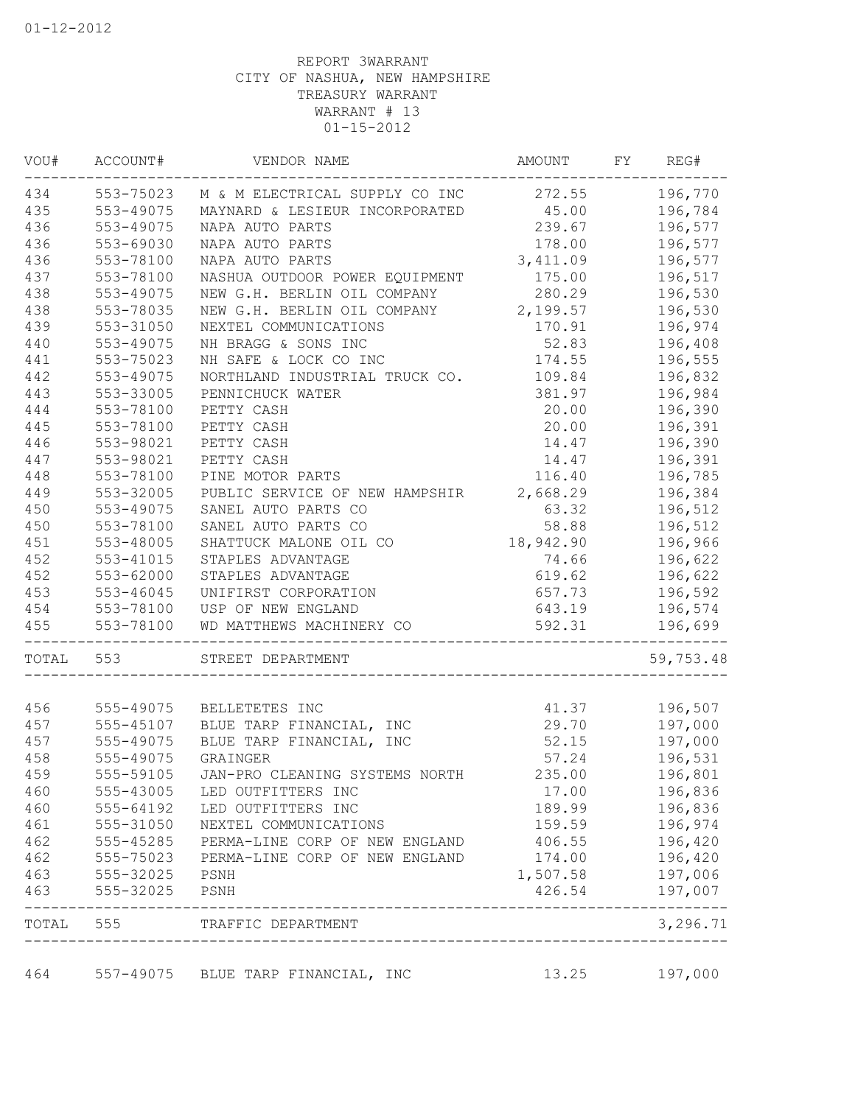| VOU#      | ACCOUNT#  | VENDOR NAME                    | AMOUNT    | FY | REG#      |
|-----------|-----------|--------------------------------|-----------|----|-----------|
| 434       | 553-75023 | M & M ELECTRICAL SUPPLY CO INC | 272.55    |    | 196,770   |
| 435       | 553-49075 | MAYNARD & LESIEUR INCORPORATED | 45.00     |    | 196,784   |
| 436       | 553-49075 | NAPA AUTO PARTS                | 239.67    |    | 196,577   |
| 436       | 553-69030 | NAPA AUTO PARTS                | 178.00    |    | 196,577   |
| 436       | 553-78100 | NAPA AUTO PARTS                | 3, 411.09 |    | 196,577   |
| 437       | 553-78100 | NASHUA OUTDOOR POWER EQUIPMENT | 175.00    |    | 196,517   |
| 438       | 553-49075 | NEW G.H. BERLIN OIL COMPANY    | 280.29    |    | 196,530   |
| 438       | 553-78035 | NEW G.H. BERLIN OIL COMPANY    | 2,199.57  |    | 196,530   |
| 439       | 553-31050 | NEXTEL COMMUNICATIONS          | 170.91    |    | 196,974   |
| 440       | 553-49075 | NH BRAGG & SONS INC            | 52.83     |    | 196,408   |
| 441       | 553-75023 | NH SAFE & LOCK CO INC          | 174.55    |    | 196,555   |
| 442       | 553-49075 | NORTHLAND INDUSTRIAL TRUCK CO. | 109.84    |    | 196,832   |
| 443       | 553-33005 | PENNICHUCK WATER               | 381.97    |    | 196,984   |
| 444       | 553-78100 | PETTY CASH                     | 20.00     |    | 196,390   |
| 445       | 553-78100 | PETTY CASH                     | 20.00     |    | 196,391   |
| 446       | 553-98021 | PETTY CASH                     | 14.47     |    | 196,390   |
| 447       | 553-98021 | PETTY CASH                     | 14.47     |    | 196,391   |
| 448       | 553-78100 | PINE MOTOR PARTS               | 116.40    |    | 196,785   |
| 449       | 553-32005 | PUBLIC SERVICE OF NEW HAMPSHIR | 2,668.29  |    | 196,384   |
| 450       | 553-49075 | SANEL AUTO PARTS CO            | 63.32     |    | 196,512   |
| 450       | 553-78100 | SANEL AUTO PARTS CO            | 58.88     |    | 196,512   |
| 451       | 553-48005 | SHATTUCK MALONE OIL CO         | 18,942.90 |    | 196,966   |
| 452       | 553-41015 | STAPLES ADVANTAGE              | 74.66     |    | 196,622   |
| 452       | 553-62000 | STAPLES ADVANTAGE              | 619.62    |    | 196,622   |
| 453       | 553-46045 | UNIFIRST CORPORATION           | 657.73    |    | 196,592   |
| 454       | 553-78100 | USP OF NEW ENGLAND             | 643.19    |    | 196,574   |
| 455       | 553-78100 | WD MATTHEWS MACHINERY CO       | 592.31    |    | 196,699   |
| TOTAL 553 |           | STREET DEPARTMENT              |           |    | 59,753.48 |
|           |           |                                |           |    |           |
| 456       | 555-49075 | BELLETETES INC                 | 41.37     |    | 196,507   |
| 457       | 555-45107 | BLUE TARP FINANCIAL, INC       | 29.70     |    | 197,000   |
| 457       | 555-49075 | BLUE TARP FINANCIAL, INC       | 52.15     |    | 197,000   |
| 458       | 555-49075 | GRAINGER                       | 57.24     |    | 196,531   |
| 459       | 555-59105 | JAN-PRO CLEANING SYSTEMS NORTH | 235.00    |    | 196,801   |
| 460       | 555-43005 | LED OUTFITTERS INC             | 17.00     |    | 196,836   |
| 460       | 555-64192 | LED OUTFITTERS INC             | 189.99    |    | 196,836   |
| 461       | 555-31050 | NEXTEL COMMUNICATIONS          | 159.59    |    | 196,974   |
| 462       | 555-45285 | PERMA-LINE CORP OF NEW ENGLAND | 406.55    |    | 196,420   |
| 462       | 555-75023 | PERMA-LINE CORP OF NEW ENGLAND | 174.00    |    | 196,420   |
| 463       | 555-32025 | PSNH                           | 1,507.58  |    | 197,006   |
| 463       | 555-32025 | PSNH                           | 426.54    |    | 197,007   |
| TOTAL 555 |           | TRAFFIC DEPARTMENT             |           |    | 3,296.71  |

464 557-49075 BLUE TARP FINANCIAL, INC 13.25 197,000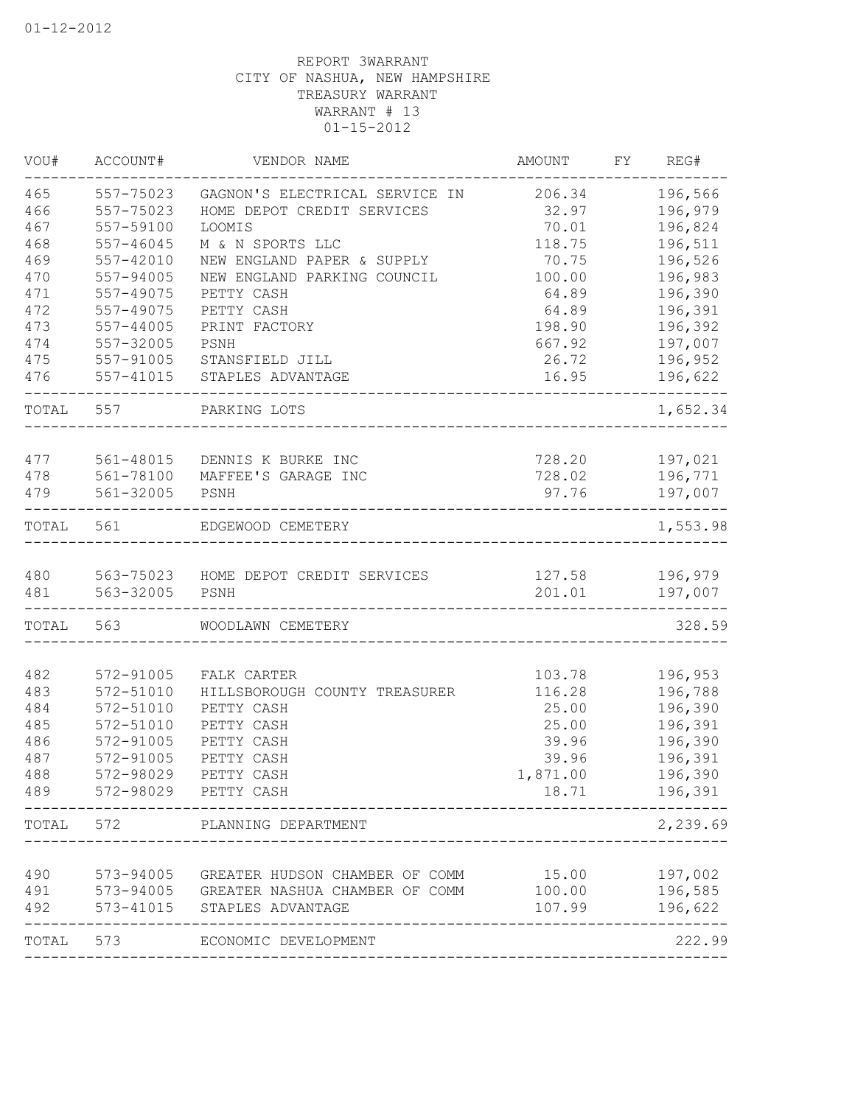| VOU#  | ACCOUNT#      | VENDOR NAME                              | AMOUNT           | FY | REG#     |
|-------|---------------|------------------------------------------|------------------|----|----------|
| 465   | 557-75023     | GAGNON'S ELECTRICAL SERVICE IN           | 206.34           |    | 196,566  |
| 466   | 557-75023     | HOME DEPOT CREDIT SERVICES               | 32.97            |    | 196,979  |
| 467   | 557-59100     | <b>LOOMIS</b>                            | 70.01            |    | 196,824  |
| 468   | $557 - 46045$ | M & N SPORTS LLC                         | 118.75           |    | 196,511  |
| 469   | 557-42010     | NEW ENGLAND PAPER & SUPPLY               | 70.75            |    | 196,526  |
| 470   | 557-94005     | NEW ENGLAND PARKING COUNCIL              | 100.00           |    | 196,983  |
| 471   | 557-49075     | PETTY CASH                               | 64.89            |    | 196,390  |
| 472   | 557-49075     | PETTY CASH                               | 64.89            |    | 196,391  |
| 473   | $557 - 44005$ | PRINT FACTORY                            | 198.90           |    | 196,392  |
| 474   | 557-32005     | PSNH                                     | 667.92           |    | 197,007  |
| 475   | 557-91005     | STANSFIELD JILL                          | 26.72            |    | 196,952  |
| 476   | 557-41015     | STAPLES ADVANTAGE                        | 16.95            |    | 196,622  |
| TOTAL | 557           | PARKING LOTS                             |                  |    | 1,652.34 |
| 477   | 561-48015     | DENNIS K BURKE INC                       | 728.20           |    | 197,021  |
| 478   | 561-78100     | MAFFEE'S GARAGE INC                      | 728.02           |    | 196,771  |
| 479   | 561-32005     | PSNH                                     | 97.76            |    | 197,007  |
|       |               |                                          |                  |    |          |
| TOTAL | 561           | EDGEWOOD CEMETERY                        |                  |    | 1,553.98 |
| 480   |               | 563-75023 HOME DEPOT CREDIT SERVICES     | 127.58           |    | 196,979  |
| 481   | 563-32005     | PSNH                                     | 201.01           |    | 197,007  |
|       |               |                                          |                  |    |          |
| TOTAL | 563           | WOODLAWN CEMETERY                        |                  |    | 328.59   |
| 482   | 572-91005     | FALK CARTER                              | 103.78           |    | 196,953  |
| 483   | 572-51010     | HILLSBOROUGH COUNTY TREASURER            | 116.28           |    | 196,788  |
| 484   | 572-51010     | PETTY CASH                               | 25.00            |    | 196,390  |
| 485   | 572-51010     | PETTY CASH                               | 25.00            |    | 196,391  |
| 486   | 572-91005     | PETTY CASH                               | 39.96            |    | 196,390  |
| 487   | 572-91005     | PETTY CASH                               | 39.96            |    | 196,391  |
| 488   | 572-98029     | PETTY CASH                               | 1,871.00         |    | 196,390  |
| 489   |               | 572-98029 PETTY CASH                     | 18.71            |    | 196,391  |
| TOTAL | 572           | PLANNING DEPARTMENT                      | ________________ |    | 2,239.69 |
|       |               |                                          |                  |    |          |
| 490   | 573-94005     | GREATER HUDSON CHAMBER OF COMM           | 15.00            |    | 197,002  |
| 491   |               | 573-94005 GREATER NASHUA CHAMBER OF COMM | 100.00           |    | 196,585  |
| 492   |               | 573-41015 STAPLES ADVANTAGE              | 107.99           |    | 196,622  |
| TOTAL | 573           | ECONOMIC DEVELOPMENT                     |                  |    | 222.99   |
|       |               |                                          |                  |    |          |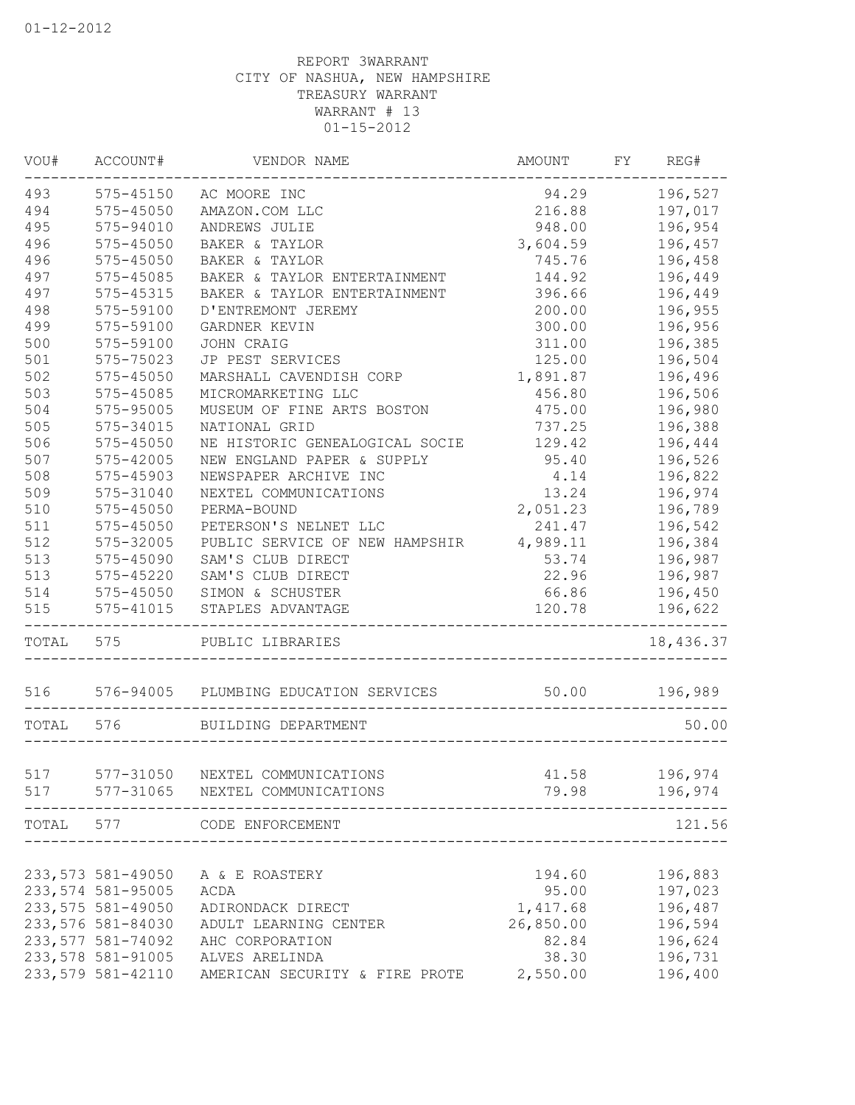| VOU#      | ACCOUNT#                                | VENDOR NAME                           | AMOUNT    | FY REG#   |
|-----------|-----------------------------------------|---------------------------------------|-----------|-----------|
| 493       | 575-45150                               | AC MOORE INC                          | 94.29     | 196,527   |
| 494       | $575 - 45050$                           | AMAZON.COM LLC                        | 216.88    | 197,017   |
| 495       | 575-94010                               | ANDREWS JULIE                         | 948.00    | 196,954   |
| 496       | 575-45050                               | BAKER & TAYLOR                        | 3,604.59  | 196,457   |
| 496       | 575-45050                               | BAKER & TAYLOR                        | 745.76    | 196,458   |
| 497       | 575-45085                               | BAKER & TAYLOR ENTERTAINMENT          | 144.92    | 196,449   |
| 497       | 575-45315                               | BAKER & TAYLOR ENTERTAINMENT          | 396.66    | 196,449   |
| 498       | 575-59100                               | D'ENTREMONT JEREMY                    | 200.00    | 196,955   |
| 499       | 575-59100                               | GARDNER KEVIN                         | 300.00    | 196,956   |
| 500       | 575-59100                               | JOHN CRAIG                            | 311.00    | 196,385   |
| 501       | 575-75023                               | JP PEST SERVICES                      | 125.00    | 196,504   |
| 502       | 575-45050                               | MARSHALL CAVENDISH CORP               | 1,891.87  | 196,496   |
| 503       | 575-45085                               | MICROMARKETING LLC                    | 456.80    | 196,506   |
| 504       | 575-95005                               | MUSEUM OF FINE ARTS BOSTON            | 475.00    | 196,980   |
| 505       | 575-34015                               | NATIONAL GRID                         | 737.25    | 196,388   |
| 506       | 575-45050                               | NE HISTORIC GENEALOGICAL SOCIE        | 129.42    | 196,444   |
| 507       | 575-42005                               | NEW ENGLAND PAPER & SUPPLY            | 95.40     | 196,526   |
| 508       | 575-45903                               | NEWSPAPER ARCHIVE INC                 | 4.14      | 196,822   |
| 509       | 575-31040                               | NEXTEL COMMUNICATIONS                 | 13.24     | 196,974   |
| 510       | 575-45050                               | PERMA-BOUND                           | 2,051.23  | 196,789   |
| 511       | 575-45050                               | PETERSON'S NELNET LLC                 | 241.47    | 196,542   |
| 512       | 575-32005                               | PUBLIC SERVICE OF NEW HAMPSHIR        | 4,989.11  | 196,384   |
| 513       | 575-45090                               | SAM'S CLUB DIRECT                     | 53.74     | 196,987   |
| 513       | 575-45220                               | SAM'S CLUB DIRECT                     | 22.96     | 196,987   |
| 514       | 575-45050                               | SIMON & SCHUSTER                      | 66.86     | 196,450   |
| 515       | 575-41015                               | STAPLES ADVANTAGE                     | 120.78    | 196,622   |
| TOTAL 575 |                                         | PUBLIC LIBRARIES                      |           | 18,436.37 |
| 516       |                                         | 576-94005 PLUMBING EDUCATION SERVICES | 50.00     | 196,989   |
| TOTAL     | 576                                     | BUILDING DEPARTMENT                   |           | 50.00     |
|           |                                         |                                       |           |           |
| 517       | 577-31050                               | NEXTEL COMMUNICATIONS                 | 41.58     | 196,974   |
| 517       | 577-31065                               | NEXTEL COMMUNICATIONS                 | 79.98     | 196,974   |
| TOTAL     | 577                                     | CODE ENFORCEMENT                      |           | 121.56    |
|           |                                         |                                       |           |           |
|           | 233, 573 581-49050                      | A & E ROASTERY                        | 194.60    | 196,883   |
|           | 233,574 581-95005<br>233, 575 581-49050 | ACDA                                  | 95.00     | 197,023   |
|           |                                         | ADIRONDACK DIRECT                     | 1,417.68  | 196,487   |
|           | 233,576 581-84030                       | ADULT LEARNING CENTER                 | 26,850.00 | 196,594   |
|           | 233, 577 581-74092                      | AHC CORPORATION                       | 82.84     | 196,624   |
|           | 233,578 581-91005                       | ALVES ARELINDA                        | 38.30     | 196,731   |
|           | 233,579 581-42110                       | AMERICAN SECURITY & FIRE PROTE        | 2,550.00  | 196,400   |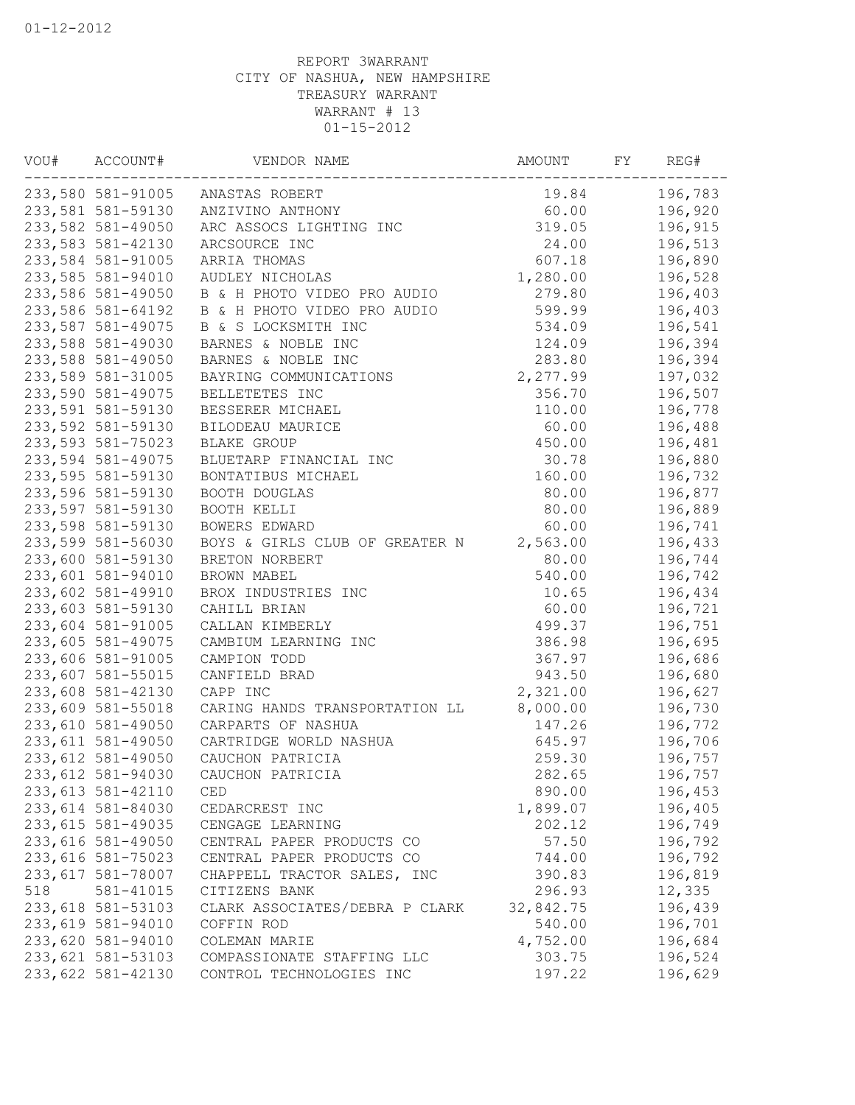| VOU# | ACCOUNT#           | VENDOR NAME                    | AMOUNT    | FY | REG#    |
|------|--------------------|--------------------------------|-----------|----|---------|
|      | 233,580 581-91005  | ANASTAS ROBERT                 | 19.84     |    | 196,783 |
|      | 233,581 581-59130  | ANZIVINO ANTHONY               | 60.00     |    | 196,920 |
|      | 233,582 581-49050  | ARC ASSOCS LIGHTING INC        | 319.05    |    | 196,915 |
|      | 233,583 581-42130  | ARCSOURCE INC                  | 24.00     |    | 196,513 |
|      | 233,584 581-91005  | ARRIA THOMAS                   | 607.18    |    | 196,890 |
|      | 233,585 581-94010  | AUDLEY NICHOLAS                | 1,280.00  |    | 196,528 |
|      | 233,586 581-49050  | B & H PHOTO VIDEO PRO AUDIO    | 279.80    |    | 196,403 |
|      | 233,586 581-64192  | B & H PHOTO VIDEO PRO AUDIO    | 599.99    |    | 196,403 |
|      | 233,587 581-49075  | B & S LOCKSMITH INC            | 534.09    |    | 196,541 |
|      | 233,588 581-49030  | BARNES & NOBLE INC             | 124.09    |    | 196,394 |
|      | 233,588 581-49050  | BARNES & NOBLE INC             | 283.80    |    | 196,394 |
|      | 233,589 581-31005  | BAYRING COMMUNICATIONS         | 2,277.99  |    | 197,032 |
|      | 233,590 581-49075  | BELLETETES INC                 | 356.70    |    | 196,507 |
|      | 233,591 581-59130  | BESSERER MICHAEL               | 110.00    |    | 196,778 |
|      | 233,592 581-59130  | BILODEAU MAURICE               | 60.00     |    | 196,488 |
|      | 233,593 581-75023  | <b>BLAKE GROUP</b>             | 450.00    |    | 196,481 |
|      | 233,594 581-49075  | BLUETARP FINANCIAL INC         | 30.78     |    | 196,880 |
|      | 233,595 581-59130  | BONTATIBUS MICHAEL             | 160.00    |    | 196,732 |
|      | 233,596 581-59130  | BOOTH DOUGLAS                  | 80.00     |    | 196,877 |
|      | 233,597 581-59130  | BOOTH KELLI                    | 80.00     |    | 196,889 |
|      | 233,598 581-59130  | BOWERS EDWARD                  | 60.00     |    | 196,741 |
|      | 233,599 581-56030  | BOYS & GIRLS CLUB OF GREATER N | 2,563.00  |    | 196,433 |
|      | 233,600 581-59130  | BRETON NORBERT                 | 80.00     |    | 196,744 |
|      | 233,601 581-94010  | BROWN MABEL                    | 540.00    |    | 196,742 |
|      | 233,602 581-49910  | BROX INDUSTRIES INC            | 10.65     |    | 196,434 |
|      | 233,603 581-59130  | CAHILL BRIAN                   | 60.00     |    | 196,721 |
|      | 233,604 581-91005  | CALLAN KIMBERLY                | 499.37    |    | 196,751 |
|      | 233,605 581-49075  | CAMBIUM LEARNING INC           | 386.98    |    | 196,695 |
|      | 233,606 581-91005  | CAMPION TODD                   | 367.97    |    | 196,686 |
|      | 233,607 581-55015  | CANFIELD BRAD                  | 943.50    |    | 196,680 |
|      | 233,608 581-42130  | CAPP INC                       | 2,321.00  |    | 196,627 |
|      | 233,609 581-55018  | CARING HANDS TRANSPORTATION LL | 8,000.00  |    | 196,730 |
|      | 233,610 581-49050  | CARPARTS OF NASHUA             | 147.26    |    | 196,772 |
|      | 233,611 581-49050  | CARTRIDGE WORLD NASHUA         | 645.97    |    | 196,706 |
|      | 233,612 581-49050  | CAUCHON PATRICIA               | 259.30    |    | 196,757 |
|      | 233,612 581-94030  | CAUCHON PATRICIA               | 282.65    |    | 196,757 |
|      | 233, 613 581-42110 | CED                            | 890.00    |    | 196,453 |
|      | 233,614 581-84030  | CEDARCREST INC                 | 1,899.07  |    | 196,405 |
|      | 233,615 581-49035  | CENGAGE LEARNING               | 202.12    |    | 196,749 |
|      | 233,616 581-49050  | CENTRAL PAPER PRODUCTS CO      | 57.50     |    | 196,792 |
|      | 233,616 581-75023  | CENTRAL PAPER PRODUCTS CO      | 744.00    |    | 196,792 |
|      | 233,617 581-78007  | CHAPPELL TRACTOR SALES, INC    | 390.83    |    | 196,819 |
| 518  | 581-41015          | CITIZENS BANK                  | 296.93    |    | 12,335  |
|      | 233,618 581-53103  | CLARK ASSOCIATES/DEBRA P CLARK | 32,842.75 |    | 196,439 |
|      | 233,619 581-94010  | COFFIN ROD                     | 540.00    |    | 196,701 |
|      | 233,620 581-94010  | COLEMAN MARIE                  | 4,752.00  |    | 196,684 |
|      | 233,621 581-53103  | COMPASSIONATE STAFFING LLC     | 303.75    |    | 196,524 |
|      | 233,622 581-42130  | CONTROL TECHNOLOGIES INC       | 197.22    |    | 196,629 |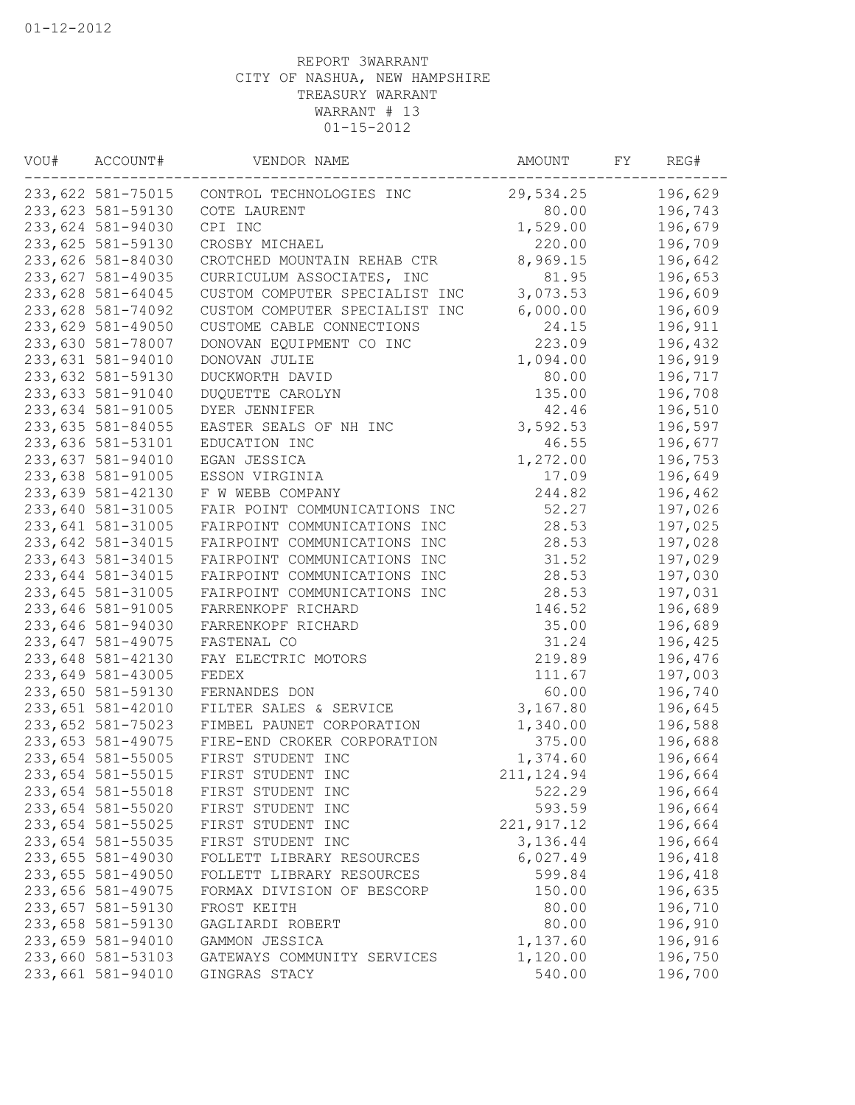| VOU# | ACCOUNT#          | VENDOR NAME                    | AMOUNT      | FY | REG#    |
|------|-------------------|--------------------------------|-------------|----|---------|
|      | 233,622 581-75015 | CONTROL TECHNOLOGIES INC       | 29,534.25   |    | 196,629 |
|      | 233,623 581-59130 | COTE LAURENT                   | 80.00       |    | 196,743 |
|      | 233,624 581-94030 | CPI INC                        | 1,529.00    |    | 196,679 |
|      | 233,625 581-59130 | CROSBY MICHAEL                 | 220.00      |    | 196,709 |
|      | 233,626 581-84030 | CROTCHED MOUNTAIN REHAB CTR    | 8,969.15    |    | 196,642 |
|      | 233,627 581-49035 | CURRICULUM ASSOCIATES, INC     | 81.95       |    | 196,653 |
|      | 233,628 581-64045 | CUSTOM COMPUTER SPECIALIST INC | 3,073.53    |    | 196,609 |
|      | 233,628 581-74092 | CUSTOM COMPUTER SPECIALIST INC | 6,000.00    |    | 196,609 |
|      | 233,629 581-49050 | CUSTOME CABLE CONNECTIONS      | 24.15       |    | 196,911 |
|      | 233,630 581-78007 | DONOVAN EQUIPMENT CO INC       | 223.09      |    | 196,432 |
|      | 233,631 581-94010 | DONOVAN JULIE                  | 1,094.00    |    | 196,919 |
|      | 233,632 581-59130 | DUCKWORTH DAVID                | 80.00       |    | 196,717 |
|      | 233,633 581-91040 | DUQUETTE CAROLYN               | 135.00      |    | 196,708 |
|      | 233,634 581-91005 | DYER JENNIFER                  | 42.46       |    | 196,510 |
|      | 233,635 581-84055 | EASTER SEALS OF NH INC         | 3,592.53    |    | 196,597 |
|      | 233,636 581-53101 | EDUCATION INC                  | 46.55       |    | 196,677 |
|      | 233,637 581-94010 | EGAN JESSICA                   | 1,272.00    |    | 196,753 |
|      | 233,638 581-91005 | ESSON VIRGINIA                 | 17.09       |    | 196,649 |
|      | 233,639 581-42130 | F W WEBB COMPANY               | 244.82      |    | 196,462 |
|      | 233,640 581-31005 | FAIR POINT COMMUNICATIONS INC  | 52.27       |    | 197,026 |
|      | 233,641 581-31005 | FAIRPOINT COMMUNICATIONS INC   | 28.53       |    | 197,025 |
|      | 233,642 581-34015 | FAIRPOINT COMMUNICATIONS INC   | 28.53       |    | 197,028 |
|      | 233,643 581-34015 | FAIRPOINT COMMUNICATIONS INC   | 31.52       |    | 197,029 |
|      | 233,644 581-34015 | FAIRPOINT COMMUNICATIONS INC   | 28.53       |    | 197,030 |
|      | 233,645 581-31005 | FAIRPOINT COMMUNICATIONS INC   | 28.53       |    | 197,031 |
|      | 233,646 581-91005 | FARRENKOPF RICHARD             | 146.52      |    | 196,689 |
|      | 233,646 581-94030 | FARRENKOPF RICHARD             | 35.00       |    | 196,689 |
|      | 233,647 581-49075 | FASTENAL CO                    | 31.24       |    | 196,425 |
|      | 233,648 581-42130 | FAY ELECTRIC MOTORS            | 219.89      |    | 196,476 |
|      | 233,649 581-43005 | FEDEX                          | 111.67      |    | 197,003 |
|      | 233,650 581-59130 | FERNANDES DON                  | 60.00       |    | 196,740 |
|      | 233,651 581-42010 | FILTER SALES & SERVICE         | 3,167.80    |    | 196,645 |
|      | 233,652 581-75023 | FIMBEL PAUNET CORPORATION      | 1,340.00    |    | 196,588 |
|      | 233,653 581-49075 | FIRE-END CROKER CORPORATION    | 375.00      |    | 196,688 |
|      | 233,654 581-55005 | FIRST STUDENT INC              | 1,374.60    |    | 196,664 |
|      | 233,654 581-55015 | FIRST STUDENT INC              | 211, 124.94 |    | 196,664 |
|      | 233,654 581-55018 | FIRST STUDENT INC              | 522.29      |    | 196,664 |
|      | 233,654 581-55020 | FIRST STUDENT INC              | 593.59      |    | 196,664 |
|      | 233,654 581-55025 | FIRST STUDENT INC              | 221, 917.12 |    | 196,664 |
|      | 233,654 581-55035 | FIRST STUDENT INC              | 3,136.44    |    | 196,664 |
|      | 233,655 581-49030 | FOLLETT LIBRARY RESOURCES      | 6,027.49    |    | 196,418 |
|      | 233,655 581-49050 | FOLLETT LIBRARY RESOURCES      | 599.84      |    | 196,418 |
|      | 233,656 581-49075 | FORMAX DIVISION OF BESCORP     | 150.00      |    | 196,635 |
|      | 233,657 581-59130 | FROST KEITH                    | 80.00       |    | 196,710 |
|      | 233,658 581-59130 | GAGLIARDI ROBERT               | 80.00       |    | 196,910 |
|      | 233,659 581-94010 | GAMMON JESSICA                 | 1,137.60    |    | 196,916 |
|      | 233,660 581-53103 | GATEWAYS COMMUNITY SERVICES    | 1,120.00    |    | 196,750 |
|      | 233,661 581-94010 | GINGRAS STACY                  | 540.00      |    | 196,700 |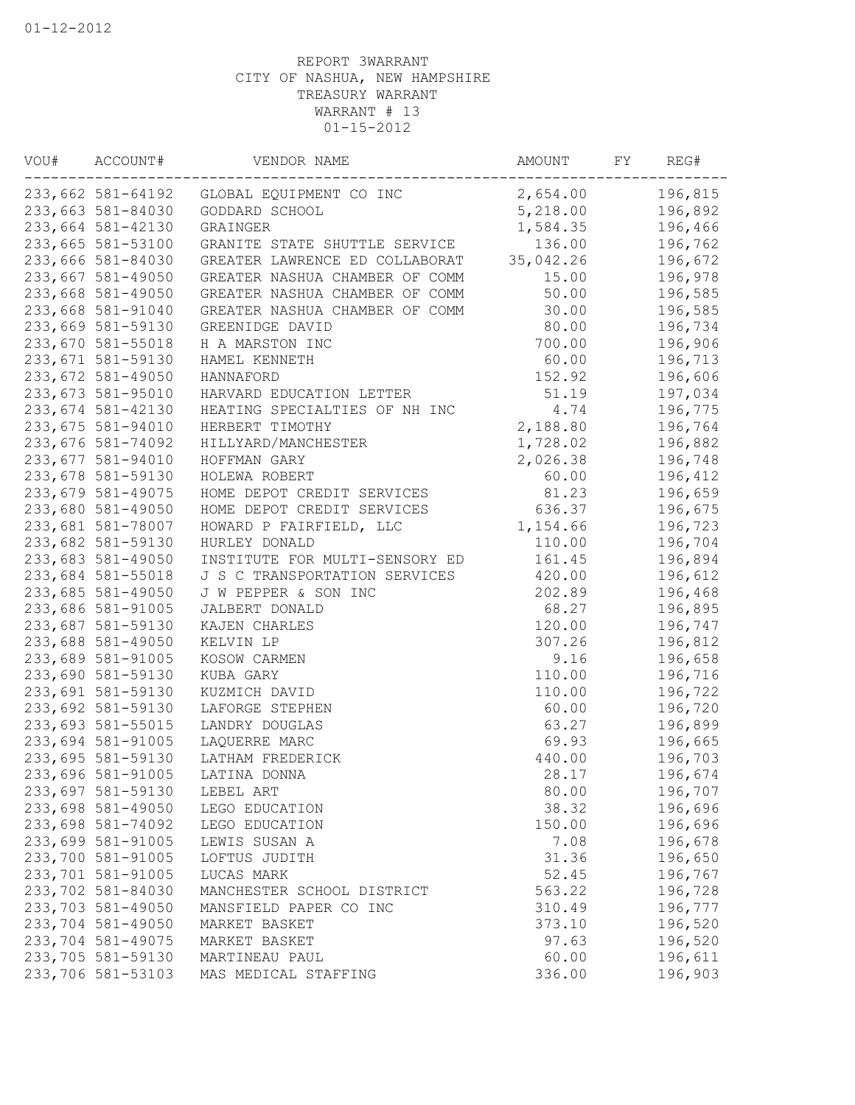| WOU# | ACCOUNT#<br>VENDOR NAME |                                | AMOUNT    | FY | REG#    |
|------|-------------------------|--------------------------------|-----------|----|---------|
|      | 233,662 581-64192       | GLOBAL EQUIPMENT CO INC        | 2,654.00  |    | 196,815 |
|      | 233,663 581-84030       | GODDARD SCHOOL                 | 5,218.00  |    | 196,892 |
|      | 233,664 581-42130       | GRAINGER                       | 1,584.35  |    | 196,466 |
|      | 233,665 581-53100       | GRANITE STATE SHUTTLE SERVICE  | 136.00    |    | 196,762 |
|      | 233,666 581-84030       | GREATER LAWRENCE ED COLLABORAT | 35,042.26 |    | 196,672 |
|      | 233,667 581-49050       | GREATER NASHUA CHAMBER OF COMM | 15.00     |    | 196,978 |
|      | 233,668 581-49050       | GREATER NASHUA CHAMBER OF COMM | 50.00     |    | 196,585 |
|      | 233,668 581-91040       | GREATER NASHUA CHAMBER OF COMM | 30.00     |    | 196,585 |
|      | 233,669 581-59130       | GREENIDGE DAVID                | 80.00     |    | 196,734 |
|      | 233,670 581-55018       | H A MARSTON INC                | 700.00    |    | 196,906 |
|      | 233,671 581-59130       | HAMEL KENNETH                  | 60.00     |    | 196,713 |
|      | 233,672 581-49050       | HANNAFORD                      | 152.92    |    | 196,606 |
|      | 233,673 581-95010       | HARVARD EDUCATION LETTER       | 51.19     |    | 197,034 |
|      | 233,674 581-42130       | HEATING SPECIALTIES OF NH INC  | 4.74      |    | 196,775 |
|      | 233,675 581-94010       | HERBERT TIMOTHY                | 2,188.80  |    | 196,764 |
|      | 233,676 581-74092       | HILLYARD/MANCHESTER            | 1,728.02  |    | 196,882 |
|      | 233,677 581-94010       | HOFFMAN GARY                   | 2,026.38  |    | 196,748 |
|      | 233,678 581-59130       | HOLEWA ROBERT                  | 60.00     |    | 196,412 |
|      | 233,679 581-49075       | HOME DEPOT CREDIT SERVICES     | 81.23     |    | 196,659 |
|      | 233,680 581-49050       | HOME DEPOT CREDIT SERVICES     | 636.37    |    | 196,675 |
|      | 233,681 581-78007       | HOWARD P FAIRFIELD, LLC        | 1,154.66  |    | 196,723 |
|      | 233,682 581-59130       | HURLEY DONALD                  | 110.00    |    | 196,704 |
|      | 233,683 581-49050       | INSTITUTE FOR MULTI-SENSORY ED | 161.45    |    | 196,894 |
|      | 233,684 581-55018       | J S C TRANSPORTATION SERVICES  | 420.00    |    | 196,612 |
|      | 233,685 581-49050       | J W PEPPER & SON INC           | 202.89    |    | 196,468 |
|      | 233,686 581-91005       | JALBERT DONALD                 | 68.27     |    | 196,895 |
|      | 233,687 581-59130       | KAJEN CHARLES                  | 120.00    |    | 196,747 |
|      | 233,688 581-49050       | KELVIN LP                      | 307.26    |    | 196,812 |
|      | 233,689 581-91005       | KOSOW CARMEN                   | 9.16      |    | 196,658 |
|      | 233,690 581-59130       | KUBA GARY                      | 110.00    |    | 196,716 |
|      | 233,691 581-59130       | KUZMICH DAVID                  | 110.00    |    | 196,722 |
|      | 233,692 581-59130       | LAFORGE STEPHEN                | 60.00     |    | 196,720 |
|      | 233,693 581-55015       | LANDRY DOUGLAS                 | 63.27     |    | 196,899 |
|      | 233,694 581-91005       | LAQUERRE MARC                  | 69.93     |    | 196,665 |
|      | 233,695 581-59130       | LATHAM FREDERICK               | 440.00    |    | 196,703 |
|      | 233,696 581-91005       | LATINA DONNA                   | 28.17     |    | 196,674 |
|      | 233,697 581-59130       | LEBEL ART                      | 80.00     |    | 196,707 |
|      | 233,698 581-49050       | LEGO EDUCATION                 | 38.32     |    | 196,696 |
|      | 233,698 581-74092       | LEGO EDUCATION                 | 150.00    |    | 196,696 |
|      | 233,699 581-91005       | LEWIS SUSAN A                  | 7.08      |    | 196,678 |
|      | 233,700 581-91005       | LOFTUS JUDITH                  | 31.36     |    | 196,650 |
|      | 233,701 581-91005       | LUCAS MARK                     | 52.45     |    | 196,767 |
|      | 233,702 581-84030       | MANCHESTER SCHOOL DISTRICT     | 563.22    |    | 196,728 |
|      | 233,703 581-49050       | MANSFIELD PAPER CO INC         | 310.49    |    | 196,777 |
|      | 233,704 581-49050       | MARKET BASKET                  | 373.10    |    | 196,520 |
|      | 233,704 581-49075       | MARKET BASKET                  | 97.63     |    | 196,520 |
|      | 233,705 581-59130       | MARTINEAU PAUL                 | 60.00     |    | 196,611 |
|      | 233,706 581-53103       | MAS MEDICAL STAFFING           | 336.00    |    | 196,903 |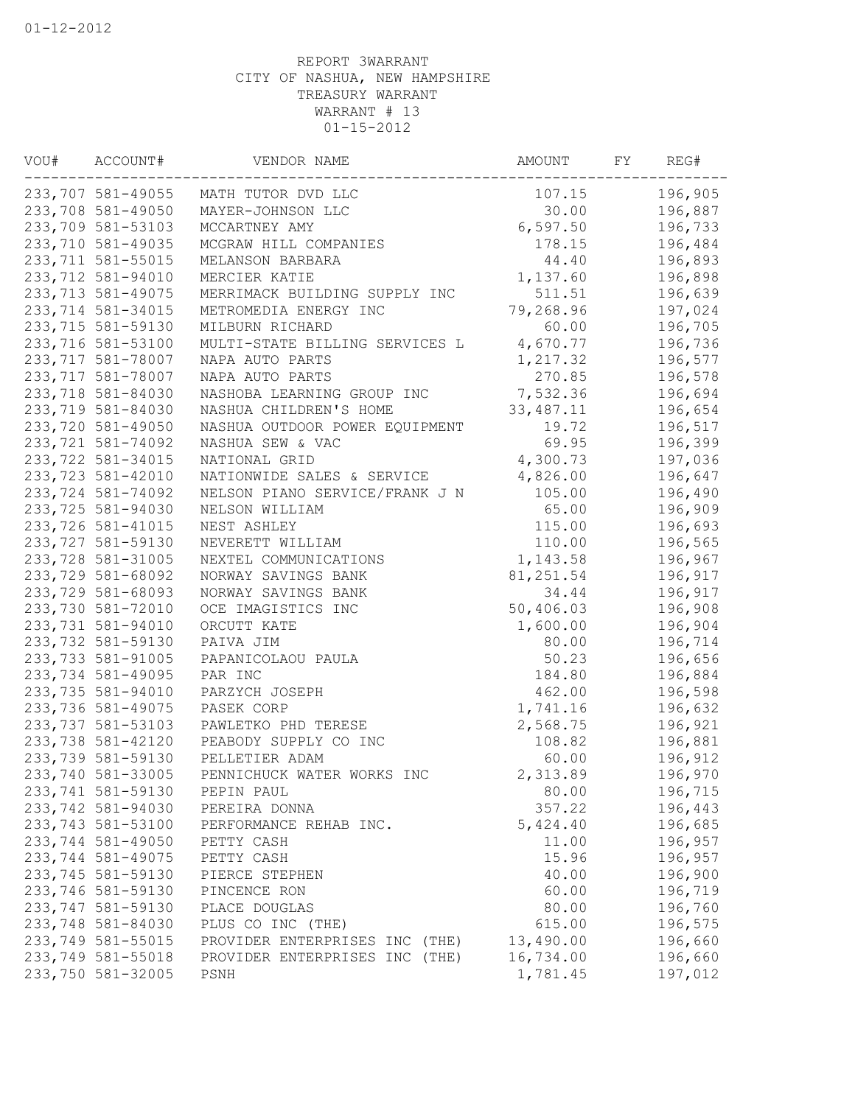| WOU# | ACCOUNT#           | VENDOR NAME                    | AMOUNT     | FY | REG#    |
|------|--------------------|--------------------------------|------------|----|---------|
|      | 233,707 581-49055  | MATH TUTOR DVD LLC             | 107.15     |    | 196,905 |
|      | 233,708 581-49050  | MAYER-JOHNSON LLC              | 30.00      |    | 196,887 |
|      | 233,709 581-53103  | MCCARTNEY AMY                  | 6,597.50   |    | 196,733 |
|      | 233,710 581-49035  | MCGRAW HILL COMPANIES          | 178.15     |    | 196,484 |
|      | 233,711 581-55015  | MELANSON BARBARA               | 44.40      |    | 196,893 |
|      | 233,712 581-94010  | MERCIER KATIE                  | 1,137.60   |    | 196,898 |
|      | 233, 713 581-49075 | MERRIMACK BUILDING SUPPLY INC  | 511.51     |    | 196,639 |
|      | 233,714 581-34015  | METROMEDIA ENERGY INC          | 79,268.96  |    | 197,024 |
|      | 233,715 581-59130  | MILBURN RICHARD                | 60.00      |    | 196,705 |
|      | 233,716 581-53100  | MULTI-STATE BILLING SERVICES L | 4,670.77   |    | 196,736 |
|      | 233,717 581-78007  | NAPA AUTO PARTS                | 1,217.32   |    | 196,577 |
|      | 233,717 581-78007  | NAPA AUTO PARTS                | 270.85     |    | 196,578 |
|      | 233,718 581-84030  | NASHOBA LEARNING GROUP INC     | 7,532.36   |    | 196,694 |
|      | 233,719 581-84030  | NASHUA CHILDREN'S HOME         | 33, 487.11 |    | 196,654 |
|      | 233,720 581-49050  | NASHUA OUTDOOR POWER EQUIPMENT | 19.72      |    | 196,517 |
|      | 233,721 581-74092  | NASHUA SEW & VAC               | 69.95      |    | 196,399 |
|      | 233,722 581-34015  | NATIONAL GRID                  | 4,300.73   |    | 197,036 |
|      | 233,723 581-42010  | NATIONWIDE SALES & SERVICE     | 4,826.00   |    | 196,647 |
|      | 233,724 581-74092  | NELSON PIANO SERVICE/FRANK J N | 105.00     |    | 196,490 |
|      | 233,725 581-94030  | NELSON WILLIAM                 | 65.00      |    | 196,909 |
|      | 233,726 581-41015  | NEST ASHLEY                    | 115.00     |    | 196,693 |
|      | 233,727 581-59130  | NEVERETT WILLIAM               | 110.00     |    | 196,565 |
|      | 233,728 581-31005  | NEXTEL COMMUNICATIONS          | 1,143.58   |    | 196,967 |
|      | 233,729 581-68092  | NORWAY SAVINGS BANK            | 81, 251.54 |    | 196,917 |
|      | 233,729 581-68093  | NORWAY SAVINGS BANK            | 34.44      |    | 196,917 |
|      | 233,730 581-72010  | OCE IMAGISTICS INC             | 50,406.03  |    | 196,908 |
|      | 233,731 581-94010  | ORCUTT KATE                    | 1,600.00   |    | 196,904 |
|      | 233,732 581-59130  | PAIVA JIM                      | 80.00      |    | 196,714 |
|      | 233,733 581-91005  | PAPANICOLAOU PAULA             | 50.23      |    | 196,656 |
|      | 233,734 581-49095  | PAR INC                        | 184.80     |    | 196,884 |
|      | 233,735 581-94010  | PARZYCH JOSEPH                 | 462.00     |    | 196,598 |
|      | 233,736 581-49075  | PASEK CORP                     | 1,741.16   |    | 196,632 |
|      | 233,737 581-53103  | PAWLETKO PHD TERESE            | 2,568.75   |    | 196,921 |
|      | 233,738 581-42120  | PEABODY SUPPLY CO INC          | 108.82     |    | 196,881 |
|      | 233,739 581-59130  | PELLETIER ADAM                 | 60.00      |    | 196,912 |
|      | 233,740 581-33005  | PENNICHUCK WATER WORKS INC     | 2,313.89   |    | 196,970 |
|      | 233,741 581-59130  | PEPIN PAUL                     | 80.00      |    | 196,715 |
|      | 233,742 581-94030  | PEREIRA DONNA                  | 357.22     |    | 196,443 |
|      | 233,743 581-53100  | PERFORMANCE REHAB INC.         | 5,424.40   |    | 196,685 |
|      | 233,744 581-49050  | PETTY CASH                     | 11.00      |    | 196,957 |
|      | 233,744 581-49075  | PETTY CASH                     | 15.96      |    | 196,957 |
|      | 233,745 581-59130  | PIERCE STEPHEN                 | 40.00      |    | 196,900 |
|      | 233,746 581-59130  | PINCENCE RON                   | 60.00      |    | 196,719 |
|      | 233,747 581-59130  | PLACE DOUGLAS                  | 80.00      |    | 196,760 |
|      | 233,748 581-84030  | PLUS CO INC (THE)              | 615.00     |    | 196,575 |
|      | 233,749 581-55015  | PROVIDER ENTERPRISES INC (THE) | 13,490.00  |    | 196,660 |
|      | 233,749 581-55018  | PROVIDER ENTERPRISES INC (THE) | 16,734.00  |    | 196,660 |
|      | 233,750 581-32005  | PSNH                           | 1,781.45   |    | 197,012 |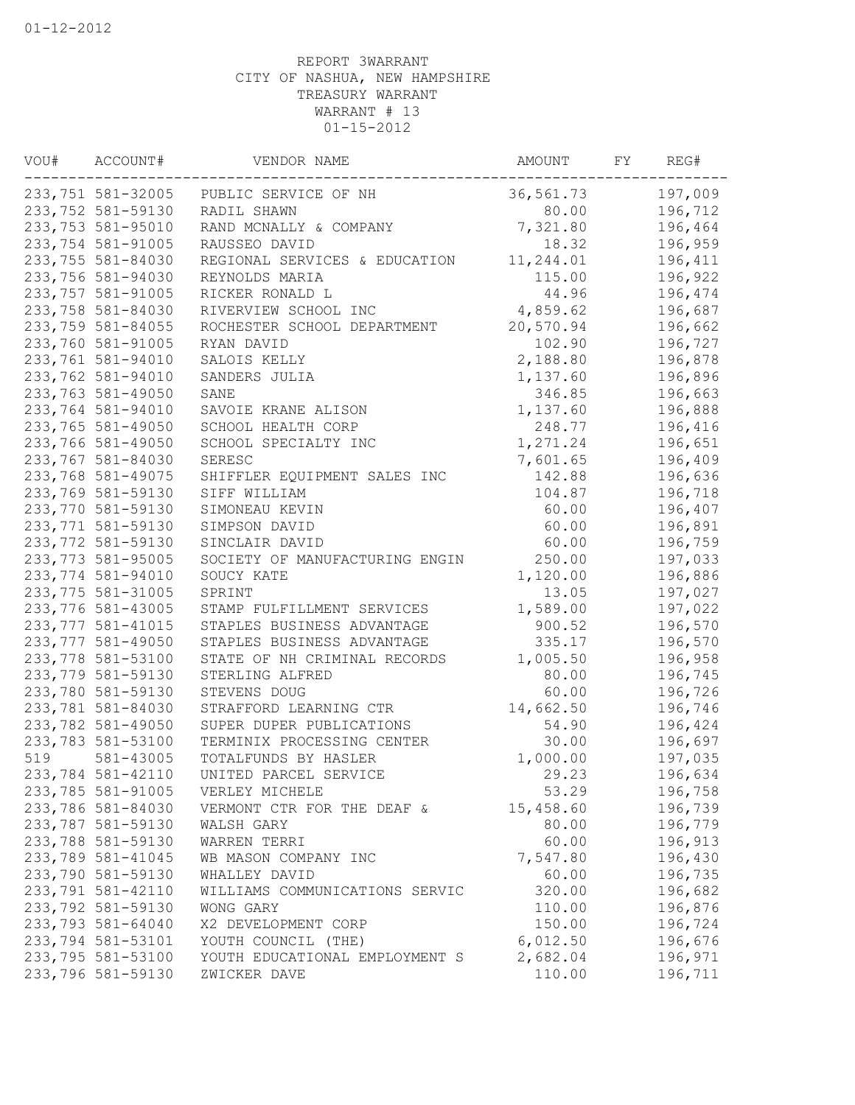| VOU#              | ACCOUNT#<br>VENDOR NAME |                                | AMOUNT    | FY | REG#    |
|-------------------|-------------------------|--------------------------------|-----------|----|---------|
| 233,751 581-32005 |                         | PUBLIC SERVICE OF NH           | 36,561.73 |    | 197,009 |
|                   | 233,752 581-59130       | RADIL SHAWN                    | 80.00     |    | 196,712 |
|                   | 233,753 581-95010       | RAND MCNALLY & COMPANY         | 7,321.80  |    | 196,464 |
|                   | 233,754 581-91005       | RAUSSEO DAVID                  | 18.32     |    | 196,959 |
|                   | 233,755 581-84030       | REGIONAL SERVICES & EDUCATION  | 11,244.01 |    | 196,411 |
|                   | 233,756 581-94030       | REYNOLDS MARIA                 | 115.00    |    | 196,922 |
|                   | 233,757 581-91005       | RICKER RONALD L                | 44.96     |    | 196,474 |
|                   | 233,758 581-84030       | RIVERVIEW SCHOOL INC           | 4,859.62  |    | 196,687 |
|                   | 233,759 581-84055       | ROCHESTER SCHOOL DEPARTMENT    | 20,570.94 |    | 196,662 |
|                   | 233,760 581-91005       | RYAN DAVID                     | 102.90    |    | 196,727 |
|                   | 233,761 581-94010       | SALOIS KELLY                   | 2,188.80  |    | 196,878 |
|                   | 233,762 581-94010       | SANDERS JULIA                  | 1,137.60  |    | 196,896 |
|                   | 233,763 581-49050       | SANE                           | 346.85    |    | 196,663 |
|                   | 233,764 581-94010       | SAVOIE KRANE ALISON            | 1,137.60  |    | 196,888 |
|                   | 233,765 581-49050       | SCHOOL HEALTH CORP             | 248.77    |    | 196,416 |
|                   | 233,766 581-49050       | SCHOOL SPECIALTY INC           | 1,271.24  |    | 196,651 |
|                   | 233,767 581-84030       | SERESC                         | 7,601.65  |    | 196,409 |
|                   | 233,768 581-49075       | SHIFFLER EQUIPMENT SALES INC   | 142.88    |    | 196,636 |
|                   | 233,769 581-59130       | SIFF WILLIAM                   | 104.87    |    | 196,718 |
|                   | 233,770 581-59130       | SIMONEAU KEVIN                 | 60.00     |    | 196,407 |
|                   | 233,771 581-59130       | SIMPSON DAVID                  | 60.00     |    | 196,891 |
|                   | 233,772 581-59130       | SINCLAIR DAVID                 | 60.00     |    | 196,759 |
|                   | 233,773 581-95005       | SOCIETY OF MANUFACTURING ENGIN | 250.00    |    | 197,033 |
|                   | 233,774 581-94010       | SOUCY KATE                     | 1,120.00  |    | 196,886 |
|                   | 233,775 581-31005       | SPRINT                         | 13.05     |    | 197,027 |
|                   | 233,776 581-43005       | STAMP FULFILLMENT SERVICES     | 1,589.00  |    | 197,022 |
|                   | 233,777 581-41015       | STAPLES BUSINESS ADVANTAGE     | 900.52    |    | 196,570 |
|                   | 233,777 581-49050       | STAPLES BUSINESS ADVANTAGE     | 335.17    |    | 196,570 |
|                   | 233,778 581-53100       | STATE OF NH CRIMINAL RECORDS   | 1,005.50  |    | 196,958 |
|                   | 233,779 581-59130       | STERLING ALFRED                | 80.00     |    | 196,745 |
|                   | 233,780 581-59130       | STEVENS DOUG                   | 60.00     |    | 196,726 |
|                   | 233,781 581-84030       | STRAFFORD LEARNING CTR         | 14,662.50 |    | 196,746 |
|                   | 233,782 581-49050       | SUPER DUPER PUBLICATIONS       | 54.90     |    | 196,424 |
|                   | 233,783 581-53100       | TERMINIX PROCESSING CENTER     | 30.00     |    | 196,697 |
| 519               | 581-43005               | TOTALFUNDS BY HASLER           | 1,000.00  |    | 197,035 |
|                   | 233,784 581-42110       | UNITED PARCEL SERVICE          | 29.23     |    | 196,634 |
|                   | 233,785 581-91005       | VERLEY MICHELE                 | 53.29     |    | 196,758 |
|                   | 233,786 581-84030       | VERMONT CTR FOR THE DEAF &     | 15,458.60 |    | 196,739 |
|                   | 233,787 581-59130       | WALSH GARY                     | 80.00     |    | 196,779 |
|                   | 233,788 581-59130       | WARREN TERRI                   | 60.00     |    | 196,913 |
|                   | 233,789 581-41045       | WB MASON COMPANY INC           | 7,547.80  |    | 196,430 |
|                   | 233,790 581-59130       | WHALLEY DAVID                  | 60.00     |    | 196,735 |
|                   | 233,791 581-42110       | WILLIAMS COMMUNICATIONS SERVIC | 320.00    |    | 196,682 |
|                   | 233,792 581-59130       | WONG GARY                      | 110.00    |    | 196,876 |
|                   | 233,793 581-64040       | X2 DEVELOPMENT CORP            | 150.00    |    | 196,724 |
|                   | 233,794 581-53101       | YOUTH COUNCIL (THE)            | 6,012.50  |    | 196,676 |
|                   | 233,795 581-53100       | YOUTH EDUCATIONAL EMPLOYMENT S | 2,682.04  |    | 196,971 |
|                   | 233,796 581-59130       | ZWICKER DAVE                   | 110.00    |    | 196,711 |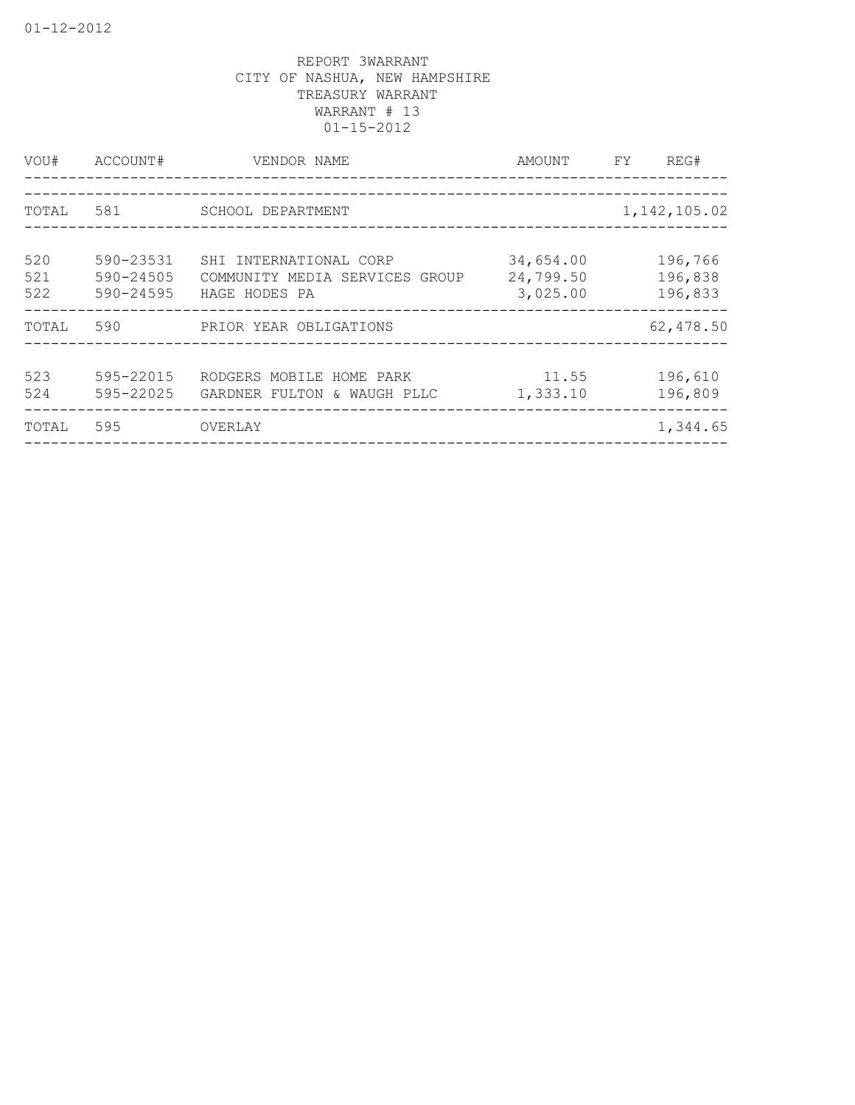| VOU#              | ACCOUNT#                            | VENDOR NAME<br>____________________                                       | AMOUNT                             | FY             | REG#                          |
|-------------------|-------------------------------------|---------------------------------------------------------------------------|------------------------------------|----------------|-------------------------------|
| TOTAL             | 581                                 | SCHOOL DEPARTMENT                                                         |                                    | 1, 142, 105.02 |                               |
| 520<br>521<br>522 | 590-23531<br>590-24505<br>590-24595 | SHI INTERNATIONAL CORP<br>COMMUNITY MEDIA SERVICES GROUP<br>HAGE HODES PA | 34,654.00<br>24,799.50<br>3,025.00 |                | 196,766<br>196,838<br>196,833 |
| TOTAL             | 590                                 | PRIOR YEAR OBLIGATIONS                                                    |                                    |                | 62,478.50                     |
| 523<br>524        | 595-22015<br>595-22025              | RODGERS MOBILE HOME PARK<br>GARDNER FULTON & WAUGH PLLC                   | 11.55<br>1,333.10                  |                | 196,610<br>196,809            |
| TOTAL             | 595                                 | OVERLAY                                                                   |                                    |                | 1,344.65                      |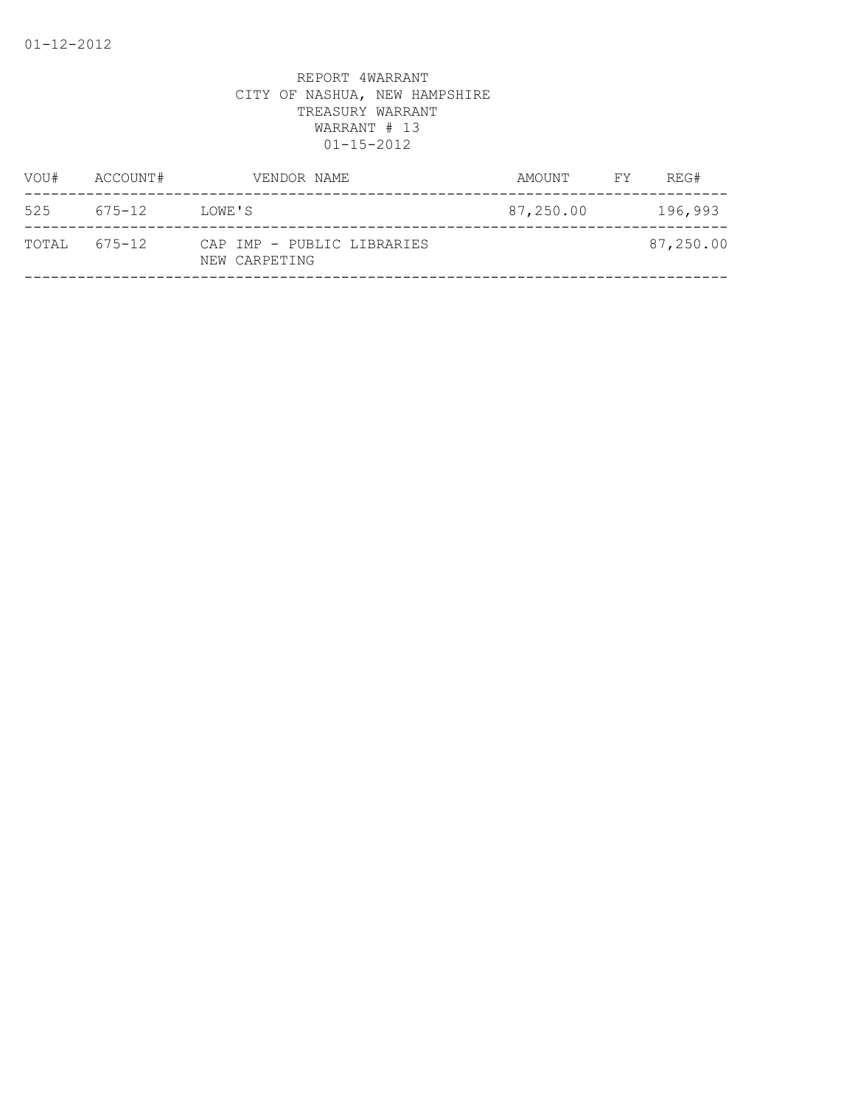| AMOUNT    | FY . | REG#      |
|-----------|------|-----------|
| 87,250.00 |      | 196,993   |
|           |      | 87,250.00 |
|           |      |           |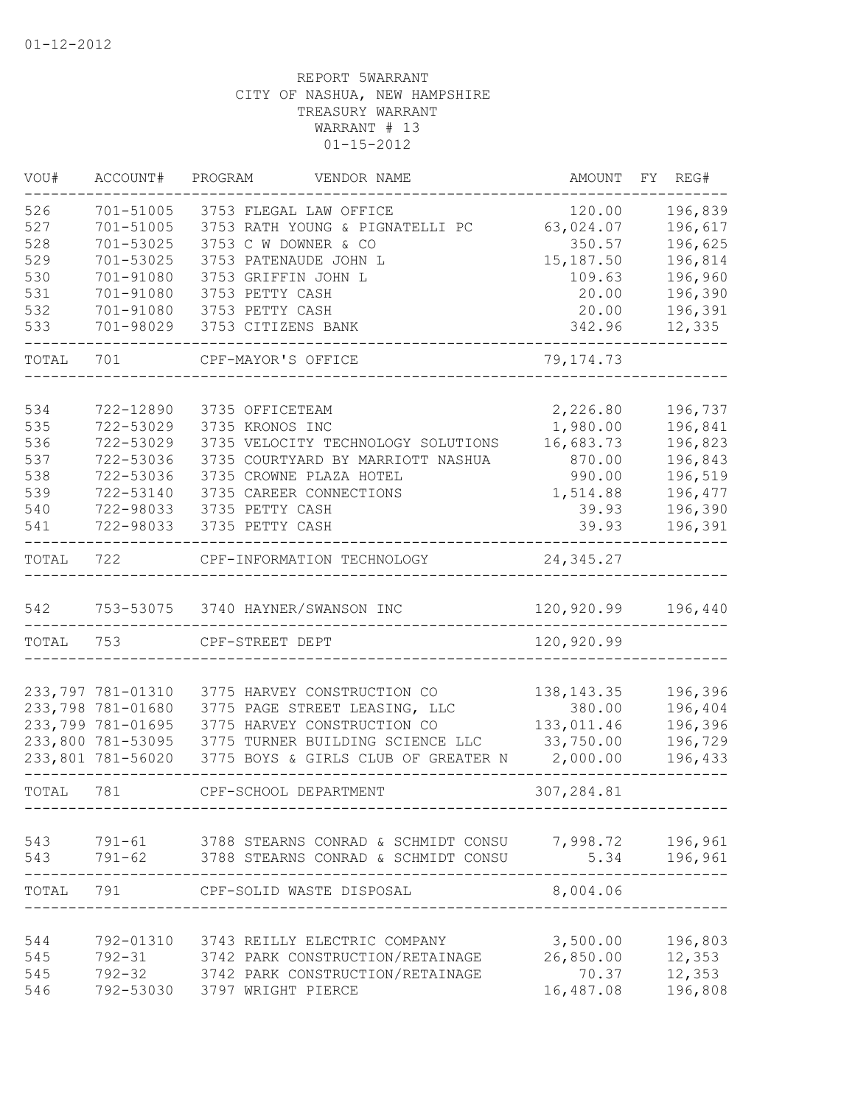| VOU#      | ACCOUNT#          | PROGRAM<br>VENDOR NAME                                      | AMOUNT       | FY<br>REG# |
|-----------|-------------------|-------------------------------------------------------------|--------------|------------|
| 526       | 701-51005         | 3753 FLEGAL LAW OFFICE                                      | 120.00       | 196,839    |
| 527       | 701-51005         | 3753 RATH YOUNG & PIGNATELLI PC                             | 63,024.07    | 196,617    |
| 528       | 701-53025         | 3753 C W DOWNER & CO                                        | 350.57       | 196,625    |
| 529       | 701-53025         | 3753 PATENAUDE JOHN L                                       | 15,187.50    | 196,814    |
| 530       | 701-91080         | 3753 GRIFFIN JOHN L                                         | 109.63       | 196,960    |
| 531       | 701-91080         | 3753 PETTY CASH                                             | 20.00        | 196,390    |
| 532       | 701-91080         | 3753 PETTY CASH                                             | 20.00        | 196,391    |
| 533       | 701-98029         | 3753 CITIZENS BANK                                          | 342.96       | 12,335     |
| TOTAL     | 701               | CPF-MAYOR'S OFFICE                                          | 79, 174. 73  |            |
|           |                   |                                                             |              |            |
| 534       | 722-12890         | 3735 OFFICETEAM                                             | 2,226.80     | 196,737    |
| 535       | 722-53029         | 3735 KRONOS INC                                             | 1,980.00     | 196,841    |
| 536       | 722-53029         | 3735 VELOCITY TECHNOLOGY SOLUTIONS                          | 16,683.73    | 196,823    |
| 537       | 722-53036         | 3735 COURTYARD BY MARRIOTT NASHUA                           | 870.00       | 196,843    |
| 538       | 722-53036         | 3735 CROWNE PLAZA HOTEL                                     | 990.00       | 196,519    |
| 539       | 722-53140         | 3735 CAREER CONNECTIONS                                     | 1,514.88     | 196,477    |
| 540       | 722-98033         | 3735 PETTY CASH                                             | 39.93        | 196,390    |
| 541       | 722-98033         | 3735 PETTY CASH                                             | 39.93        | 196,391    |
| TOTAL     | 722               | CPF-INFORMATION TECHNOLOGY                                  | 24,345.27    |            |
| 542       |                   | 753-53075 3740 HAYNER/SWANSON INC                           | 120,920.99   | 196,440    |
| TOTAL     | 753               | CPF-STREET DEPT                                             | 120,920.99   |            |
|           |                   |                                                             |              |            |
|           | 233,797 781-01310 | 3775 HARVEY CONSTRUCTION CO                                 | 138, 143. 35 | 196,396    |
|           | 233,798 781-01680 | 3775 PAGE STREET LEASING, LLC                               | 380.00       | 196,404    |
|           | 233,799 781-01695 | 3775 HARVEY CONSTRUCTION CO                                 | 133,011.46   | 196,396    |
|           | 233,800 781-53095 | 3775 TURNER BUILDING SCIENCE LLC                            | 33,750.00    | 196,729    |
|           | 233,801 781-56020 | 3775 BOYS & GIRLS CLUB OF GREATER N                         | 2,000.00     | 196,433    |
| TOTAL     | 781               | CPF-SCHOOL DEPARTMENT                                       | 307,284.81   |            |
| 543       |                   | 791-61 3788 STEARNS CONRAD & SCHMIDT CONSU 7,998.72 196,961 |              |            |
| 543       |                   | 791-62 3788 STEARNS CONRAD & SCHMIDT CONSU                  | 5.34         | 196,961    |
| TOTAL 791 |                   | CPF-SOLID WASTE DISPOSAL                                    | 8,004.06     | --------   |
|           |                   |                                                             |              |            |
| 544       |                   | 792-01310 3743 REILLY ELECTRIC COMPANY                      | 3,500.00     | 196,803    |
| 545       | 792-31            | 3742 PARK CONSTRUCTION/RETAINAGE                            | 26,850.00    | 12,353     |
| 545       |                   | 792-32 3742 PARK CONSTRUCTION/RETAINAGE                     | 70.37        | 12,353     |
| 546       |                   | 792-53030 3797 WRIGHT PIERCE                                | 16,487.08    | 196,808    |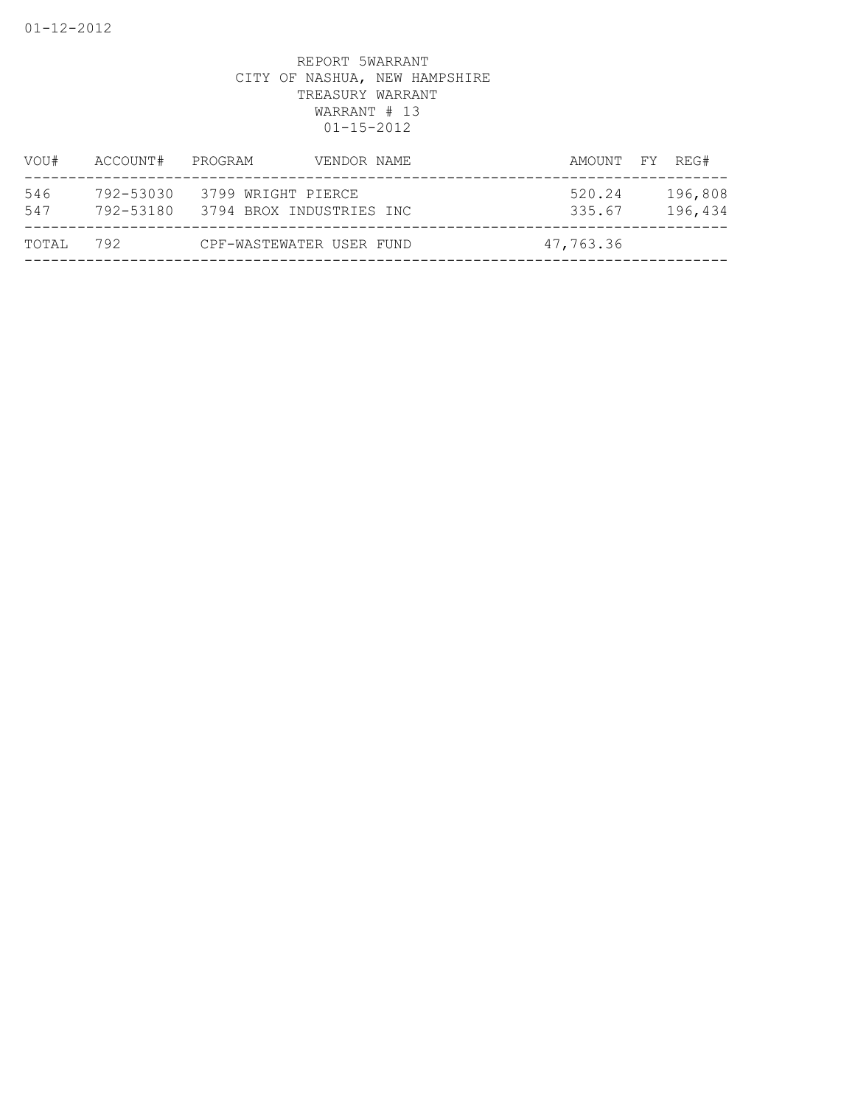| VOU#       | ACCOUNT#               | PROGRAM                                        | VENDOR NAME | AMOUNT FY REG#   |                    |
|------------|------------------------|------------------------------------------------|-------------|------------------|--------------------|
| 546<br>547 | 792-53030<br>792-53180 | 3799 WRIGHT PIERCE<br>3794 BROX INDUSTRIES INC |             | 520.24<br>335.67 | 196,808<br>196,434 |
| TOTAL      | 792                    | CPF-WASTEWATER USER FUND                       |             | 47,763.36        |                    |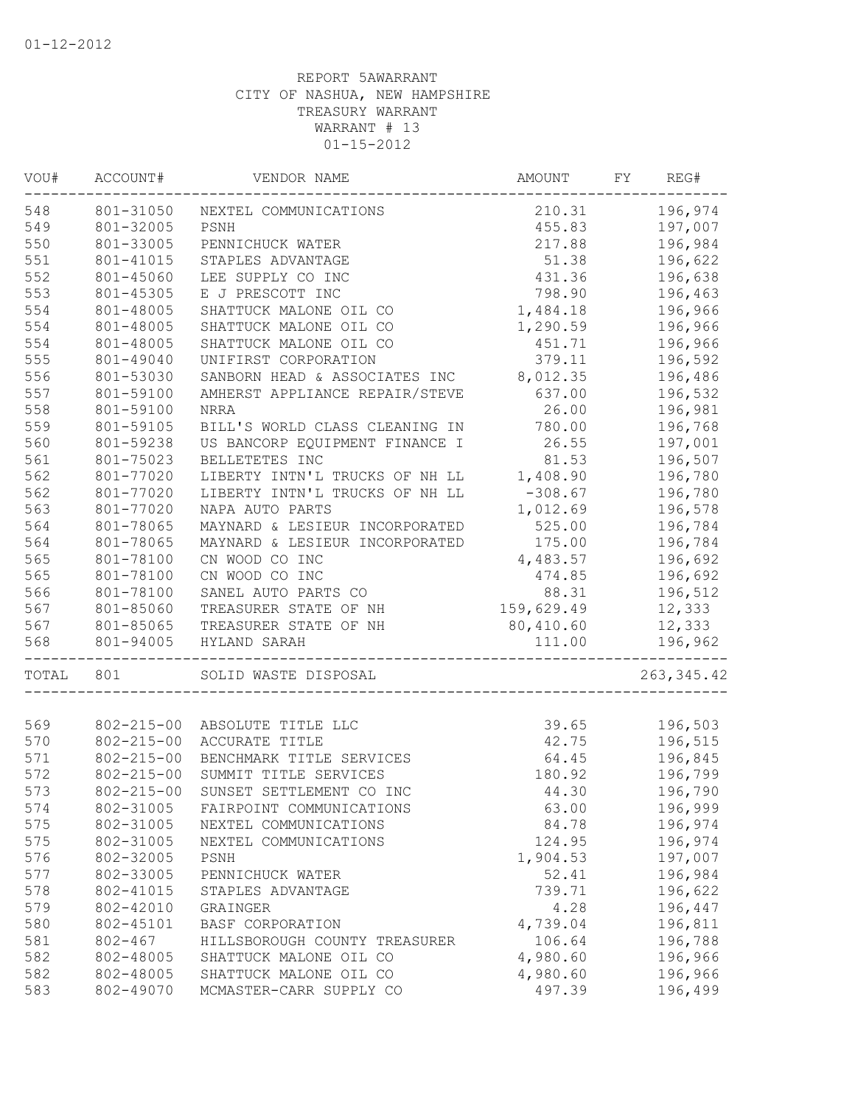| VOU#             | ACCOUNT#               | VENDOR NAME                                             | AMOUNT               | FY | REG#               |
|------------------|------------------------|---------------------------------------------------------|----------------------|----|--------------------|
| 548<br>801-31050 |                        | NEXTEL COMMUNICATIONS                                   | 210.31               |    | 196,974            |
| 549              | 801-32005              | 455.83<br>PSNH                                          |                      |    | 197,007            |
| 550              | 801-33005              | PENNICHUCK WATER                                        | 217.88               |    | 196,984            |
| 551              | 801-41015              | STAPLES ADVANTAGE                                       | 51.38                |    | 196,622            |
| 552              | 801-45060              | LEE SUPPLY CO INC                                       | 431.36               |    | 196,638            |
| 553              | 801-45305              | E J PRESCOTT INC                                        | 798.90               |    | 196,463            |
| 554              | 801-48005              | SHATTUCK MALONE OIL CO                                  | 1,484.18             |    | 196,966            |
| 554              | 801-48005              | SHATTUCK MALONE OIL CO                                  | 1,290.59             |    | 196,966            |
| 554              | 801-48005              | SHATTUCK MALONE OIL CO                                  | 451.71               |    | 196,966            |
| 555              | 801-49040              | UNIFIRST CORPORATION                                    | 379.11               |    | 196,592            |
| 556              | 801-53030              | SANBORN HEAD & ASSOCIATES INC                           | 8,012.35             |    | 196,486            |
| 557              | 801-59100              | AMHERST APPLIANCE REPAIR/STEVE                          | 637.00               |    | 196,532            |
| 558              | 801-59100              | <b>NRRA</b>                                             | 26.00                |    | 196,981            |
| 559              | 801-59105              | BILL'S WORLD CLASS CLEANING IN                          | 780.00               |    | 196,768            |
| 560              | 801-59238              | US BANCORP EQUIPMENT FINANCE I                          | 26.55                |    | 197,001            |
| 561              | 801-75023              | BELLETETES INC                                          | 81.53                |    | 196,507            |
| 562              | 801-77020              | LIBERTY INTN'L TRUCKS OF NH LL                          | 1,408.90             |    | 196,780            |
| 562              | 801-77020              | LIBERTY INTN'L TRUCKS OF NH LL                          | $-308.67$            |    | 196,780            |
| 563              | 801-77020              | NAPA AUTO PARTS                                         | 1,012.69             |    | 196,578            |
| 564              | 801-78065              | MAYNARD & LESIEUR INCORPORATED                          | 525.00               |    | 196,784            |
| 564              | 801-78065              | MAYNARD & LESIEUR INCORPORATED                          | 175.00               |    | 196,784            |
| 565              | 801-78100              | CN WOOD CO INC                                          | 4,483.57             |    | 196,692            |
| 565              | 801-78100              | CN WOOD CO INC                                          | 474.85               |    | 196,692            |
| 566              | 801-78100              | SANEL AUTO PARTS CO                                     | 88.31                |    | 196,512            |
| 567              | 801-85060              | TREASURER STATE OF NH                                   | 159,629.49           |    | 12,333             |
| 567              | 801-85065              | TREASURER STATE OF NH                                   | 80,410.60            |    | 12,333             |
| 568              | 801-94005              | HYLAND SARAH                                            | 111.00               |    | 196,962            |
| TOTAL            | 801                    | SOLID WASTE DISPOSAL                                    |                      |    | 263, 345.42        |
| 569              | $802 - 215 - 00$       | ABSOLUTE TITLE LLC                                      | 39.65                |    | 196,503            |
| 570              | $802 - 215 - 00$       | ACCURATE TITLE                                          | 42.75                |    | 196,515            |
| 571              | $802 - 215 - 00$       | BENCHMARK TITLE SERVICES                                | 64.45                |    | 196,845            |
| 572              | $802 - 215 - 00$       | SUMMIT TITLE SERVICES                                   | 180.92               |    | 196,799            |
| 573              | $802 - 215 - 00$       | SUNSET SETTLEMENT CO INC                                | 44.30                |    | 196,790            |
| 574              | 802-31005              | FAIRPOINT COMMUNICATIONS                                | 63.00                |    | 196,999            |
| 575              | 802-31005              | NEXTEL COMMUNICATIONS                                   | 84.78                |    | 196,974            |
| 575              | 802-31005              | NEXTEL COMMUNICATIONS                                   | 124.95               |    | 196,974            |
| 576              | 802-32005              | PSNH                                                    | 1,904.53             |    | 197,007            |
| 577              | 802-33005              |                                                         | 52.41                |    | 196,984            |
| 578              | 802-41015              | PENNICHUCK WATER                                        | 739.71               |    | 196,622            |
| 579              | 802-42010              | STAPLES ADVANTAGE                                       | 4.28                 |    | 196,447            |
| 580              | 802-45101              | GRAINGER                                                |                      |    |                    |
| 581              | $802 - 467$            | BASF CORPORATION                                        | 4,739.04<br>106.64   |    | 196,811            |
|                  |                        | HILLSBOROUGH COUNTY TREASURER<br>SHATTUCK MALONE OIL CO |                      |    | 196,788            |
| 582<br>582       | 802-48005<br>802-48005 | SHATTUCK MALONE OIL CO                                  | 4,980.60<br>4,980.60 |    | 196,966            |
| 583              | 802-49070              | MCMASTER-CARR SUPPLY CO                                 | 497.39               |    | 196,966<br>196,499 |
|                  |                        |                                                         |                      |    |                    |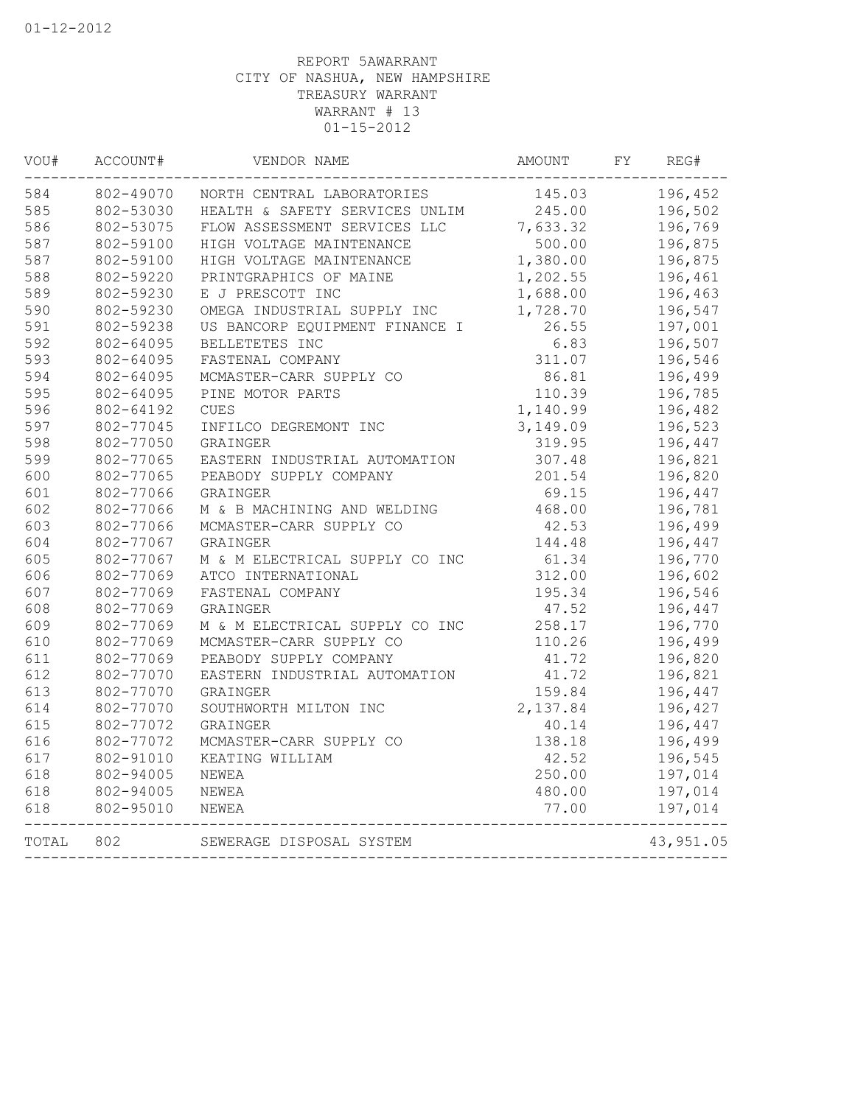| VOU#  | ACCOUNT#  | VENDOR NAME                    | AMOUNT   | FY | REG#      |
|-------|-----------|--------------------------------|----------|----|-----------|
| 584   | 802-49070 | NORTH CENTRAL LABORATORIES     | 145.03   |    | 196,452   |
| 585   | 802-53030 | HEALTH & SAFETY SERVICES UNLIM | 245.00   |    | 196,502   |
| 586   | 802-53075 | FLOW ASSESSMENT SERVICES LLC   | 7,633.32 |    | 196,769   |
| 587   | 802-59100 | HIGH VOLTAGE MAINTENANCE       | 500.00   |    | 196,875   |
| 587   | 802-59100 | HIGH VOLTAGE MAINTENANCE       | 1,380.00 |    | 196,875   |
| 588   | 802-59220 | PRINTGRAPHICS OF MAINE         | 1,202.55 |    | 196,461   |
| 589   | 802-59230 | E J PRESCOTT INC               | 1,688.00 |    | 196,463   |
| 590   | 802-59230 | OMEGA INDUSTRIAL SUPPLY INC    | 1,728.70 |    | 196,547   |
| 591   | 802-59238 | US BANCORP EQUIPMENT FINANCE I | 26.55    |    | 197,001   |
| 592   | 802-64095 | BELLETETES INC                 | 6.83     |    | 196,507   |
| 593   | 802-64095 | FASTENAL COMPANY               | 311.07   |    | 196,546   |
| 594   | 802-64095 | MCMASTER-CARR SUPPLY CO        | 86.81    |    | 196,499   |
| 595   | 802-64095 | PINE MOTOR PARTS               | 110.39   |    | 196,785   |
| 596   | 802-64192 | <b>CUES</b>                    | 1,140.99 |    | 196,482   |
| 597   | 802-77045 | INFILCO DEGREMONT INC          | 3,149.09 |    | 196,523   |
| 598   | 802-77050 | GRAINGER                       | 319.95   |    | 196,447   |
| 599   | 802-77065 | EASTERN INDUSTRIAL AUTOMATION  | 307.48   |    | 196,821   |
| 600   | 802-77065 | PEABODY SUPPLY COMPANY         | 201.54   |    | 196,820   |
| 601   | 802-77066 | GRAINGER                       | 69.15    |    | 196,447   |
| 602   | 802-77066 | M & B MACHINING AND WELDING    | 468.00   |    | 196,781   |
| 603   | 802-77066 | MCMASTER-CARR SUPPLY CO        | 42.53    |    | 196,499   |
| 604   | 802-77067 | GRAINGER                       | 144.48   |    | 196,447   |
| 605   | 802-77067 | M & M ELECTRICAL SUPPLY CO INC | 61.34    |    | 196,770   |
| 606   | 802-77069 | ATCO INTERNATIONAL             | 312.00   |    | 196,602   |
| 607   | 802-77069 | FASTENAL COMPANY               | 195.34   |    | 196,546   |
| 608   | 802-77069 | GRAINGER                       | 47.52    |    | 196,447   |
| 609   | 802-77069 | M & M ELECTRICAL SUPPLY CO INC | 258.17   |    | 196,770   |
| 610   | 802-77069 | MCMASTER-CARR SUPPLY CO        | 110.26   |    | 196,499   |
| 611   | 802-77069 | PEABODY SUPPLY COMPANY         | 41.72    |    | 196,820   |
| 612   | 802-77070 | EASTERN INDUSTRIAL AUTOMATION  | 41.72    |    | 196,821   |
| 613   | 802-77070 | GRAINGER                       | 159.84   |    | 196,447   |
| 614   | 802-77070 | SOUTHWORTH MILTON INC          | 2,137.84 |    | 196,427   |
| 615   | 802-77072 | GRAINGER                       | 40.14    |    | 196,447   |
| 616   | 802-77072 | MCMASTER-CARR SUPPLY CO        | 138.18   |    | 196,499   |
| 617   | 802-91010 | KEATING WILLIAM                | 42.52    |    | 196,545   |
| 618   | 802-94005 | NEWEA                          | 250.00   |    | 197,014   |
| 618   | 802-94005 | NEWEA                          | 480.00   |    | 197,014   |
| 618   | 802-95010 | NEWEA                          | 77.00    |    | 197,014   |
| TOTAL | 802       | SEWERAGE DISPOSAL SYSTEM       |          |    | 43,951.05 |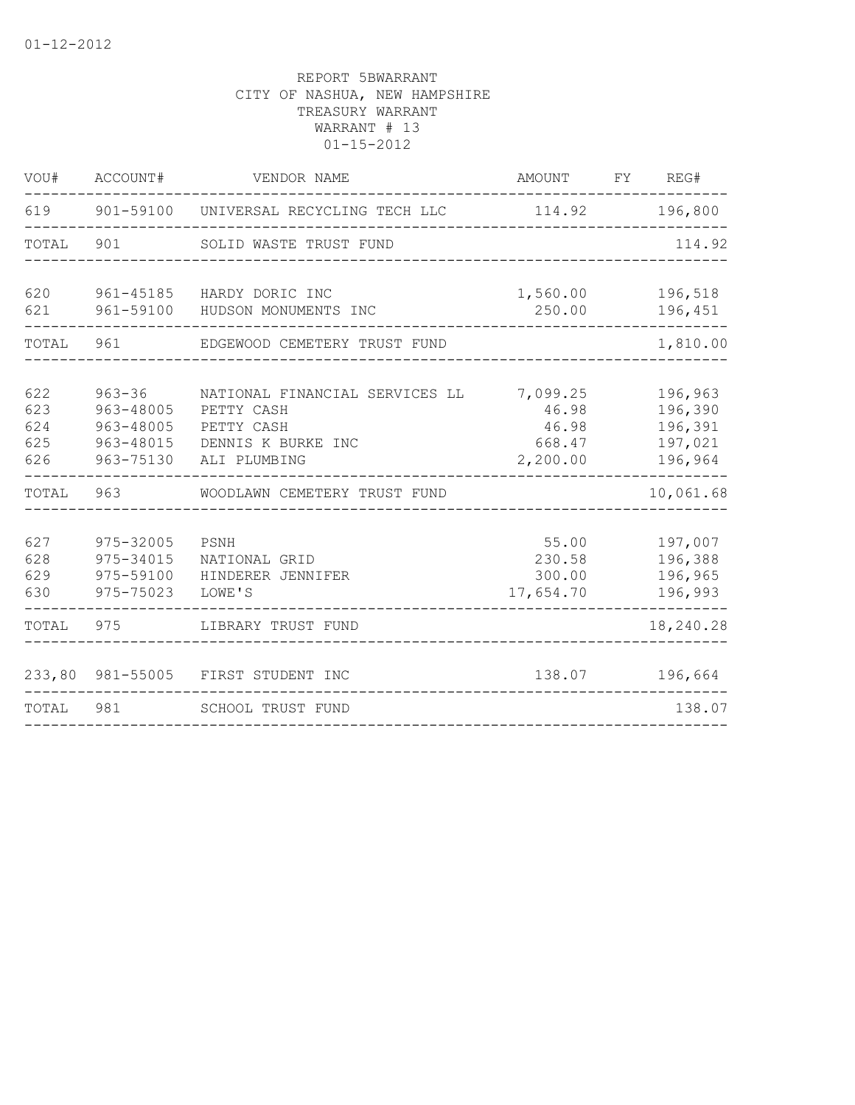| VOU#                            | ACCOUNT#                                                       | VENDOR NAME                                                                                                                                          | AMOUNT                                 | FY                 | REG#                                                |  |
|---------------------------------|----------------------------------------------------------------|------------------------------------------------------------------------------------------------------------------------------------------------------|----------------------------------------|--------------------|-----------------------------------------------------|--|
| 619                             | 901-59100                                                      | UNIVERSAL RECYCLING TECH LLC                                                                                                                         | 114.92                                 | 196,800            |                                                     |  |
| TOTAL                           | 901                                                            | SOLID WASTE TRUST FUND                                                                                                                               |                                        |                    |                                                     |  |
| 620<br>621                      | 961-45185<br>961-59100                                         | HARDY DORIC INC<br>HUDSON MONUMENTS INC                                                                                                              | 1,560.00                               | 196,518<br>196,451 |                                                     |  |
| TOTAL                           | 961                                                            | EDGEWOOD CEMETERY TRUST FUND                                                                                                                         |                                        |                    |                                                     |  |
| 622<br>623<br>624<br>625<br>626 | $963 - 36$<br>963-48005<br>963-48005<br>963-48015<br>963-75130 | NATIONAL FINANCIAL SERVICES LL<br>7,099.25<br>46.98<br>PETTY CASH<br>PETTY CASH<br>46.98<br>DENNIS K BURKE INC<br>668.47<br>2,200.00<br>ALI PLUMBING |                                        |                    | 196,963<br>196,390<br>196,391<br>197,021<br>196,964 |  |
| TOTAL                           | 963                                                            | WOODLAWN CEMETERY TRUST FUND                                                                                                                         |                                        |                    | 10,061.68                                           |  |
| 627<br>628<br>629<br>630        | 975-32005<br>975-34015<br>975-59100<br>975-75023               | PSNH<br>NATIONAL GRID<br>HINDERER JENNIFER<br>LOWE'S                                                                                                 | 55.00<br>230.58<br>300.00<br>17,654.70 |                    | 197,007<br>196,388<br>196,965<br>196,993            |  |
| TOTAL                           | 975                                                            | LIBRARY TRUST FUND                                                                                                                                   |                                        |                    | 18,240.28                                           |  |
| 233,80                          | 981-55005                                                      | FIRST STUDENT INC                                                                                                                                    | 138.07                                 |                    | 196,664                                             |  |
| TOTAL                           | 981                                                            | SCHOOL TRUST FUND                                                                                                                                    |                                        |                    | 138.07                                              |  |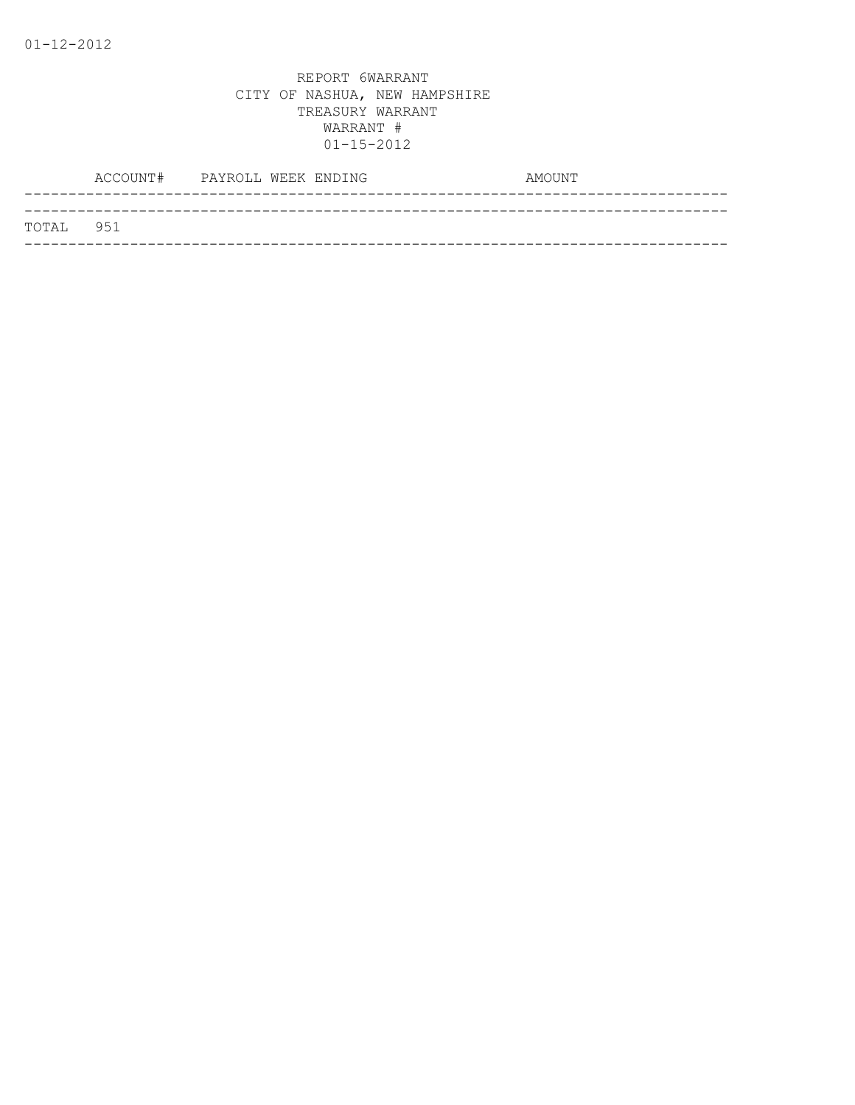|           | ACCOUNT# | PAYROLL WEEK ENDING |  | AMOUNT |  |
|-----------|----------|---------------------|--|--------|--|
|           |          |                     |  |        |  |
| TOTAL 951 |          |                     |  |        |  |
|           |          |                     |  |        |  |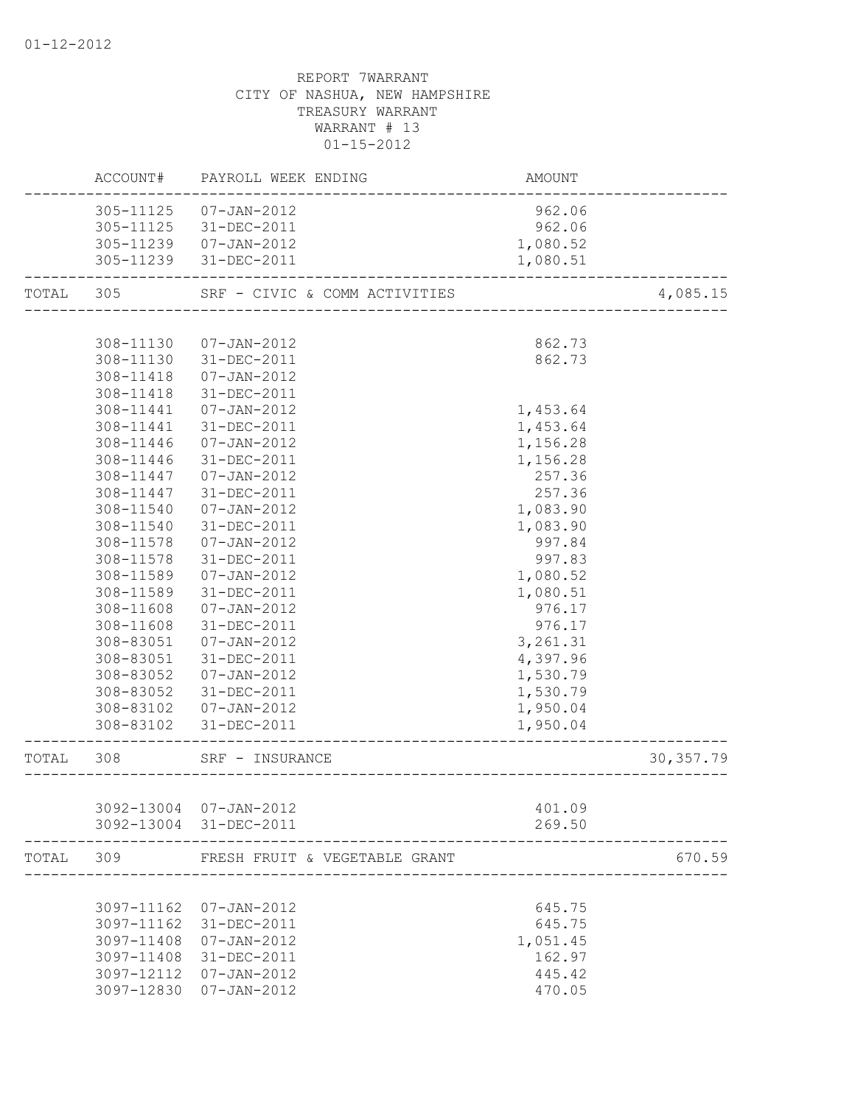|       | ACCOUNT#   | PAYROLL WEEK ENDING           | <b>AMOUNT</b> |            |
|-------|------------|-------------------------------|---------------|------------|
|       |            | 305-11125  07-JAN-2012        | 962.06        |            |
|       | 305-11125  | 31-DEC-2011                   | 962.06        |            |
|       | 305-11239  | 07-JAN-2012                   | 1,080.52      |            |
|       |            | 305-11239 31-DEC-2011         | 1,080.51      |            |
| TOTAL | 305        | SRF - CIVIC & COMM ACTIVITIES |               | 4,085.15   |
|       |            |                               |               |            |
|       | 308-11130  | 07-JAN-2012                   | 862.73        |            |
|       | 308-11130  | 31-DEC-2011                   | 862.73        |            |
|       | 308-11418  | 07-JAN-2012                   |               |            |
|       | 308-11418  | 31-DEC-2011                   |               |            |
|       | 308-11441  | 07-JAN-2012                   | 1,453.64      |            |
|       | 308-11441  | 31-DEC-2011                   | 1,453.64      |            |
|       | 308-11446  | 07-JAN-2012                   | 1,156.28      |            |
|       | 308-11446  | 31-DEC-2011                   | 1,156.28      |            |
|       | 308-11447  | 07-JAN-2012                   | 257.36        |            |
|       | 308-11447  | 31-DEC-2011                   | 257.36        |            |
|       | 308-11540  | 07-JAN-2012                   | 1,083.90      |            |
|       | 308-11540  | 31-DEC-2011                   | 1,083.90      |            |
|       | 308-11578  | 07-JAN-2012                   | 997.84        |            |
|       | 308-11578  | 31-DEC-2011                   | 997.83        |            |
|       | 308-11589  | 07-JAN-2012                   | 1,080.52      |            |
|       | 308-11589  | 31-DEC-2011                   | 1,080.51      |            |
|       | 308-11608  | 07-JAN-2012                   | 976.17        |            |
|       | 308-11608  | 31-DEC-2011                   | 976.17        |            |
|       | 308-83051  | 07-JAN-2012                   | 3,261.31      |            |
|       | 308-83051  | 31-DEC-2011                   | 4,397.96      |            |
|       | 308-83052  | 07-JAN-2012                   | 1,530.79      |            |
|       | 308-83052  | 31-DEC-2011                   | 1,530.79      |            |
|       | 308-83102  | 07-JAN-2012                   | 1,950.04      |            |
|       | 308-83102  | 31-DEC-2011                   | 1,950.04      |            |
| TOTAL | 308        | SRF - INSURANCE               |               | 30, 357.79 |
|       |            |                               |               |            |
|       |            | 3092-13004 07-JAN-2012        | 401.09        |            |
|       |            | 3092-13004 31-DEC-2011        | 269.50        |            |
| TOTAL | 309        | FRESH FRUIT & VEGETABLE GRANT |               | 670.59     |
|       |            |                               |               |            |
|       |            | 3097-11162 07-JAN-2012        | 645.75        |            |
|       | 3097-11162 | 31-DEC-2011                   | 645.75        |            |
|       | 3097-11408 | 07-JAN-2012                   | 1,051.45      |            |
|       | 3097-11408 | 31-DEC-2011                   | 162.97        |            |
|       |            | 3097-12112 07-JAN-2012        | 445.42        |            |
|       |            | 3097-12830 07-JAN-2012        | 470.05        |            |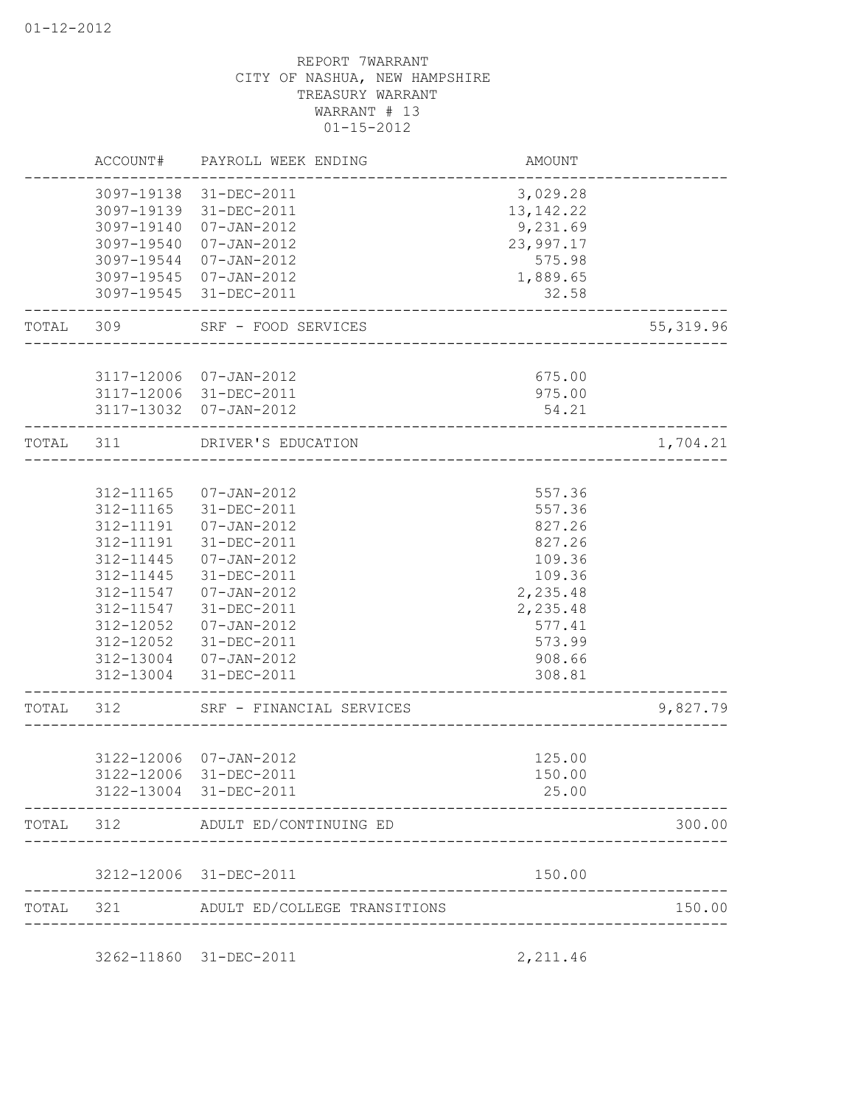|           | ACCOUNT#      | PAYROLL WEEK ENDING                              | AMOUNT                  |            |
|-----------|---------------|--------------------------------------------------|-------------------------|------------|
|           |               | 3097-19138 31-DEC-2011<br>3097-19139 31-DEC-2011 | 3,029.28<br>13, 142. 22 |            |
|           | 3097-19140    | $07 - JAN - 2012$                                | 9,231.69                |            |
|           | 3097-19540    | $07 - JAN - 2012$                                | 23,997.17               |            |
|           | 3097-19544    | $07 - JAN - 2012$<br>3097-19545 07-JAN-2012      | 575.98<br>1,889.65      |            |
|           |               | 3097-19545 31-DEC-2011                           | 32.58                   |            |
| TOTAL 309 |               | SRF - FOOD SERVICES                              |                         | 55, 319.96 |
|           |               |                                                  |                         |            |
|           |               | 3117-12006 07-JAN-2012<br>3117-12006 31-DEC-2011 | 675.00<br>975.00        |            |
|           |               | 3117-13032 07-JAN-2012                           | 54.21                   |            |
| TOTAL     | 311           | DRIVER'S EDUCATION                               |                         | 1,704.21   |
|           |               |                                                  |                         |            |
|           | 312-11165     | $07 - JAN - 2012$                                | 557.36                  |            |
|           | $312 - 11165$ | 31-DEC-2011                                      | 557.36                  |            |
|           | 312-11191     | $07 - JAN - 2012$                                | 827.26                  |            |
|           | 312-11191     | $31 - DEC - 2011$                                | 827.26                  |            |
|           | 312-11445     | $07 - JAN - 2012$                                | 109.36                  |            |
|           | 312-11445     | 31-DEC-2011                                      | 109.36                  |            |
|           | 312-11547     | $07 - JAN - 2012$                                | 2,235.48                |            |
|           |               | 312-11547 31-DEC-2011                            | 2,235.48                |            |
|           | 312-12052     | 07-JAN-2012                                      | 577.41                  |            |
|           |               | 312-12052 31-DEC-2011                            | 573.99                  |            |
|           |               | 312-13004 07-JAN-2012                            | 908.66                  |            |
|           |               | 312-13004 31-DEC-2011                            | 308.81                  |            |
| TOTAL     | 312           | SRF - FINANCIAL SERVICES                         |                         | 9,827.79   |
|           |               |                                                  |                         |            |
|           |               | 3122-12006 07-JAN-2012<br>3122-12006 31-DEC-2011 | 125.00<br>150.00        |            |
|           |               | 3122-13004 31-DEC-2011                           | 25.00                   |            |
| TOTAL     | 312           | ADULT ED/CONTINUING ED                           |                         | 300.00     |
|           |               | 3212-12006 31-DEC-2011                           | 150.00                  |            |
| TOTAL     | 321           | ADULT ED/COLLEGE TRANSITIONS                     |                         | 150.00     |

3262-11860 31-DEC-2011 2,211.46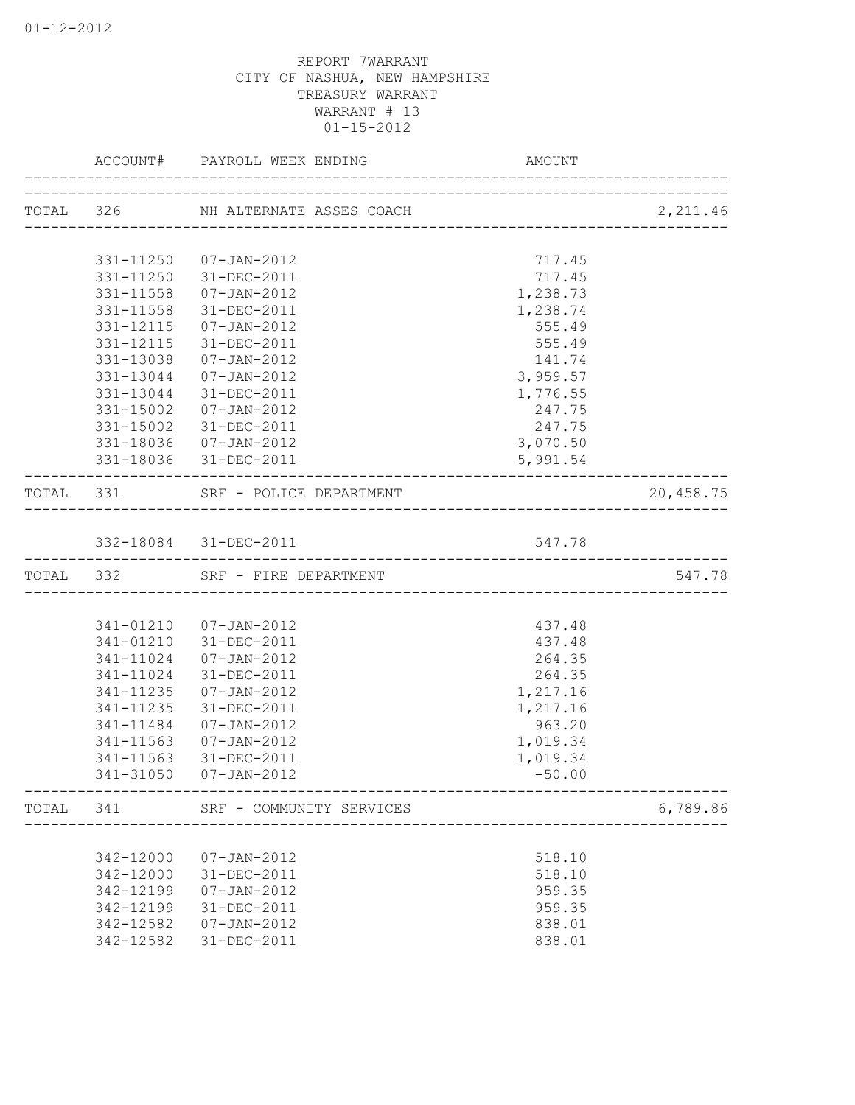|           |           | ACCOUNT# PAYROLL WEEK ENDING                                  | AMOUNT   |           |
|-----------|-----------|---------------------------------------------------------------|----------|-----------|
|           |           | ______________________<br>TOTAL 326 NH ALTERNATE ASSES COACH  |          | 2,211.46  |
|           |           |                                                               |          |           |
|           | 331-11250 | 07-JAN-2012                                                   | 717.45   |           |
|           |           | 331-11250 31-DEC-2011                                         | 717.45   |           |
|           | 331-11558 | 07-JAN-2012                                                   | 1,238.73 |           |
|           | 331-11558 | $31 - DEC - 2011$                                             | 1,238.74 |           |
|           | 331-12115 | 07-JAN-2012                                                   | 555.49   |           |
|           | 331-12115 | 31-DEC-2011                                                   | 555.49   |           |
|           | 331-13038 | 07-JAN-2012                                                   | 141.74   |           |
|           | 331-13044 | 07-JAN-2012                                                   | 3,959.57 |           |
|           | 331-13044 | 31-DEC-2011                                                   | 1,776.55 |           |
|           | 331-15002 | 07-JAN-2012                                                   | 247.75   |           |
|           |           | 331-15002 31-DEC-2011                                         | 247.75   |           |
|           |           | 331-18036  07-JAN-2012                                        | 3,070.50 |           |
|           |           | 331-18036 31-DEC-2011                                         | 5,991.54 |           |
| TOTAL 331 |           | SRF - POLICE DEPARTMENT                                       |          | 20,458.75 |
|           |           | 332-18084 31-DEC-2011                                         | 547.78   |           |
| TOTAL 332 |           | ------------------------------------<br>SRF - FIRE DEPARTMENT |          | 547.78    |
|           |           |                                                               |          |           |
|           |           | 341-01210 07-JAN-2012                                         | 437.48   |           |
|           | 341-01210 | 31-DEC-2011                                                   | 437.48   |           |
|           | 341-11024 | 07-JAN-2012                                                   | 264.35   |           |
|           | 341-11024 | 31-DEC-2011                                                   | 264.35   |           |
|           | 341-11235 | $07 - JAN - 2012$                                             | 1,217.16 |           |
|           | 341-11235 | 31-DEC-2011                                                   | 1,217.16 |           |
|           | 341-11484 | $07 - JAN - 2012$                                             | 963.20   |           |
|           | 341-11563 | $07 - JAN - 2012$                                             | 1,019.34 |           |
|           | 341-11563 | 31-DEC-2011                                                   | 1,019.34 |           |
|           | 341-31050 | $07 - JAN - 2012$                                             | $-50.00$ |           |
|           |           | TOTAL 341 SRF - COMMUNITY SERVICES                            |          | 6,789.86  |
|           |           |                                                               |          |           |
|           | 342-12000 | $07 - JAN - 2012$                                             | 518.10   |           |
|           | 342-12000 | 31-DEC-2011                                                   | 518.10   |           |
|           | 342-12199 | $07 - JAN - 2012$                                             | 959.35   |           |
|           | 342-12199 | 31-DEC-2011                                                   | 959.35   |           |
|           | 342-12582 | $07 - JAN - 2012$                                             | 838.01   |           |
|           | 342-12582 | 31-DEC-2011                                                   | 838.01   |           |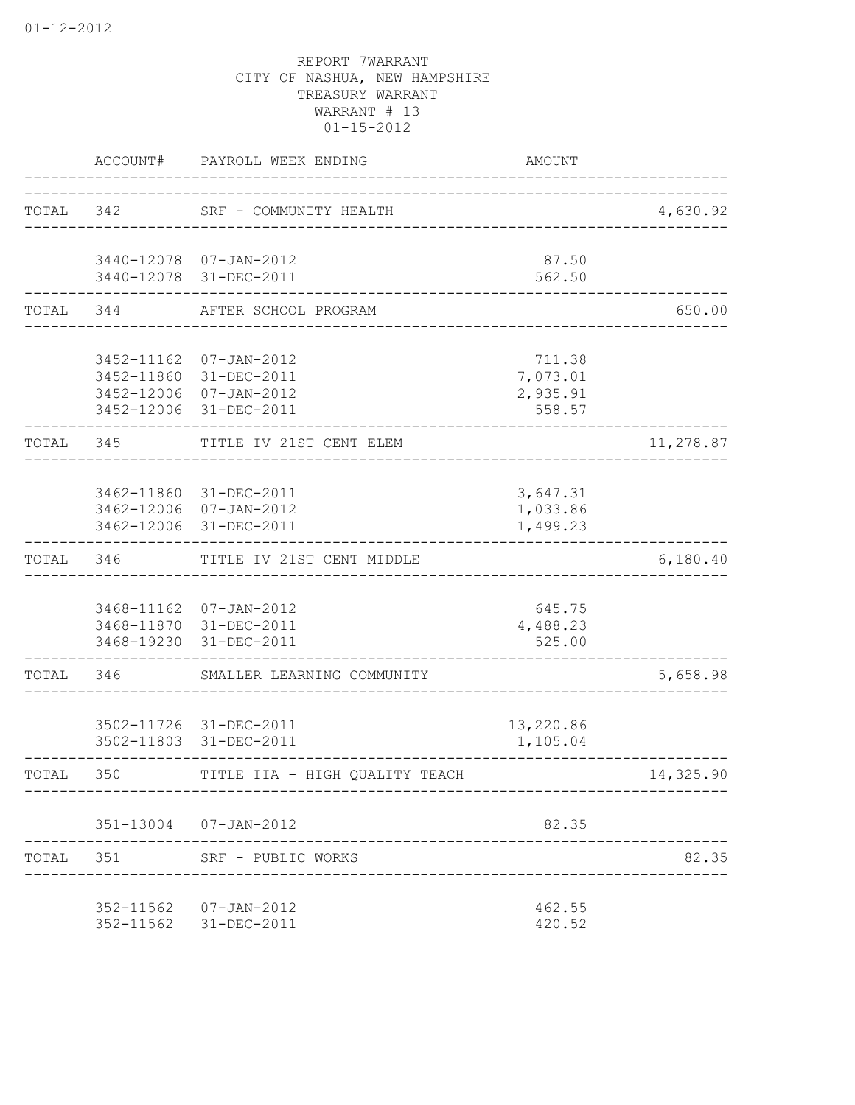|           | ACCOUNT#                               | PAYROLL WEEK ENDING                                                         | AMOUNT                                   |           |
|-----------|----------------------------------------|-----------------------------------------------------------------------------|------------------------------------------|-----------|
| TOTAL 342 |                                        | SRF - COMMUNITY HEALTH<br>_______________________                           |                                          | 4,630.92  |
|           |                                        | 3440-12078 07-JAN-2012<br>3440-12078 31-DEC-2011                            | 87.50<br>562.50                          |           |
| TOTAL 344 |                                        | AFTER SCHOOL PROGRAM                                                        |                                          | 650.00    |
|           | 3452-11162<br>3452-11860<br>3452-12006 | $07 - JAN - 2012$<br>31-DEC-2011<br>07-JAN-2012<br>3452-12006 31-DEC-2011   | 711.38<br>7,073.01<br>2,935.91<br>558.57 |           |
| TOTAL     | 345                                    | TITLE IV 21ST CENT ELEM                                                     |                                          | 11,278.87 |
|           |                                        | 3462-11860 31-DEC-2011<br>3462-12006 07-JAN-2012<br>3462-12006 31-DEC-2011  | 3,647.31<br>1,033.86<br>1,499.23         |           |
| TOTAL 346 |                                        | TITLE IV 21ST CENT MIDDLE<br>---------------------------                    |                                          | 6,180.40  |
|           |                                        | 3468-11162  07-JAN-2012<br>3468-11870 31-DEC-2011<br>3468-19230 31-DEC-2011 | 645.75<br>4,488.23<br>525.00             |           |
| TOTAL 346 |                                        | SMALLER LEARNING COMMUNITY                                                  |                                          | 5,658.98  |
|           |                                        | 3502-11726 31-DEC-2011<br>3502-11803 31-DEC-2011                            | 13,220.86<br>1,105.04                    |           |
| TOTAL     | 350                                    | TITLE IIA - HIGH OUALITY TEACH                                              |                                          | 14,325.90 |
|           |                                        | 351-13004 07-JAN-2012<br>. _ _ _ _ _ _ _ _ _ _ _                            | 82.35                                    |           |
|           |                                        | TOTAL 351 SRF - PUBLIC WORKS                                                |                                          | 82.35     |
|           |                                        | 352-11562 07-JAN-2012<br>352-11562 31-DEC-2011                              | 462.55<br>420.52                         |           |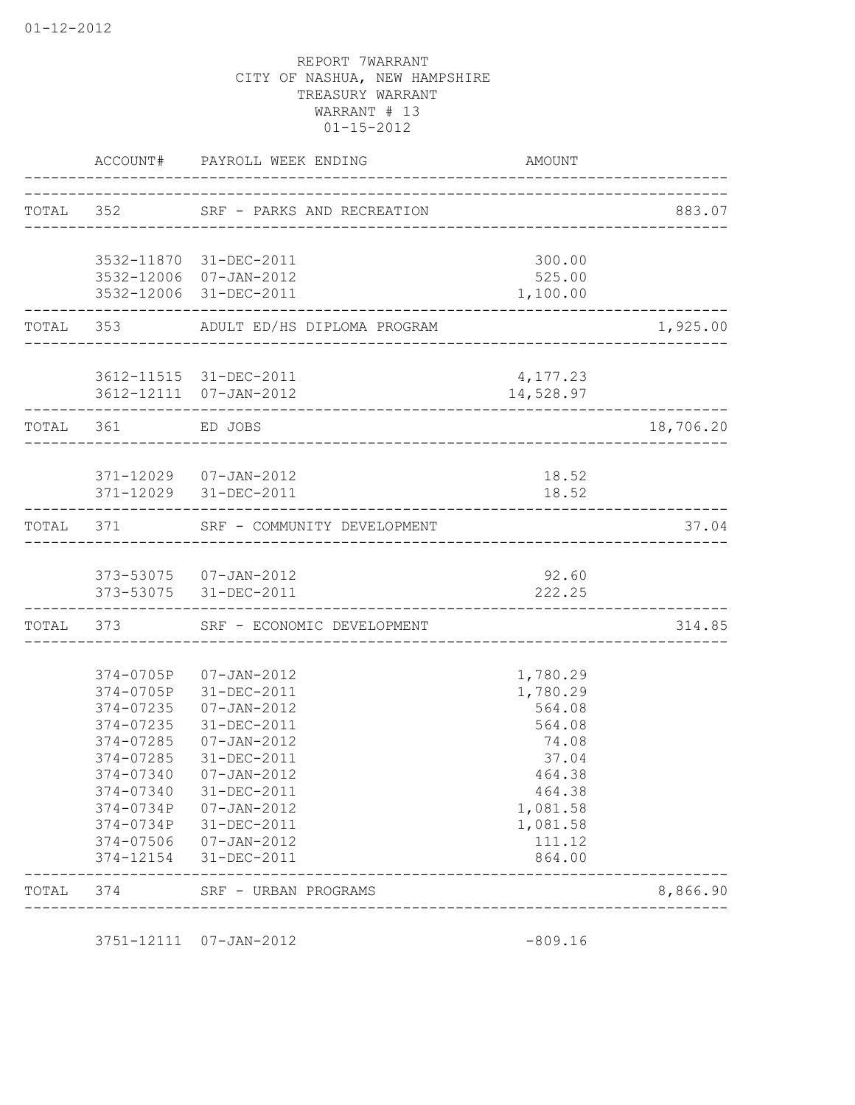|           |                                                                                         | ACCOUNT# PAYROLL WEEK ENDING                                                                                                                                                                                                                   | AMOUNT                                                                                                                     |           |
|-----------|-----------------------------------------------------------------------------------------|------------------------------------------------------------------------------------------------------------------------------------------------------------------------------------------------------------------------------------------------|----------------------------------------------------------------------------------------------------------------------------|-----------|
|           |                                                                                         | TOTAL 352 SRF - PARKS AND RECREATION                                                                                                                                                                                                           |                                                                                                                            | 883.07    |
|           |                                                                                         | 3532-11870 31-DEC-2011                                                                                                                                                                                                                         | 300.00                                                                                                                     |           |
|           |                                                                                         | 3532-12006 07-JAN-2012<br>3532-12006 31-DEC-2011                                                                                                                                                                                               | 525.00<br>1,100.00                                                                                                         |           |
| TOTAL 353 |                                                                                         | ADULT ED/HS DIPLOMA PROGRAM                                                                                                                                                                                                                    |                                                                                                                            | 1,925.00  |
|           |                                                                                         | 3612-11515 31-DEC-2011<br>3612-12111 07-JAN-2012                                                                                                                                                                                               | 4,177.23<br>14,528.97                                                                                                      |           |
| TOTAL 361 |                                                                                         | ED JOBS<br>____________________________________                                                                                                                                                                                                |                                                                                                                            | 18,706.20 |
|           | ________________________                                                                | 371-12029  07-JAN-2012<br>371-12029 31-DEC-2011<br>____________________________________                                                                                                                                                        | 18.52<br>18.52                                                                                                             |           |
|           |                                                                                         | TOTAL 371 SRF - COMMUNITY DEVELOPMENT<br>-------------------------------                                                                                                                                                                       |                                                                                                                            | 37.04     |
|           |                                                                                         | 373-53075  07-JAN-2012<br>373-53075 31-DEC-2011                                                                                                                                                                                                | 92.60<br>222.25                                                                                                            |           |
|           |                                                                                         | TOTAL 373 SRF - ECONOMIC DEVELOPMENT                                                                                                                                                                                                           |                                                                                                                            | 314.85    |
|           | 374-0705P<br>374-0705P<br>374-07235<br>374-07235<br>374-07285<br>374-07285<br>374-07340 | $07 - JAN - 2012$<br>31-DEC-2011<br>$07 - JAN - 2012$<br>31-DEC-2011<br>07-JAN-2012<br>31-DEC-2011<br>374-07340 07-JAN-2012<br>31-DEC-2011<br>374-0734P 07-JAN-2012<br>374-0734P 31-DEC-2011<br>374-07506 07-JAN-2012<br>374-12154 31-DEC-2011 | 1,780.29<br>1,780.29<br>564.08<br>564.08<br>74.08<br>37.04<br>464.38<br>464.38<br>1,081.58<br>1,081.58<br>111.12<br>864.00 |           |
| TOTAL     | 374                                                                                     | SRF - URBAN PROGRAMS                                                                                                                                                                                                                           |                                                                                                                            | 8,866.90  |

3751-12111 07-JAN-2012 -809.16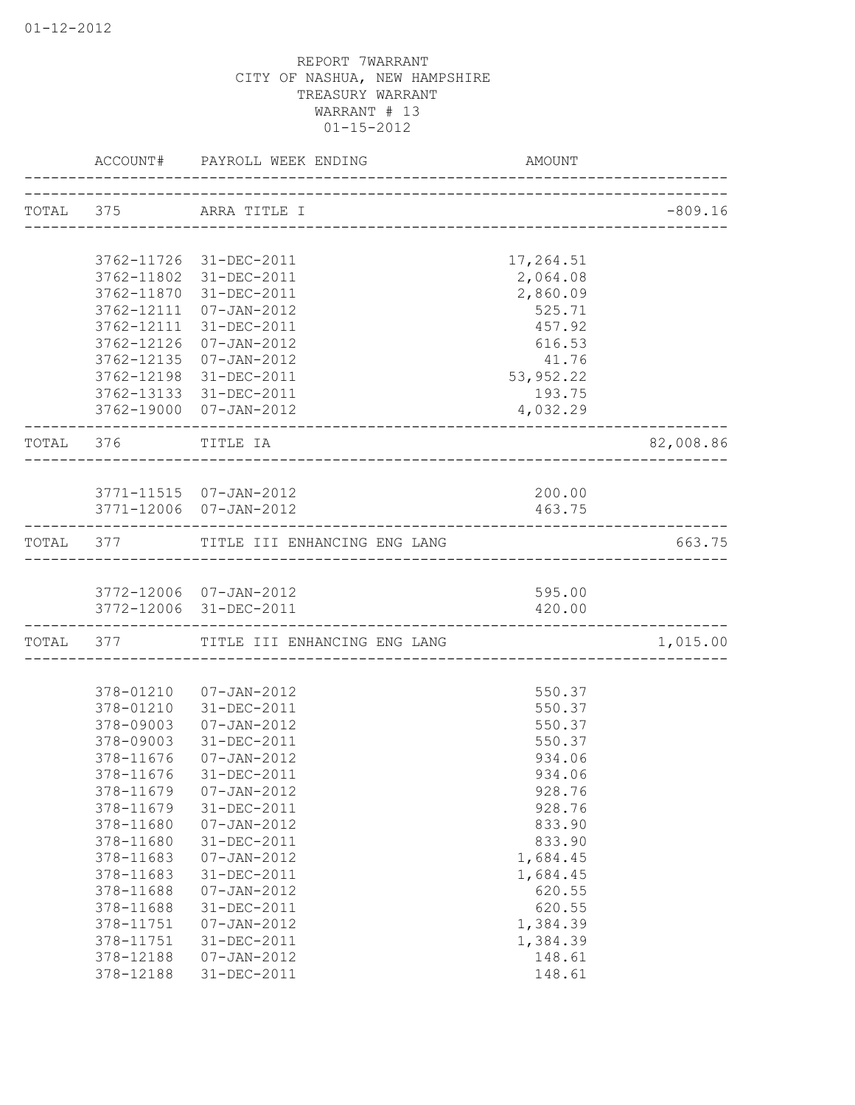|           |                                                  | ACCOUNT# PAYROLL WEEK ENDING                                         | AMOUNT                                   |           |
|-----------|--------------------------------------------------|----------------------------------------------------------------------|------------------------------------------|-----------|
|           |                                                  | TOTAL 375 ARRA TITLE I                                               |                                          | $-809.16$ |
|           | 3762-11802                                       | 3762-11726 31-DEC-2011<br>31-DEC-2011                                | 17,264.51<br>2,064.08                    |           |
|           | 3762-11870<br>3762-12111<br>3762-12111           | 31-DEC-2011<br>07-JAN-2012<br>31-DEC-2011                            | 2,860.09<br>525.71<br>457.92             |           |
|           | 3762-12126<br>3762-12135<br>3762-12198           | $07 - JAN - 2012$<br>$07 - JAN - 2012$<br>31-DEC-2011                | 616.53<br>41.76                          |           |
|           |                                                  | 3762-13133 31-DEC-2011<br>3762-19000 07-JAN-2012                     | 53, 952.22<br>193.75<br>4,032.29         |           |
|           | TOTAL 376 TITLE IA                               |                                                                      |                                          | 82,008.86 |
|           |                                                  | 3771-11515  07-JAN-2012<br>3771-12006 07-JAN-2012                    | 200.00<br>463.75                         |           |
|           |                                                  | TOTAL 377 TITLE III ENHANCING ENG LANG                               |                                          | 663.75    |
|           |                                                  | 3772-12006 07-JAN-2012<br>3772-12006 31-DEC-2011                     | 595.00<br>420.00                         |           |
| TOTAL 377 |                                                  | TITLE III ENHANCING ENG LANG                                         |                                          | 1,015.00  |
|           | 378-09003                                        | 378-01210  07-JAN-2012<br>378-01210 31-DEC-2011<br>07-JAN-2012       | 550.37<br>550.37<br>550.37               |           |
|           | 378-09003<br>378-11676<br>378-11676<br>378-11679 | 31-DEC-2011<br>$07 - JAN - 2012$<br>31-DEC-2011<br>$07 - JAN - 2012$ | 550.37<br>934.06<br>934.06<br>928.76     |           |
|           | 378-11679<br>378-11680<br>378-11680              | 31-DEC-2011<br>$07 - JAN - 2012$<br>31-DEC-2011                      | 928.76<br>833.90<br>833.90               |           |
|           | 378-11683<br>378-11683<br>378-11688              | $07 - JAN - 2012$<br>31-DEC-2011<br>$07 - JAN - 2012$                | 1,684.45<br>1,684.45<br>620.55<br>620.55 |           |
|           | 378-11688<br>378-11751<br>378-11751<br>378-12188 | 31-DEC-2011<br>$07 - JAN - 2012$<br>31-DEC-2011<br>$07 - JAN - 2012$ | 1,384.39<br>1,384.39<br>148.61           |           |
|           | 378-12188                                        | 31-DEC-2011                                                          | 148.61                                   |           |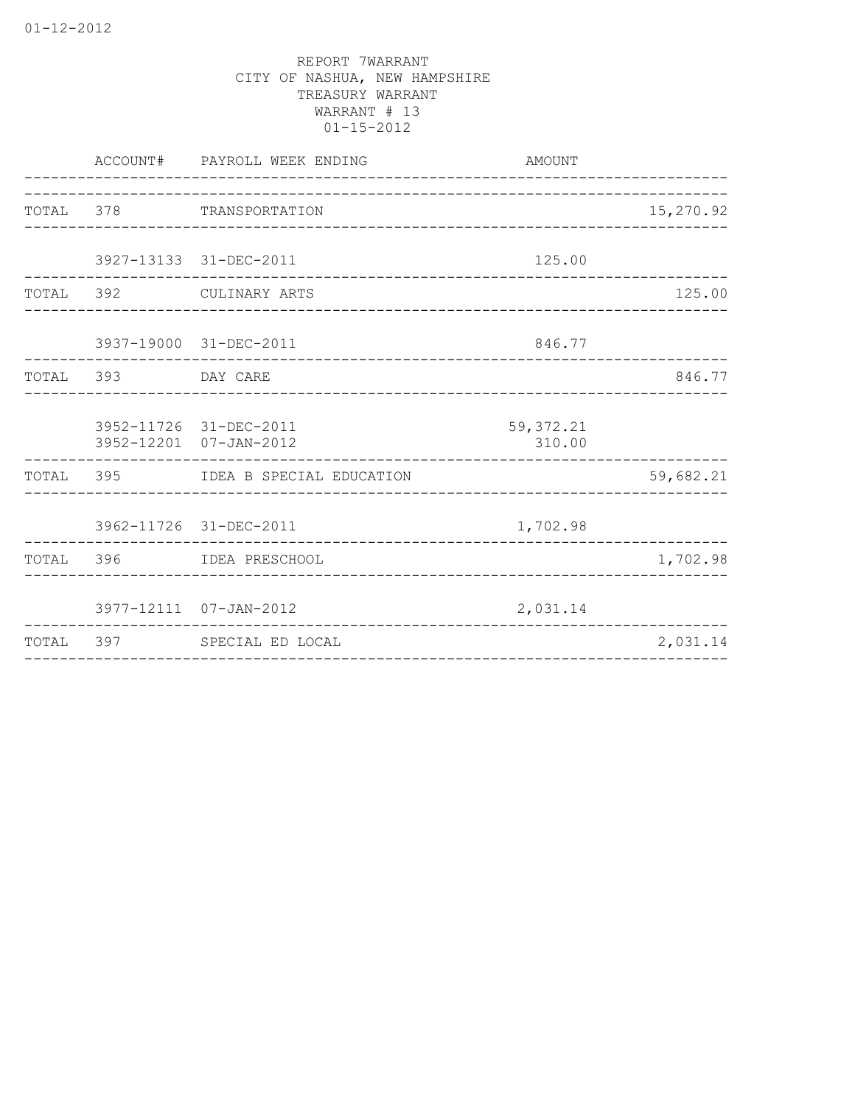|           |                    | ACCOUNT# PAYROLL WEEK ENDING                     | AMOUNT                           |           |
|-----------|--------------------|--------------------------------------------------|----------------------------------|-----------|
|           |                    | TOTAL 378 TRANSPORTATION                         |                                  | 15,270.92 |
|           |                    | 3927-13133 31-DEC-2011                           | 125.00                           |           |
|           |                    | TOTAL 392 CULINARY ARTS                          |                                  | 125.00    |
|           |                    | 3937-19000 31-DEC-2011                           | 846.77                           |           |
|           | TOTAL 393 DAY CARE |                                                  |                                  | 846.77    |
|           |                    | 3952-11726 31-DEC-2011<br>3952-12201 07-JAN-2012 | 59, 372.21<br>310.00             |           |
|           |                    | TOTAL 395 IDEA B SPECIAL EDUCATION               | ________________________________ | 59,682.21 |
|           |                    | 3962-11726 31-DEC-2011                           | 1,702.98                         |           |
| TOTAL 396 |                    | IDEA PRESCHOOL                                   |                                  | 1,702.98  |
|           |                    | 3977-12111 07-JAN-2012                           | 2,031.14                         |           |
| TOTAL     | 397                | SPECIAL ED LOCAL                                 |                                  | 2,031.14  |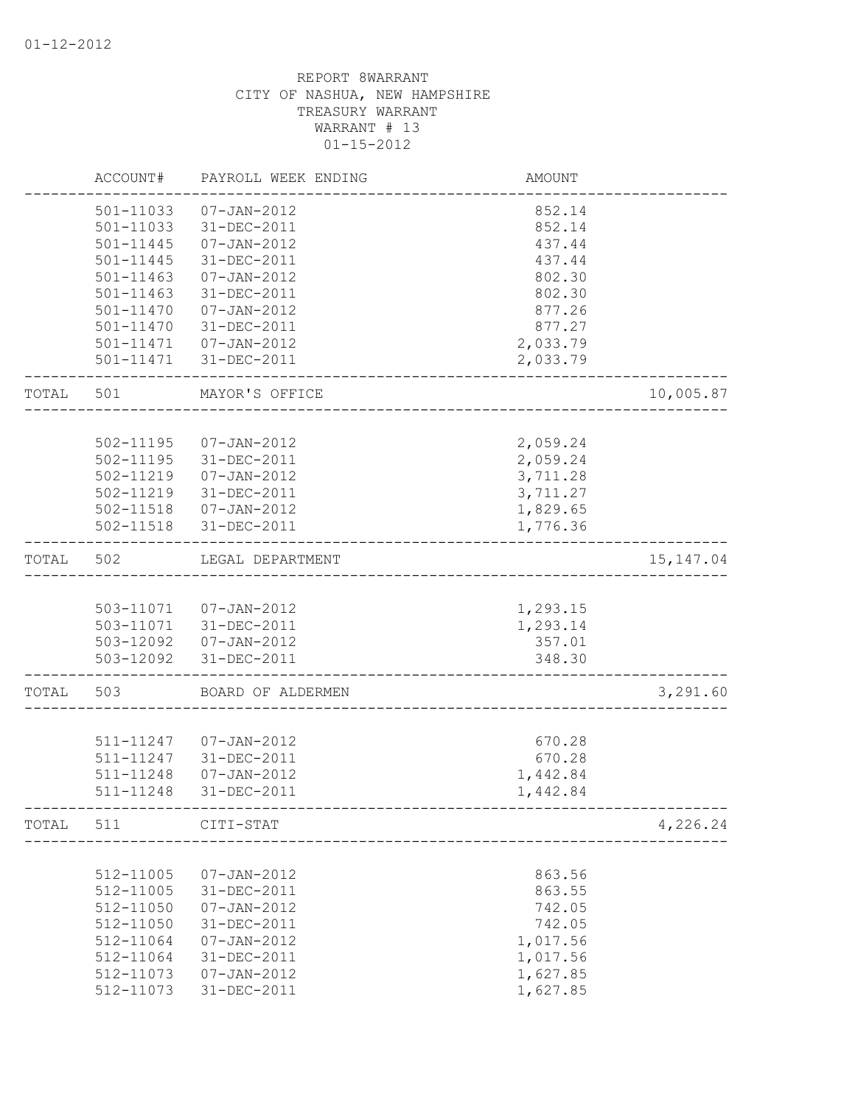|       | ACCOUNT#      | PAYROLL WEEK ENDING                        | <b>AMOUNT</b> |            |
|-------|---------------|--------------------------------------------|---------------|------------|
|       | 501-11033     | $07 - JAN - 2012$                          | 852.14        |            |
|       | 501-11033     | 31-DEC-2011                                | 852.14        |            |
|       | 501-11445     | $07 - JAN - 2012$                          | 437.44        |            |
|       | 501-11445     | 31-DEC-2011                                | 437.44        |            |
|       | $501 - 11463$ | 07-JAN-2012                                | 802.30        |            |
|       | 501-11463     | 31-DEC-2011                                | 802.30        |            |
|       | 501-11470     | 07-JAN-2012                                | 877.26        |            |
|       | 501-11470     | 31-DEC-2011                                | 877.27        |            |
|       |               | 501-11471  07-JAN-2012                     | 2,033.79      |            |
|       |               | 501-11471 31-DEC-2011                      | 2,033.79      |            |
| TOTAL | 501           | MAYOR'S OFFICE                             |               | 10,005.87  |
|       |               |                                            |               |            |
|       |               | 502-11195  07-JAN-2012                     | 2,059.24      |            |
|       |               | 502-11195 31-DEC-2011                      | 2,059.24      |            |
|       |               | 502-11219  07-JAN-2012                     | 3,711.28      |            |
|       |               | 502-11219 31-DEC-2011                      | 3,711.27      |            |
|       |               | 502-11518  07-JAN-2012                     | 1,829.65      |            |
|       |               | 502-11518 31-DEC-2011                      | 1,776.36      |            |
| TOTAL | 502           | LEGAL DEPARTMENT                           |               | 15, 147.04 |
|       |               |                                            |               |            |
|       |               | 503-11071  07-JAN-2012                     | 1,293.15      |            |
|       |               | 503-11071 31-DEC-2011                      | 1,293.14      |            |
|       |               | 503-12092  07-JAN-2012                     | 357.01        |            |
|       |               | 503-12092 31-DEC-2011                      | 348.30        |            |
| TOTAL | 503           | BOARD OF ALDERMEN                          |               | 3,291.60   |
|       |               |                                            |               |            |
|       |               | 511-11247  07-JAN-2012                     | 670.28        |            |
|       | 511-11248     | 511-11247 31-DEC-2011<br>$07 - JAN - 2012$ | 670.28        |            |
|       |               |                                            | 1,442.84      |            |
|       | 511-11248     | 31-DEC-2011                                | 1,442.84      |            |
| TOTAL | 511           | CITI-STAT                                  |               | 4,226.24   |
|       |               |                                            |               |            |
|       | 512-11005     | $07 - JAN - 2012$                          | 863.56        |            |
|       | 512-11005     | 31-DEC-2011                                | 863.55        |            |
|       | 512-11050     | $07 - JAN - 2012$                          | 742.05        |            |
|       | 512-11050     | 31-DEC-2011                                | 742.05        |            |
|       | 512-11064     | $07 - JAN - 2012$                          | 1,017.56      |            |
|       | 512-11064     | 31-DEC-2011                                | 1,017.56      |            |
|       | 512-11073     | $07 - JAN - 2012$                          | 1,627.85      |            |
|       | 512-11073     | 31-DEC-2011                                | 1,627.85      |            |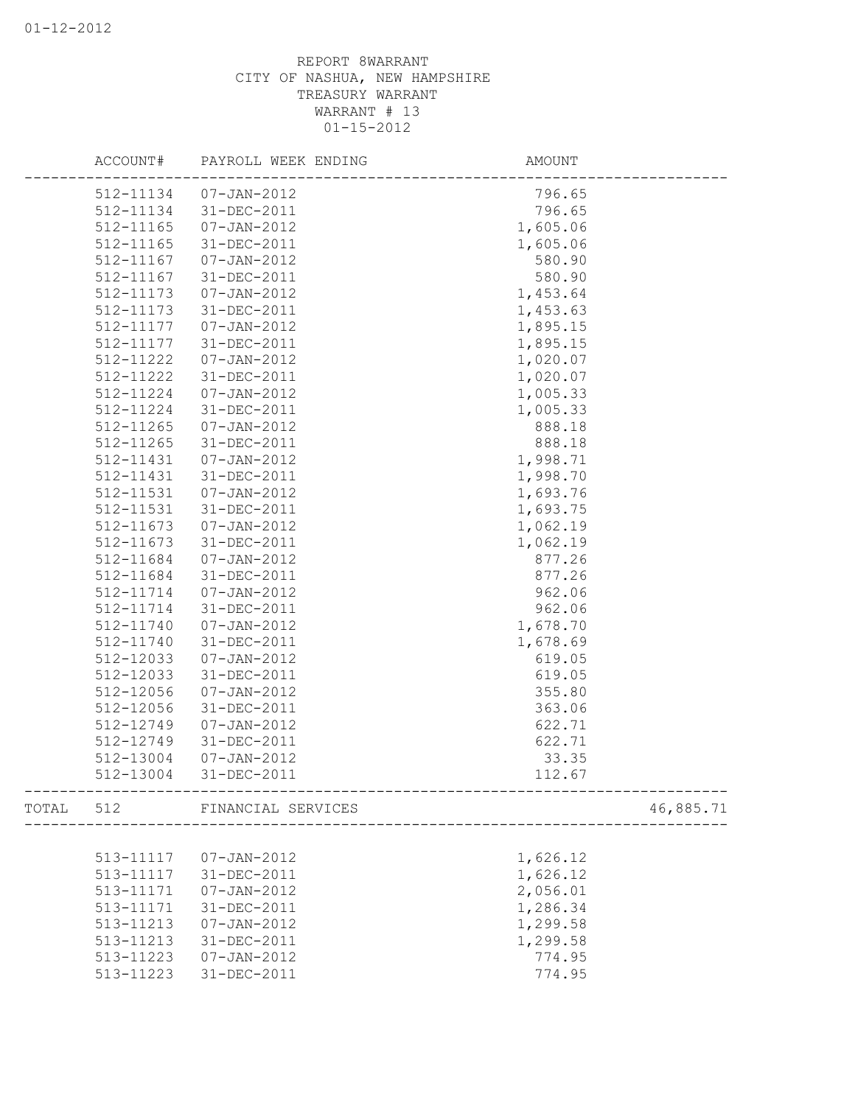|       |           | ACCOUNT# PAYROLL WEEK ENDING | AMOUNT   |           |
|-------|-----------|------------------------------|----------|-----------|
|       | 512-11134 | 07-JAN-2012                  | 796.65   |           |
|       | 512-11134 | 31-DEC-2011                  | 796.65   |           |
|       | 512-11165 | $07 - JAN - 2012$            | 1,605.06 |           |
|       | 512-11165 | 31-DEC-2011                  | 1,605.06 |           |
|       | 512-11167 | $07 - JAN - 2012$            | 580.90   |           |
|       | 512-11167 | 31-DEC-2011                  | 580.90   |           |
|       | 512-11173 | 07-JAN-2012                  | 1,453.64 |           |
|       | 512-11173 | 31-DEC-2011                  | 1,453.63 |           |
|       | 512-11177 | 07-JAN-2012                  | 1,895.15 |           |
|       | 512-11177 | 31-DEC-2011                  | 1,895.15 |           |
|       | 512-11222 | 07-JAN-2012                  | 1,020.07 |           |
|       | 512-11222 | 31-DEC-2011                  | 1,020.07 |           |
|       | 512-11224 | 07-JAN-2012                  | 1,005.33 |           |
|       | 512-11224 | 31-DEC-2011                  | 1,005.33 |           |
|       | 512-11265 | 07-JAN-2012                  | 888.18   |           |
|       | 512-11265 | 31-DEC-2011                  | 888.18   |           |
|       | 512-11431 | 07-JAN-2012                  | 1,998.71 |           |
|       | 512-11431 | 31-DEC-2011                  | 1,998.70 |           |
|       | 512-11531 | 07-JAN-2012                  | 1,693.76 |           |
|       | 512-11531 | 31-DEC-2011                  | 1,693.75 |           |
|       | 512-11673 | 07-JAN-2012                  | 1,062.19 |           |
|       | 512-11673 | 31-DEC-2011                  | 1,062.19 |           |
|       | 512-11684 | 07-JAN-2012                  | 877.26   |           |
|       | 512-11684 | 31-DEC-2011                  | 877.26   |           |
|       | 512-11714 | 07-JAN-2012                  | 962.06   |           |
|       | 512-11714 | 31-DEC-2011                  | 962.06   |           |
|       | 512-11740 | 07-JAN-2012                  | 1,678.70 |           |
|       | 512-11740 | 31-DEC-2011                  | 1,678.69 |           |
|       | 512-12033 | 07-JAN-2012                  | 619.05   |           |
|       | 512-12033 | 31-DEC-2011                  | 619.05   |           |
|       | 512-12056 | $07 - JAN - 2012$            | 355.80   |           |
|       | 512-12056 | 31-DEC-2011                  | 363.06   |           |
|       | 512-12749 | $07 - JAN - 2012$            | 622.71   |           |
|       | 512-12749 | 31-DEC-2011                  | 622.71   |           |
|       | 512-13004 | $07 - JAN - 2012$            | 33.35    |           |
|       | 512-13004 | 31-DEC-2011                  | 112.67   |           |
|       |           |                              |          |           |
| TOTAL | 512       | FINANCIAL SERVICES           |          | 46,885.71 |
|       |           |                              |          |           |
|       | 513-11117 | $07 - JAN - 2012$            | 1,626.12 |           |
|       | 513-11117 | 31-DEC-2011                  | 1,626.12 |           |
|       | 513-11171 | $07 - JAN - 2012$            | 2,056.01 |           |
|       | 513-11171 | 31-DEC-2011                  | 1,286.34 |           |
|       | 513-11213 | $07 - JAN - 2012$            | 1,299.58 |           |
|       | 513-11213 | 31-DEC-2011                  | 1,299.58 |           |
|       | 513-11223 | $07 - JAN - 2012$            | 774.95   |           |
|       | 513-11223 | 31-DEC-2011                  | 774.95   |           |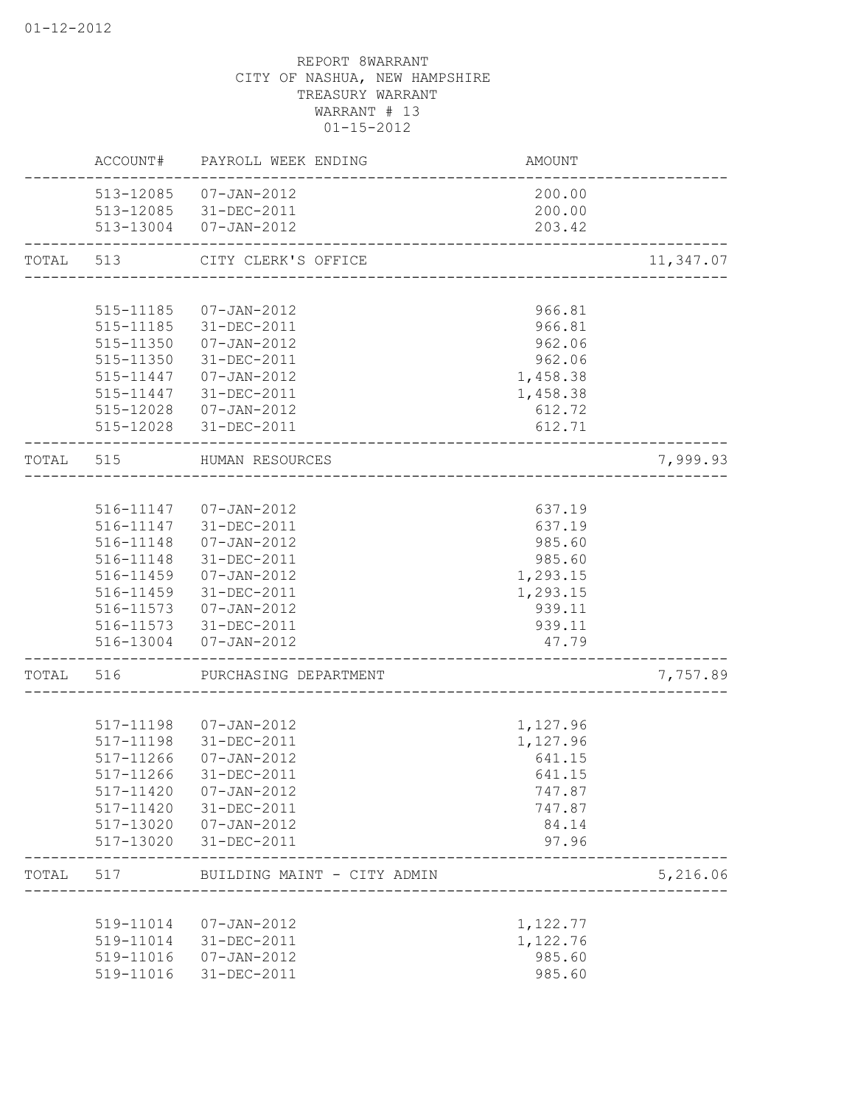|       |                        | ACCOUNT# PAYROLL WEEK ENDING                                 | AMOUNT               |           |
|-------|------------------------|--------------------------------------------------------------|----------------------|-----------|
|       |                        | 513-12085  07-JAN-2012<br>513-12085 31-DEC-2011              | 200.00<br>200.00     |           |
|       |                        | 513-13004 07-JAN-2012                                        | 203.42               |           |
|       | TOTAL 513              | CITY CLERK'S OFFICE<br>------------------                    |                      | 11,347.07 |
|       |                        |                                                              |                      |           |
|       | 515-11185              | 07-JAN-2012                                                  | 966.81               |           |
|       | 515-11185              | 31-DEC-2011                                                  | 966.81               |           |
|       | 515-11350<br>515-11350 | 07-JAN-2012<br>31-DEC-2011                                   | 962.06<br>962.06     |           |
|       |                        | 515-11447  07-JAN-2012                                       | 1,458.38             |           |
|       |                        | 515-11447 31-DEC-2011                                        | 1,458.38             |           |
|       |                        | 515-12028  07-JAN-2012                                       | 612.72               |           |
|       |                        | 515-12028 31-DEC-2011                                        | 612.71               |           |
| TOTAL | 515                    | HUMAN RESOURCES<br>-----------------------------             |                      | 7,999.93  |
|       |                        |                                                              |                      |           |
|       |                        | 516-11147  07-JAN-2012                                       | 637.19               |           |
|       |                        | 516-11147 31-DEC-2011                                        | 637.19               |           |
|       | 516-11148              | $07 - JAN - 2012$                                            | 985.60               |           |
|       | 516-11148              | 31-DEC-2011                                                  | 985.60               |           |
|       |                        | 516-11459 07-JAN-2012<br>516-11459 31-DEC-2011               | 1,293.15<br>1,293.15 |           |
|       |                        | 516-11573  07-JAN-2012                                       | 939.11               |           |
|       |                        | 516-11573 31-DEC-2011                                        | 939.11               |           |
|       | 516-13004              | $07 - JAN - 2012$                                            | 47.79                |           |
| TOTAL | 516                    | PURCHASING DEPARTMENT                                        |                      | 7,757.89  |
|       |                        |                                                              |                      |           |
|       |                        | 517-11198  07-JAN-2012                                       | 1,127.96             |           |
|       |                        | 517-11198 31-DEC-2011                                        | 1,127.96             |           |
|       | 517-11266              | $07 - JAN - 2012$                                            | 641.15               |           |
|       | 517-11266<br>517-11420 | 31-DEC-2011<br>$07 - JAN - 2012$                             | 641.15<br>747.87     |           |
|       | 517-11420              | 31-DEC-2011                                                  | 747.87               |           |
|       | 517-13020              | 07-JAN-2012                                                  | 84.14                |           |
|       | 517-13020              | 31-DEC-2011                                                  | 97.96                |           |
| TOTAL | 517                    | BUILDING MAINT - CITY ADMIN<br>_____________________________ |                      | 5,216.06  |
|       |                        |                                                              |                      |           |
|       | 519-11014              | $07 - JAN - 2012$                                            | 1,122.77             |           |
|       | 519-11014              | 31-DEC-2011                                                  | 1,122.76             |           |
|       | 519-11016              | $07 - JAN - 2012$                                            | 985.60               |           |
|       | 519-11016              | 31-DEC-2011                                                  | 985.60               |           |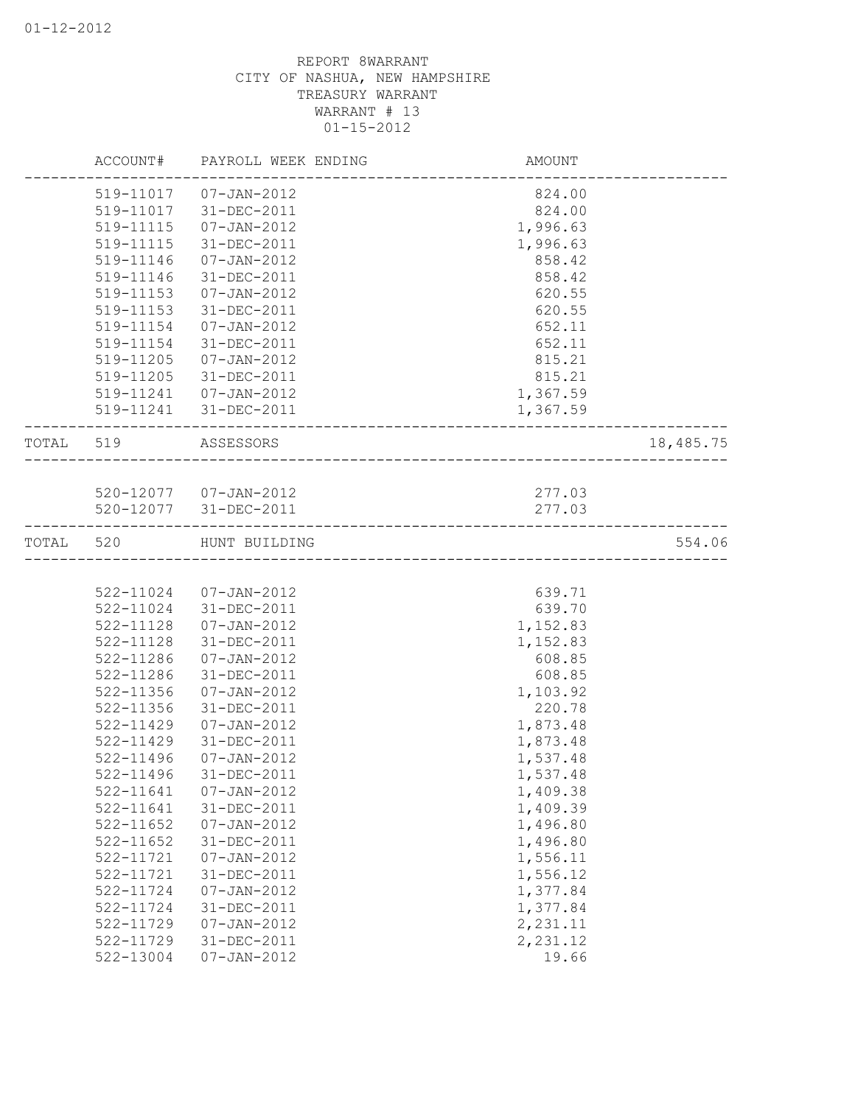|       | ACCOUNT#  | PAYROLL WEEK ENDING    | AMOUNT   |           |
|-------|-----------|------------------------|----------|-----------|
|       | 519-11017 | 07-JAN-2012            | 824.00   |           |
|       | 519-11017 | 31-DEC-2011            | 824.00   |           |
|       | 519-11115 | $07 - JAN - 2012$      | 1,996.63 |           |
|       | 519-11115 | 31-DEC-2011            | 1,996.63 |           |
|       | 519-11146 | $07 - JAN - 2012$      | 858.42   |           |
|       | 519-11146 | 31-DEC-2011            | 858.42   |           |
|       | 519-11153 | $07 - JAN - 2012$      | 620.55   |           |
|       | 519-11153 | 31-DEC-2011            | 620.55   |           |
|       | 519-11154 | 07-JAN-2012            | 652.11   |           |
|       | 519-11154 | 31-DEC-2011            | 652.11   |           |
|       | 519-11205 | 07-JAN-2012            | 815.21   |           |
|       | 519-11205 | 31-DEC-2011            | 815.21   |           |
|       |           | 519-11241  07-JAN-2012 | 1,367.59 |           |
|       |           | 519-11241 31-DEC-2011  | 1,367.59 |           |
| TOTAL | 519       | ASSESSORS              |          | 18,485.75 |
|       |           |                        |          |           |
|       |           | 520-12077  07-JAN-2012 | 277.03   |           |
|       |           | 520-12077 31-DEC-2011  | 277.03   |           |
| TOTAL | 520       | HUNT BUILDING          |          | 554.06    |
|       |           |                        |          |           |
|       | 522-11024 | 07-JAN-2012            | 639.71   |           |
|       | 522-11024 | 31-DEC-2011            | 639.70   |           |
|       | 522-11128 | $07 - JAN - 2012$      | 1,152.83 |           |
|       | 522-11128 | 31-DEC-2011            | 1,152.83 |           |
|       | 522-11286 | $07 - JAN - 2012$      | 608.85   |           |
|       | 522-11286 | 31-DEC-2011            | 608.85   |           |
|       | 522-11356 | $07 - JAN - 2012$      | 1,103.92 |           |
|       | 522-11356 | 31-DEC-2011            | 220.78   |           |
|       | 522-11429 | $07 - JAN - 2012$      | 1,873.48 |           |
|       | 522-11429 | 31-DEC-2011            | 1,873.48 |           |
|       | 522-11496 | $07 - JAN - 2012$      | 1,537.48 |           |
|       | 522-11496 | 31-DEC-2011            | 1,537.48 |           |
|       | 522-11641 | $07 - JAN - 2012$      | 1,409.38 |           |
|       | 522-11641 | $31 - DEC - 2011$      | 1,409.39 |           |
|       | 522-11652 | $07 - JAN - 2012$      | 1,496.80 |           |
|       | 522-11652 | 31-DEC-2011            | 1,496.80 |           |
|       | 522-11721 | $07 - JAN - 2012$      | 1,556.11 |           |
|       | 522-11721 | 31-DEC-2011            | 1,556.12 |           |
|       | 522-11724 | $07 - JAN - 2012$      | 1,377.84 |           |
|       | 522-11724 | 31-DEC-2011            | 1,377.84 |           |
|       | 522-11729 | $07 - JAN - 2012$      | 2,231.11 |           |
|       | 522-11729 | 31-DEC-2011            | 2,231.12 |           |
|       | 522-13004 | $07 - JAN - 2012$      | 19.66    |           |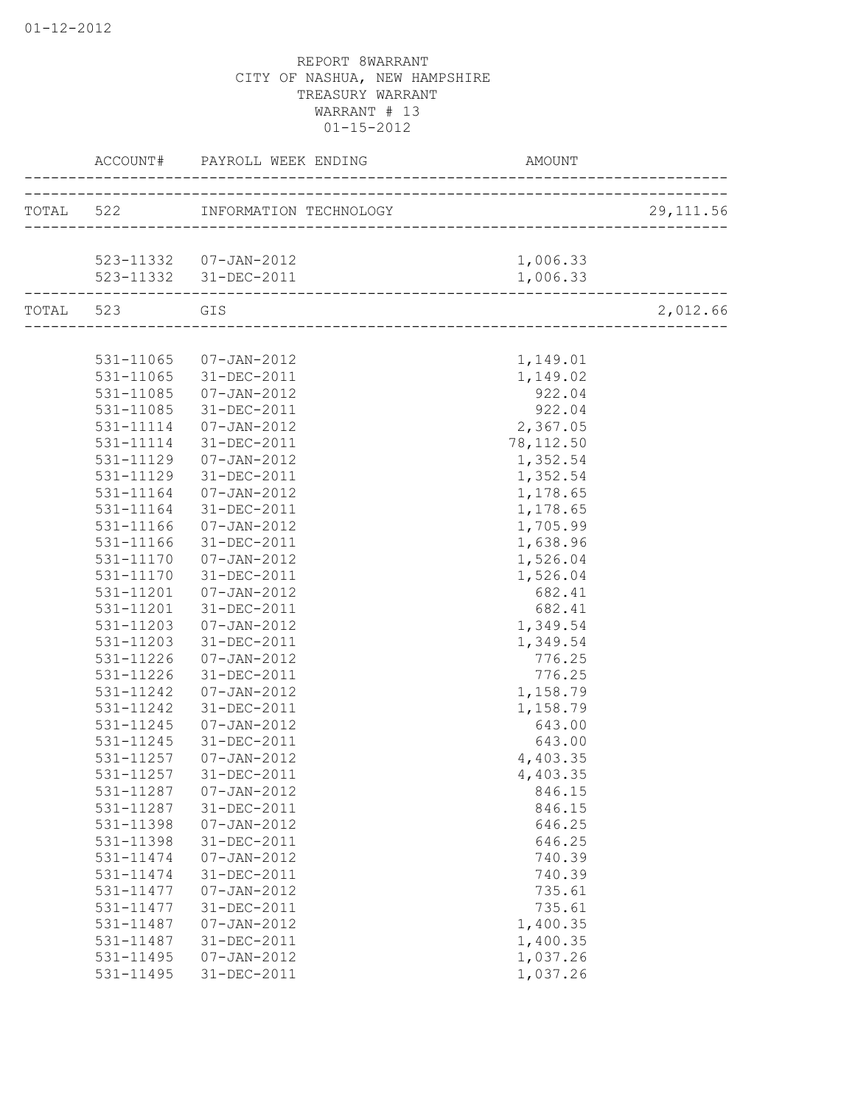|           | ACCOUNT#  | PAYROLL WEEK ENDING              | <b>AMOUNT</b>           |            |
|-----------|-----------|----------------------------------|-------------------------|------------|
|           |           | TOTAL 522 INFORMATION TECHNOLOGY | _______________________ | 29, 111.56 |
|           |           |                                  |                         |            |
|           |           | 523-11332  07-JAN-2012           | 1,006.33                |            |
|           |           | 523-11332 31-DEC-2011            | 1,006.33                |            |
| TOTAL 523 |           | GIS                              |                         | 2,012.66   |
|           |           |                                  |                         |            |
|           | 531-11065 | 07-JAN-2012                      | 1,149.01                |            |
|           | 531-11065 | 31-DEC-2011                      | 1,149.02                |            |
|           | 531-11085 | $07 - JAN - 2012$                | 922.04                  |            |
|           | 531-11085 | 31-DEC-2011                      | 922.04                  |            |
|           | 531-11114 | 07-JAN-2012                      | 2,367.05                |            |
|           | 531-11114 | 31-DEC-2011                      | 78, 112.50              |            |
|           | 531-11129 | 07-JAN-2012                      | 1,352.54                |            |
|           | 531-11129 | 31-DEC-2011                      | 1,352.54                |            |
|           | 531-11164 | $07 - JAN - 2012$                | 1,178.65                |            |
|           | 531-11164 | 31-DEC-2011                      | 1,178.65                |            |
|           | 531-11166 | $07 - JAN - 2012$                | 1,705.99                |            |
|           | 531-11166 | 31-DEC-2011                      | 1,638.96                |            |
|           | 531-11170 | 07-JAN-2012                      | 1,526.04                |            |
|           | 531-11170 | 31-DEC-2011                      | 1,526.04                |            |
|           | 531-11201 | 07-JAN-2012                      | 682.41                  |            |
|           | 531-11201 | 31-DEC-2011                      | 682.41                  |            |
|           | 531-11203 | $07 - JAN - 2012$                | 1,349.54                |            |
|           | 531-11203 | 31-DEC-2011                      | 1,349.54                |            |
|           | 531-11226 | $07 - JAN - 2012$                | 776.25                  |            |
|           | 531-11226 | 31-DEC-2011                      | 776.25                  |            |
|           | 531-11242 | 07-JAN-2012                      | 1,158.79                |            |
|           | 531-11242 | 31-DEC-2011                      | 1,158.79                |            |
|           | 531-11245 | $07 - JAN - 2012$                | 643.00                  |            |
|           | 531-11245 | 31-DEC-2011                      | 643.00                  |            |
|           | 531-11257 | $07 - JAN - 2012$                | 4,403.35                |            |
|           | 531-11257 | 31-DEC-2011                      | 4,403.35                |            |
|           | 531-11287 | $07 - JAN - 2012$                | 846.15                  |            |
|           | 531-11287 | 31-DEC-2011                      | 846.15                  |            |
|           | 531-11398 | $07 - JAN - 2012$                | 646.25                  |            |
|           | 531-11398 | 31-DEC-2011                      | 646.25                  |            |
|           | 531-11474 | $07 - JAN - 2012$                | 740.39                  |            |
|           | 531-11474 | 31-DEC-2011                      | 740.39                  |            |
|           | 531-11477 | $07 - JAN - 2012$                | 735.61                  |            |
|           | 531-11477 | 31-DEC-2011                      | 735.61                  |            |
|           | 531-11487 | $07 - JAN - 2012$                | 1,400.35                |            |
|           | 531-11487 | 31-DEC-2011                      | 1,400.35                |            |
|           | 531-11495 | $07 - JAN - 2012$                | 1,037.26                |            |
|           | 531-11495 | 31-DEC-2011                      | 1,037.26                |            |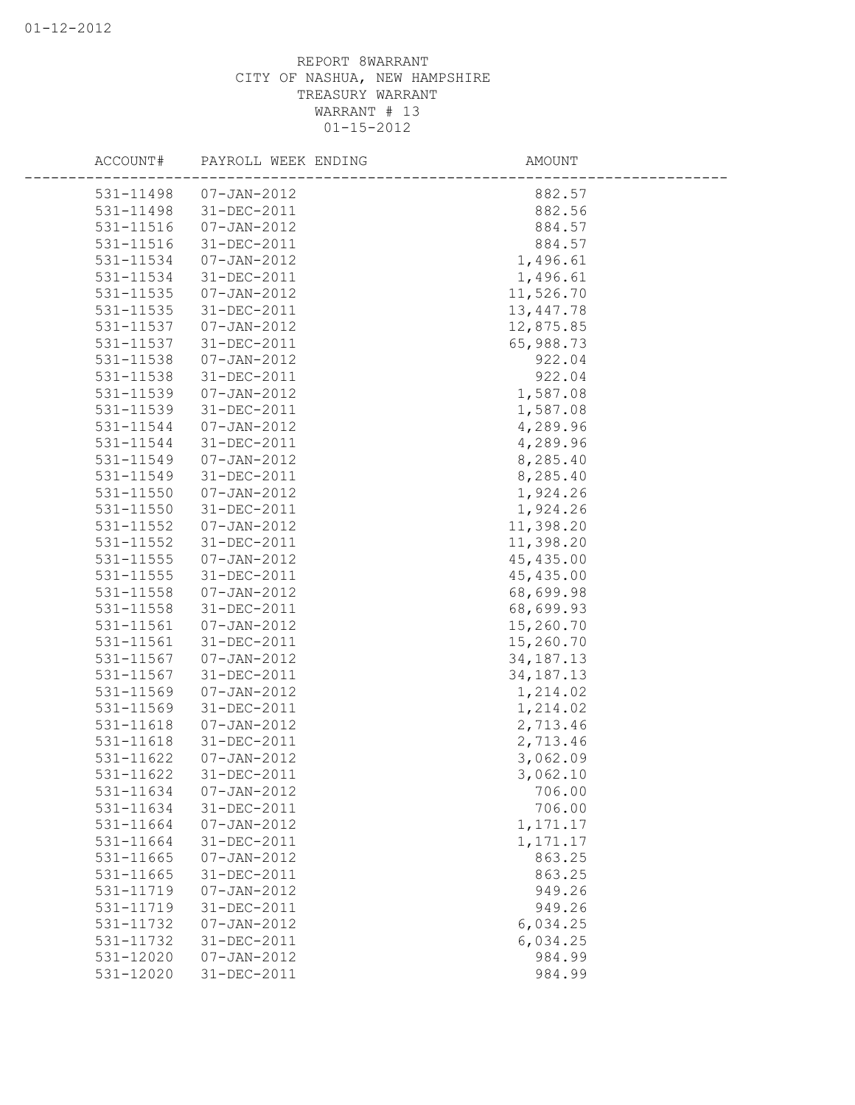| ACCOUNT#  | PAYROLL WEEK ENDING | AMOUNT      |  |
|-----------|---------------------|-------------|--|
| 531-11498 | 07-JAN-2012         | 882.57      |  |
| 531-11498 | 31-DEC-2011         | 882.56      |  |
| 531-11516 | $07 - JAN - 2012$   | 884.57      |  |
| 531-11516 | 31-DEC-2011         | 884.57      |  |
| 531-11534 | $07 - JAN - 2012$   | 1,496.61    |  |
| 531-11534 | 31-DEC-2011         | 1,496.61    |  |
| 531-11535 | $07 - JAN - 2012$   | 11,526.70   |  |
| 531-11535 | 31-DEC-2011         | 13, 447.78  |  |
| 531-11537 | $07 - JAN - 2012$   | 12,875.85   |  |
| 531-11537 | 31-DEC-2011         | 65,988.73   |  |
| 531-11538 | $07 - JAN - 2012$   | 922.04      |  |
| 531-11538 | 31-DEC-2011         | 922.04      |  |
| 531-11539 | 07-JAN-2012         | 1,587.08    |  |
| 531-11539 | 31-DEC-2011         | 1,587.08    |  |
| 531-11544 | 07-JAN-2012         | 4,289.96    |  |
| 531-11544 | 31-DEC-2011         | 4,289.96    |  |
| 531-11549 | 07-JAN-2012         | 8,285.40    |  |
| 531-11549 | 31-DEC-2011         | 8,285.40    |  |
| 531-11550 | 07-JAN-2012         | 1,924.26    |  |
| 531-11550 | 31-DEC-2011         | 1,924.26    |  |
| 531-11552 | 07-JAN-2012         | 11,398.20   |  |
| 531-11552 | 31-DEC-2011         | 11,398.20   |  |
| 531-11555 | 07-JAN-2012         | 45, 435.00  |  |
| 531-11555 | 31-DEC-2011         | 45, 435.00  |  |
| 531-11558 | 07-JAN-2012         | 68,699.98   |  |
| 531-11558 | 31-DEC-2011         | 68,699.93   |  |
| 531-11561 | $07 - JAN - 2012$   | 15,260.70   |  |
| 531-11561 | 31-DEC-2011         | 15,260.70   |  |
| 531-11567 | $07 - JAN - 2012$   | 34, 187. 13 |  |
| 531-11567 | 31-DEC-2011         | 34, 187. 13 |  |
| 531-11569 | $07 - JAN - 2012$   | 1,214.02    |  |
| 531-11569 | 31-DEC-2011         | 1,214.02    |  |
| 531-11618 | $07 - JAN - 2012$   | 2,713.46    |  |
| 531-11618 | 31-DEC-2011         | 2,713.46    |  |
| 531-11622 | $07 - JAN - 2012$   | 3,062.09    |  |
| 531-11622 | 31-DEC-2011         | 3,062.10    |  |
| 531-11634 | $07 - JAN - 2012$   | 706.00      |  |
| 531-11634 | 31-DEC-2011         | 706.00      |  |
| 531-11664 | $07 - JAN - 2012$   | 1, 171.17   |  |
| 531-11664 | 31-DEC-2011         | 1, 171.17   |  |
| 531-11665 | $07 - JAN - 2012$   | 863.25      |  |
| 531-11665 | 31-DEC-2011         | 863.25      |  |
| 531-11719 | $07 - JAN - 2012$   | 949.26      |  |
| 531-11719 | 31-DEC-2011         | 949.26      |  |
| 531-11732 | $07 - JAN - 2012$   | 6,034.25    |  |
| 531-11732 | 31-DEC-2011         | 6,034.25    |  |
| 531-12020 | $07 - JAN - 2012$   | 984.99      |  |
| 531-12020 | 31-DEC-2011         | 984.99      |  |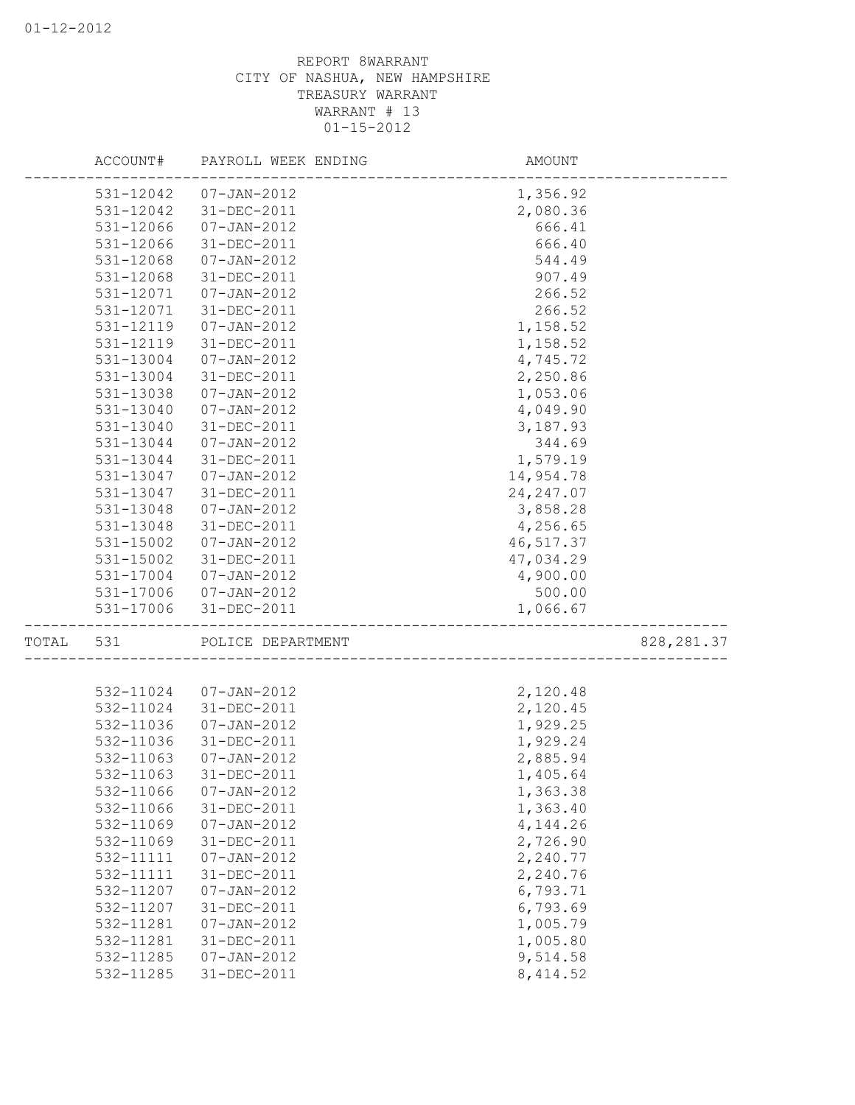|       |           | ACCOUNT# PAYROLL WEEK ENDING | AMOUNT                             |             |
|-------|-----------|------------------------------|------------------------------------|-------------|
|       |           | 531-12042  07-JAN-2012       | 1,356.92                           |             |
|       | 531-12042 | 31-DEC-2011                  | 2,080.36                           |             |
|       | 531-12066 | $07 - JAN - 2012$            | 666.41                             |             |
|       | 531-12066 | 31-DEC-2011                  | 666.40                             |             |
|       | 531-12068 | 07-JAN-2012                  | 544.49                             |             |
|       | 531-12068 | 31-DEC-2011                  | 907.49                             |             |
|       | 531-12071 | 07-JAN-2012                  | 266.52                             |             |
|       | 531-12071 | 31-DEC-2011                  | 266.52                             |             |
|       | 531-12119 | 07-JAN-2012                  | 1,158.52                           |             |
|       | 531-12119 | 31-DEC-2011                  | 1,158.52                           |             |
|       | 531-13004 | 07-JAN-2012                  | 4,745.72                           |             |
|       | 531-13004 | 31-DEC-2011                  | 2,250.86                           |             |
|       | 531-13038 | 07-JAN-2012                  | 1,053.06                           |             |
|       | 531-13040 | 07-JAN-2012                  | 4,049.90                           |             |
|       | 531-13040 | 31-DEC-2011                  | 3,187.93                           |             |
|       | 531-13044 | 07-JAN-2012                  | 344.69                             |             |
|       | 531-13044 | 31-DEC-2011                  | 1,579.19                           |             |
|       | 531-13047 | 07-JAN-2012                  | 14,954.78                          |             |
|       | 531-13047 | 31-DEC-2011                  | 24, 247.07                         |             |
|       | 531-13048 | 07-JAN-2012                  | 3,858.28                           |             |
|       | 531-13048 | 31-DEC-2011                  | 4,256.65                           |             |
|       | 531-15002 | 07-JAN-2012                  | 46, 517.37                         |             |
|       | 531-15002 | 31-DEC-2011                  | 47,034.29                          |             |
|       | 531-17004 | 07-JAN-2012                  | 4,900.00                           |             |
|       |           | 531-17006 07-JAN-2012        | 500.00                             |             |
|       | 531-17006 | 31-DEC-2011                  | 1,066.67                           |             |
| TOTAL | 531       | POLICE DEPARTMENT            | __________________________________ | 828, 281.37 |
|       |           |                              |                                    |             |
|       | 532-11024 | 07-JAN-2012                  | 2,120.48                           |             |
|       | 532-11024 | 31-DEC-2011                  | 2,120.45                           |             |
|       | 532-11036 | $07 - JAN - 2012$            | 1,929.25                           |             |
|       | 532-11036 | 31-DEC-2011                  | 1,929.24                           |             |
|       | 532-11063 | $07 - JAN - 2012$            | 2,885.94                           |             |
|       | 532-11063 | 31-DEC-2011                  | 1,405.64                           |             |
|       | 532-11066 | $07 - JAN - 2012$            | 1,363.38                           |             |
|       | 532-11066 | 31-DEC-2011                  | 1,363.40                           |             |
|       | 532-11069 | $07 - JAN - 2012$            | 4, 144.26                          |             |
|       | 532-11069 | 31-DEC-2011                  | 2,726.90                           |             |
|       | 532-11111 | $07 - JAN - 2012$            | 2,240.77                           |             |
|       | 532-11111 | 31-DEC-2011                  | 2,240.76                           |             |
|       | 532-11207 | $07 - JAN - 2012$            | 6,793.71                           |             |
|       | 532-11207 | 31-DEC-2011                  | 6,793.69                           |             |
|       | 532-11281 | $07 - JAN - 2012$            | 1,005.79                           |             |
|       | 532-11281 | 31-DEC-2011                  | 1,005.80                           |             |
|       | 532-11285 | $07 - JAN - 2012$            | 9,514.58                           |             |
|       | 532-11285 | 31-DEC-2011                  | 8, 414.52                          |             |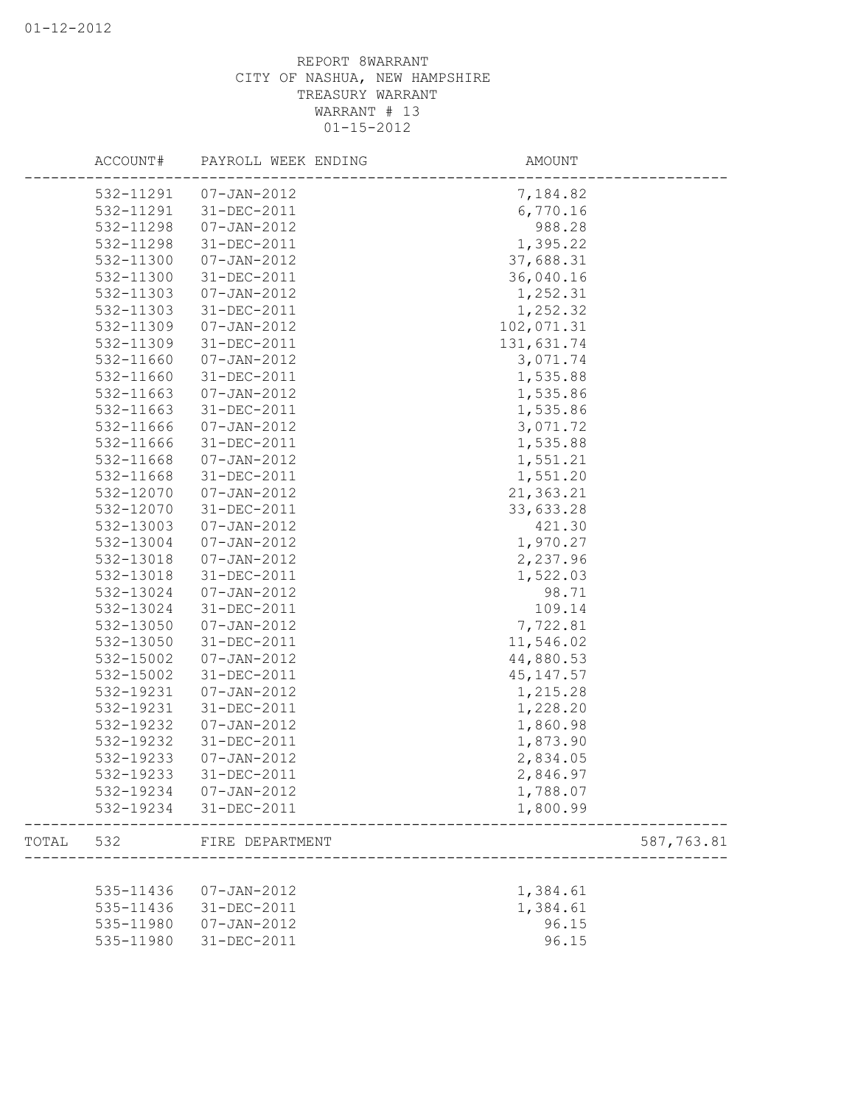|       | ACCOUNT#               | PAYROLL WEEK ENDING              | AMOUNT               |            |
|-------|------------------------|----------------------------------|----------------------|------------|
|       |                        | 532-11291  07-JAN-2012           | 7,184.82             |            |
|       | 532-11291              | 31-DEC-2011                      | 6,770.16             |            |
|       | 532-11298              | $07 - JAN - 2012$                | 988.28               |            |
|       | 532-11298              | 31-DEC-2011                      | 1,395.22             |            |
|       | 532-11300              | $07 - JAN - 2012$                | 37,688.31            |            |
|       | 532-11300              | 31-DEC-2011                      | 36,040.16            |            |
|       | 532-11303              | $07 - JAN - 2012$                | 1,252.31             |            |
|       | 532-11303              | 31-DEC-2011                      | 1,252.32             |            |
|       | 532-11309              | $07 - JAN - 2012$                | 102,071.31           |            |
|       | 532-11309              | 31-DEC-2011                      | 131,631.74           |            |
|       | 532-11660              | $07 - JAN - 2012$                | 3,071.74             |            |
|       | 532-11660              | 31-DEC-2011                      | 1,535.88             |            |
|       | 532-11663              | $07 - JAN - 2012$                | 1,535.86             |            |
|       | 532-11663              | 31-DEC-2011                      | 1,535.86             |            |
|       | 532-11666              | $07 - JAN - 2012$                | 3,071.72             |            |
|       | 532-11666              | 31-DEC-2011                      | 1,535.88             |            |
|       | 532-11668              | $07 - JAN - 2012$                | 1,551.21             |            |
|       | 532-11668              | 31-DEC-2011                      | 1,551.20             |            |
|       | 532-12070              | 07-JAN-2012                      | 21,363.21            |            |
|       | 532-12070              | 31-DEC-2011                      | 33,633.28            |            |
|       | 532-13003              | 07-JAN-2012                      | 421.30               |            |
|       | 532-13004              | $07 - JAN - 2012$                | 1,970.27             |            |
|       | 532-13018              | $07 - JAN - 2012$                | 2,237.96             |            |
|       | 532-13018              | 31-DEC-2011                      | 1,522.03             |            |
|       | 532-13024              | $07 - JAN - 2012$                | 98.71                |            |
|       | 532-13024              | 31-DEC-2011                      | 109.14               |            |
|       | 532-13050              | $07 - JAN - 2012$                | 7,722.81             |            |
|       | 532-13050              | 31-DEC-2011                      | 11,546.02            |            |
|       | 532-15002              | $07 - JAN - 2012$                | 44,880.53            |            |
|       | 532-15002              | 31-DEC-2011                      | 45, 147.57           |            |
|       | 532-19231              | $07 - JAN - 2012$                | 1,215.28             |            |
|       | 532-19231              | 31-DEC-2011                      | 1,228.20             |            |
|       | 532-19232              | $07 - JAN - 2012$                | 1,860.98             |            |
|       | 532-19232              |                                  |                      |            |
|       |                        | $31 - DEC - 2011$                | 1,873.90             |            |
|       | 532-19233              | $07 - JAN - 2012$                | 2,834.05             |            |
|       | 532-19233              | 31-DEC-2011                      | 2,846.97             |            |
|       | 532-19234<br>532-19234 | $07 - JAN - 2012$<br>31-DEC-2011 | 1,788.07<br>1,800.99 |            |
| TOTAL | 532                    | FIRE DEPARTMENT                  |                      | 587,763.81 |
|       |                        |                                  |                      |            |
|       | 535-11436              | $07 - JAN - 2012$                | 1,384.61             |            |
|       | 535-11436              | 31-DEC-2011                      | 1,384.61             |            |
|       | 535-11980              | $07 - JAN - 2012$                | 96.15                |            |
|       | 535-11980              | 31-DEC-2011                      | 96.15                |            |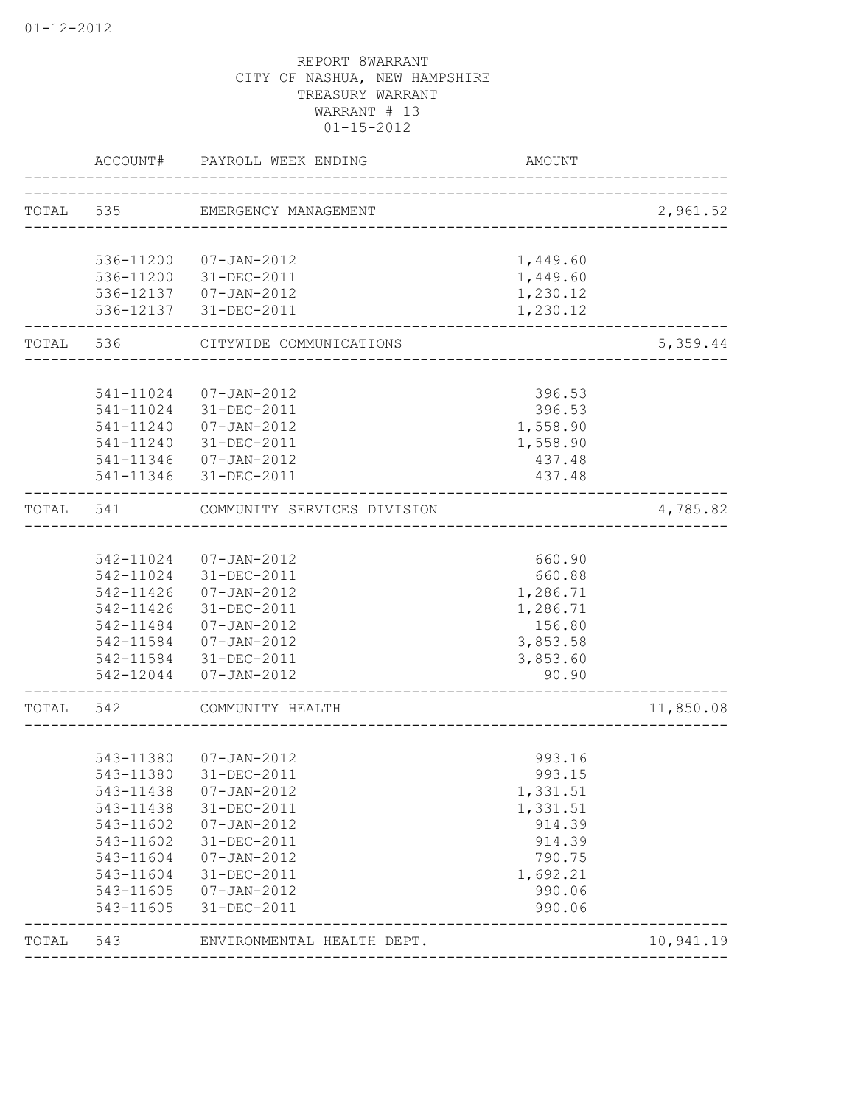|       | ACCOUNT#               | PAYROLL WEEK ENDING                             | <b>AMOUNT</b>        |           |
|-------|------------------------|-------------------------------------------------|----------------------|-----------|
|       |                        | TOTAL 535 EMERGENCY MANAGEMENT                  |                      | 2,961.52  |
|       |                        |                                                 |                      |           |
|       | 536-11200              | 07-JAN-2012                                     | 1,449.60             |           |
|       | 536-11200              | 31-DEC-2011                                     | 1,449.60             |           |
|       |                        | 536-12137  07-JAN-2012<br>536-12137 31-DEC-2011 | 1,230.12<br>1,230.12 |           |
| TOTAL | 536                    | CITYWIDE COMMUNICATIONS                         |                      | 5,359.44  |
|       |                        |                                                 |                      |           |
|       |                        | 541-11024 07-JAN-2012                           | 396.53               |           |
|       |                        | 541-11024 31-DEC-2011                           | 396.53               |           |
|       |                        | 541-11240 07-JAN-2012                           | 1,558.90             |           |
|       |                        | 541-11240 31-DEC-2011                           | 1,558.90             |           |
|       |                        | 541-11346 07-JAN-2012<br>541-11346 31-DEC-2011  | 437.48<br>437.48     |           |
| TOTAL | 541                    | COMMUNITY SERVICES DIVISION                     |                      | 4,785.82  |
|       |                        |                                                 |                      |           |
|       |                        | 542-11024 07-JAN-2012                           | 660.90               |           |
|       |                        | 542-11024 31-DEC-2011                           | 660.88               |           |
|       | 542-11426              | 07-JAN-2012                                     | 1,286.71             |           |
|       | 542-11426              | 31-DEC-2011                                     | 1,286.71             |           |
|       | 542-11484              | 07-JAN-2012                                     | 156.80               |           |
|       | 542-11584              | 07-JAN-2012                                     | 3,853.58             |           |
|       | 542-11584              | 31-DEC-2011                                     | 3,853.60             |           |
|       | 542-12044              | $07 - JAN - 2012$                               | 90.90                |           |
| TOTAL | 542                    | COMMUNITY HEALTH                                |                      | 11,850.08 |
|       |                        |                                                 |                      |           |
|       | 543-11380              | 07-JAN-2012                                     | 993.16               |           |
|       | 543-11380              | 31-DEC-2011                                     | 993.15               |           |
|       | 543-11438              | $07 - JAN - 2012$                               | 1,331.51             |           |
|       | 543-11438              | 31-DEC-2011                                     | 1,331.51             |           |
|       | 543-11602              | $07 - JAN - 2012$                               | 914.39               |           |
|       | 543-11602              | 31-DEC-2011                                     | 914.39               |           |
|       | 543-11604              | $07 - JAN - 2012$                               | 790.75               |           |
|       | 543-11604              | 31-DEC-2011                                     | 1,692.21             |           |
|       | 543-11605<br>543-11605 | $07 - JAN - 2012$<br>31-DEC-2011                | 990.06<br>990.06     |           |
| TOTAL | 543                    | ENVIRONMENTAL HEALTH DEPT.                      |                      | 10,941.19 |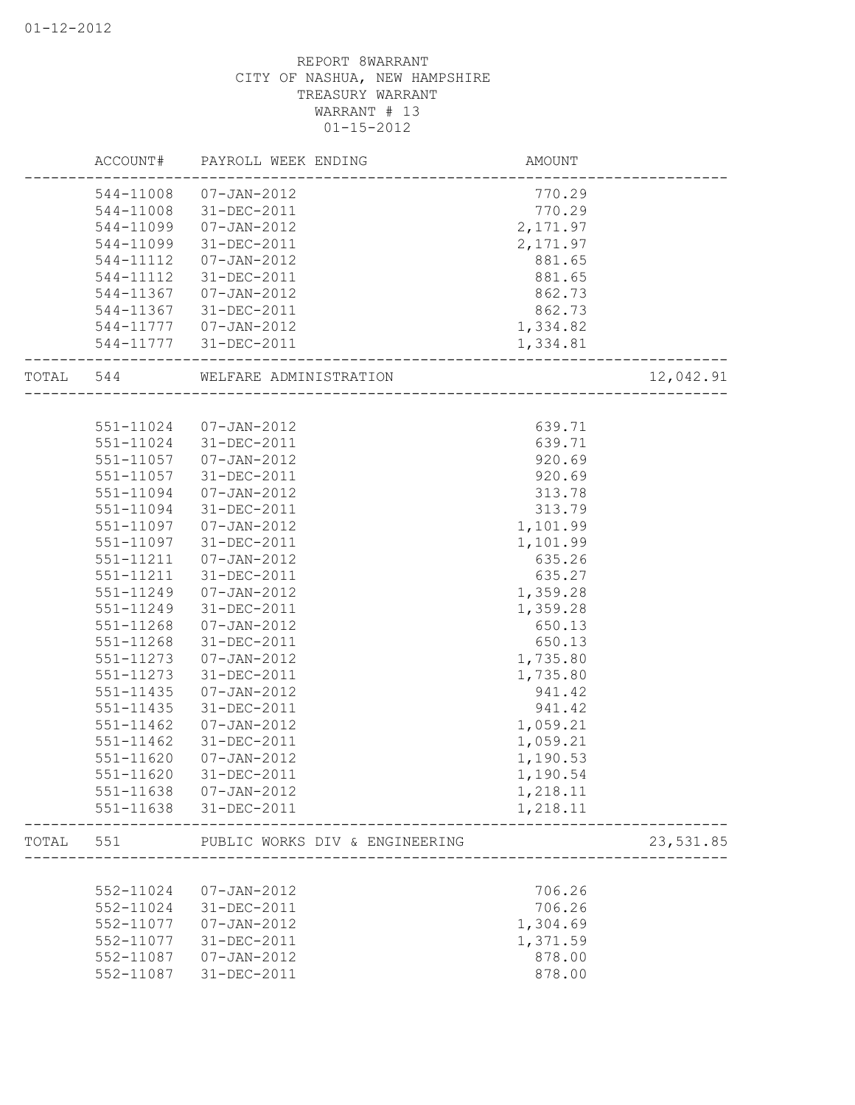|           | ACCOUNT#  | PAYROLL WEEK ENDING            | AMOUNT    |           |
|-----------|-----------|--------------------------------|-----------|-----------|
|           | 544-11008 | 07-JAN-2012                    | 770.29    |           |
|           | 544-11008 | 31-DEC-2011                    | 770.29    |           |
|           | 544-11099 | $07 - JAN - 2012$              | 2,171.97  |           |
|           | 544-11099 | 31-DEC-2011                    | 2, 171.97 |           |
|           | 544-11112 | $07 - JAN - 2012$              | 881.65    |           |
|           | 544-11112 | 31-DEC-2011                    | 881.65    |           |
|           | 544-11367 | $07 - JAN - 2012$              | 862.73    |           |
|           | 544-11367 | 31-DEC-2011                    | 862.73    |           |
|           | 544-11777 | 07-JAN-2012                    | 1,334.82  |           |
|           | 544-11777 | 31-DEC-2011                    | 1,334.81  |           |
| TOTAL 544 |           | WELFARE ADMINISTRATION         |           | 12,042.91 |
|           |           |                                |           |           |
|           | 551-11024 | 07-JAN-2012                    | 639.71    |           |
|           | 551-11024 | 31-DEC-2011                    | 639.71    |           |
|           | 551-11057 | 07-JAN-2012                    | 920.69    |           |
|           | 551-11057 | 31-DEC-2011                    | 920.69    |           |
|           | 551-11094 | 07-JAN-2012                    | 313.78    |           |
|           | 551-11094 | 31-DEC-2011                    | 313.79    |           |
|           | 551-11097 | $07 - JAN - 2012$              | 1,101.99  |           |
|           | 551-11097 | 31-DEC-2011                    | 1,101.99  |           |
|           | 551-11211 | 07-JAN-2012                    | 635.26    |           |
|           | 551-11211 | 31-DEC-2011                    | 635.27    |           |
|           | 551-11249 | 07-JAN-2012                    | 1,359.28  |           |
|           | 551-11249 | 31-DEC-2011                    | 1,359.28  |           |
|           | 551-11268 | $07 - JAN - 2012$              | 650.13    |           |
|           | 551-11268 | 31-DEC-2011                    | 650.13    |           |
|           | 551-11273 | $07 - JAN - 2012$              | 1,735.80  |           |
|           | 551-11273 | 31-DEC-2011                    | 1,735.80  |           |
|           | 551-11435 | $07 - JAN - 2012$              | 941.42    |           |
|           | 551-11435 | 31-DEC-2011                    | 941.42    |           |
|           | 551-11462 | $07 - JAN - 2012$              | 1,059.21  |           |
|           | 551-11462 | 31-DEC-2011                    | 1,059.21  |           |
|           | 551-11620 | $07 - JAN - 2012$              | 1,190.53  |           |
|           | 551-11620 | 31-DEC-2011                    | 1,190.54  |           |
|           | 551-11638 | $07 - JAN - 2012$              | 1,218.11  |           |
|           | 551-11638 | 31-DEC-2011                    | 1,218.11  |           |
| TOTAL     | 551       | PUBLIC WORKS DIV & ENGINEERING |           | 23,531.85 |
|           |           |                                |           |           |
|           | 552-11024 | $07 - JAN - 2012$              | 706.26    |           |
|           | 552-11024 | 31-DEC-2011                    | 706.26    |           |
|           | 552-11077 | $07 - JAN - 2012$              | 1,304.69  |           |
|           | 552-11077 | 31-DEC-2011                    | 1,371.59  |           |
|           | 552-11087 | $07 - JAN - 2012$              | 878.00    |           |
|           | 552-11087 | 31-DEC-2011                    | 878.00    |           |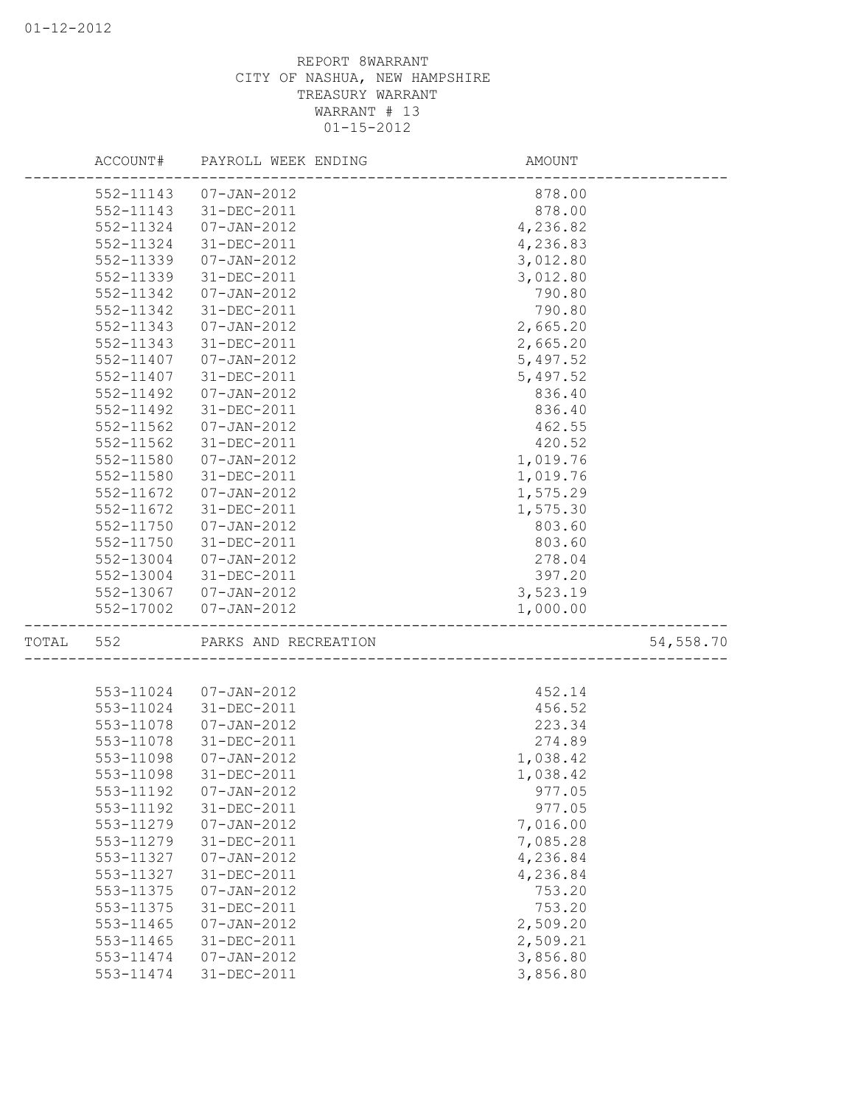|           | ACCOUNT# PAYROLL WEEK ENDING | AMOUNT                       |           |
|-----------|------------------------------|------------------------------|-----------|
|           | 552-11143  07-JAN-2012       | 878.00                       |           |
| 552-11143 | 31-DEC-2011                  | 878.00                       |           |
| 552-11324 | $07 - JAN - 2012$            | 4,236.82                     |           |
| 552-11324 | 31-DEC-2011                  | 4,236.83                     |           |
| 552-11339 | 07-JAN-2012                  | 3,012.80                     |           |
| 552-11339 | 31-DEC-2011                  | 3,012.80                     |           |
| 552-11342 | 07-JAN-2012                  | 790.80                       |           |
| 552-11342 | 31-DEC-2011                  | 790.80                       |           |
| 552-11343 | 07-JAN-2012                  | 2,665.20                     |           |
| 552-11343 | 31-DEC-2011                  | 2,665.20                     |           |
| 552-11407 | 07-JAN-2012                  | 5,497.52                     |           |
| 552-11407 | 31-DEC-2011                  | 5,497.52                     |           |
| 552-11492 | 07-JAN-2012                  | 836.40                       |           |
| 552-11492 | 31-DEC-2011                  | 836.40                       |           |
| 552-11562 | 07-JAN-2012                  | 462.55                       |           |
| 552-11562 | 31-DEC-2011                  | 420.52                       |           |
| 552-11580 | 07-JAN-2012                  | 1,019.76                     |           |
| 552-11580 | 31-DEC-2011                  | 1,019.76                     |           |
| 552-11672 | 07-JAN-2012                  | 1,575.29                     |           |
| 552-11672 | 31-DEC-2011                  | 1,575.30                     |           |
|           | 552-11750 07-JAN-2012        | 803.60                       |           |
| 552-11750 | 31-DEC-2011                  | 803.60                       |           |
| 552-13004 | 07-JAN-2012                  | 278.04                       |           |
|           | 552-13004 31-DEC-2011        | 397.20                       |           |
|           | 552-13067 07-JAN-2012        | 3,523.19                     |           |
| 552-17002 | $07 - JAN - 2012$            | 1,000.00                     |           |
| TOTAL 552 | PARKS AND RECREATION         | ____________________________ | 54,558.70 |
|           |                              |                              |           |
| 553-11024 | 07-JAN-2012                  | 452.14                       |           |
| 553-11024 | 31-DEC-2011                  | 456.52                       |           |
| 553-11078 | $07 - JAN - 2012$            | 223.34                       |           |
| 553-11078 | 31-DEC-2011                  | 274.89                       |           |
| 553-11098 | $07 - JAN - 2012$            | 1,038.42                     |           |
| 553-11098 | 31-DEC-2011                  | 1,038.42                     |           |
| 553-11192 | $07 - JAN - 2012$            | 977.05                       |           |
| 553-11192 | 31-DEC-2011                  | 977.05                       |           |
| 553-11279 | $07 - JAN - 2012$            | 7,016.00                     |           |
| 553-11279 | 31-DEC-2011                  | 7,085.28                     |           |
| 553-11327 | $07 - JAN - 2012$            | 4,236.84                     |           |
| 553-11327 | 31-DEC-2011                  | 4,236.84                     |           |
| 553-11375 | $07 - JAN - 2012$            | 753.20                       |           |
| 553-11375 | 31-DEC-2011                  | 753.20                       |           |
| 553-11465 | $07 - JAN - 2012$            | 2,509.20                     |           |
| 553-11465 | 31-DEC-2011                  | 2,509.21                     |           |
| 553-11474 | $07 - JAN - 2012$            | 3,856.80                     |           |
| 553-11474 | 31-DEC-2011                  | 3,856.80                     |           |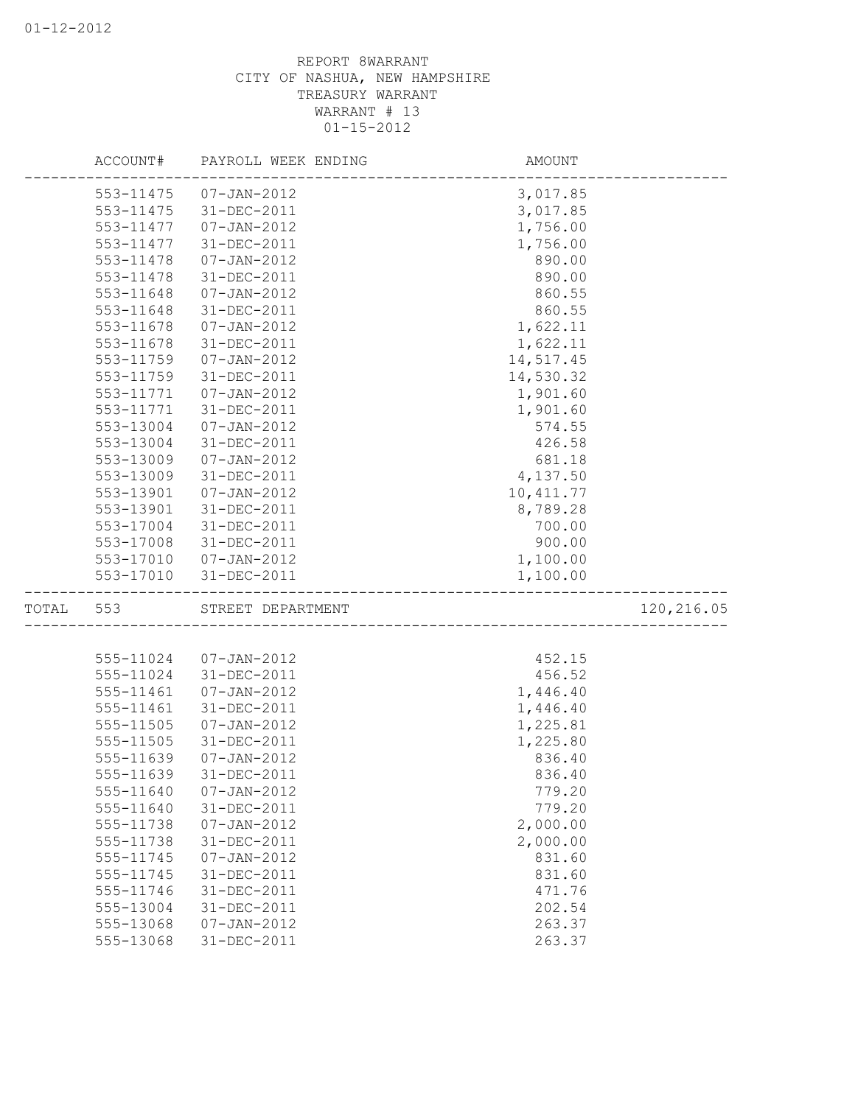|           |           | ACCOUNT# PAYROLL WEEK ENDING | AMOUNT                             |            |
|-----------|-----------|------------------------------|------------------------------------|------------|
|           | 553-11475 | 07-JAN-2012                  | 3,017.85                           |            |
|           | 553-11475 | 31-DEC-2011                  | 3,017.85                           |            |
|           | 553-11477 | $07 - JAN - 2012$            | 1,756.00                           |            |
|           | 553-11477 | 31-DEC-2011                  | 1,756.00                           |            |
|           | 553-11478 | $07 - JAN - 2012$            | 890.00                             |            |
|           | 553-11478 | 31-DEC-2011                  | 890.00                             |            |
|           | 553-11648 | $07 - JAN - 2012$            | 860.55                             |            |
|           | 553-11648 | 31-DEC-2011                  | 860.55                             |            |
|           | 553-11678 | $07 - JAN - 2012$            | 1,622.11                           |            |
|           | 553-11678 | 31-DEC-2011                  | 1,622.11                           |            |
|           | 553-11759 | 07-JAN-2012                  | 14,517.45                          |            |
|           | 553-11759 | 31-DEC-2011                  | 14,530.32                          |            |
|           | 553-11771 | 07-JAN-2012                  | 1,901.60                           |            |
|           | 553-11771 | 31-DEC-2011                  | 1,901.60                           |            |
|           | 553-13004 | 07-JAN-2012                  | 574.55                             |            |
|           | 553-13004 | 31-DEC-2011                  | 426.58                             |            |
|           | 553-13009 | $07 - JAN - 2012$            | 681.18                             |            |
|           | 553-13009 | 31-DEC-2011                  | 4,137.50                           |            |
|           | 553-13901 | $07 - JAN - 2012$            | 10, 411.77                         |            |
|           | 553-13901 | 31-DEC-2011                  | 8,789.28                           |            |
|           | 553-17004 | 31-DEC-2011                  | 700.00                             |            |
|           | 553-17008 | 31-DEC-2011                  | 900.00                             |            |
|           |           | 553-17010 07-JAN-2012        | 1,100.00                           |            |
|           |           | 553-17010 31-DEC-2011        | 1,100.00                           |            |
| TOTAL 553 |           | STREET DEPARTMENT            | ---------------------------------- | 120,216.05 |
|           |           |                              |                                    |            |
|           | 555-11024 | 07-JAN-2012                  | 452.15                             |            |
|           | 555-11024 | 31-DEC-2011                  | 456.52                             |            |
|           | 555-11461 | $07 - JAN - 2012$            | 1,446.40                           |            |
|           | 555-11461 | 31-DEC-2011                  | 1,446.40                           |            |
|           | 555-11505 | $07 - JAN - 2012$            | 1,225.81                           |            |
|           | 555-11505 | 31-DEC-2011                  | 1,225.80                           |            |
|           | 555-11639 | $07 - JAN - 2012$            | 836.40                             |            |
|           | 555-11639 | 31-DEC-2011                  | 836.40                             |            |
|           | 555-11640 | $07 - JAN - 2012$            | 779.20                             |            |
|           | 555-11640 | 31-DEC-2011                  | 779.20                             |            |
|           | 555-11738 | $07 - JAN - 2012$            | 2,000.00                           |            |
|           | 555-11738 | 31-DEC-2011                  | 2,000.00                           |            |
|           | 555-11745 | $07 - JAN - 2012$            | 831.60                             |            |
|           | 555-11745 | 31-DEC-2011                  | 831.60                             |            |
|           | 555-11746 | 31-DEC-2011                  | 471.76                             |            |
|           | 555-13004 | 31-DEC-2011                  | 202.54                             |            |
|           | 555-13068 | $07 - JAN - 2012$            | 263.37                             |            |
|           | 555-13068 | 31-DEC-2011                  | 263.37                             |            |
|           |           |                              |                                    |            |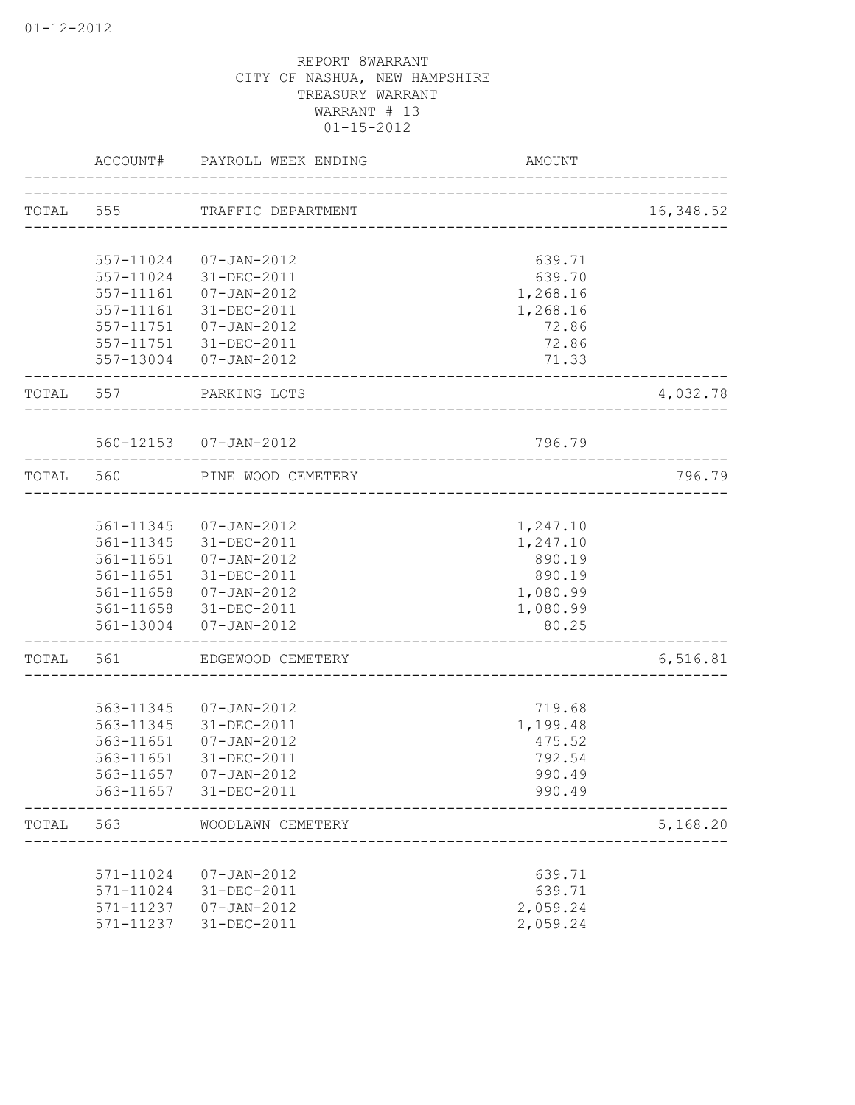|           | ACCOUNT#               | PAYROLL WEEK ENDING                                     | AMOUNT                  |           |
|-----------|------------------------|---------------------------------------------------------|-------------------------|-----------|
|           |                        | TOTAL 555 TRAFFIC DEPARTMENT                            |                         | 16,348.52 |
|           |                        |                                                         | _______________________ |           |
|           | 557-11024              | 07-JAN-2012                                             | 639.71                  |           |
|           | 557-11024              | 31-DEC-2011                                             | 639.70                  |           |
|           | 557-11161              | 07-JAN-2012                                             | 1,268.16                |           |
|           | 557-11161              | 31-DEC-2011                                             | 1,268.16                |           |
|           |                        | 557-11751 07-JAN-2012                                   | 72.86                   |           |
|           |                        | 557-11751 31-DEC-2011                                   | 72.86                   |           |
|           |                        | 557-13004 07-JAN-2012                                   | 71.33                   |           |
| TOTAL 557 |                        | PARKING LOTS                                            |                         | 4,032.78  |
|           |                        | 560-12153  07-JAN-2012                                  | 796.79                  |           |
| TOTAL 560 |                        | _________________________________<br>PINE WOOD CEMETERY |                         | 796.79    |
|           |                        |                                                         |                         |           |
|           |                        | 561-11345  07-JAN-2012                                  | 1,247.10                |           |
|           |                        | 561-11345 31-DEC-2011                                   | 1,247.10                |           |
|           |                        | 561-11651  07-JAN-2012                                  | 890.19                  |           |
|           |                        | 561-11651 31-DEC-2011                                   | 890.19                  |           |
|           |                        | 561-11658  07-JAN-2012                                  | 1,080.99                |           |
|           |                        | 561-11658 31-DEC-2011<br>561-13004 07-JAN-2012          | 1,080.99<br>80.25       |           |
| TOTAL     | 561                    | -------------------------<br>EDGEWOOD CEMETERY          |                         | 6, 516.81 |
|           |                        |                                                         |                         |           |
|           |                        | 563-11345 07-JAN-2012                                   | 719.68                  |           |
|           |                        | 563-11345 31-DEC-2011                                   | 1,199.48                |           |
|           | 563-11651              | 07-JAN-2012                                             | 475.52                  |           |
|           | 563-11651              | 31-DEC-2011                                             | 792.54                  |           |
|           | 563-11657              | $07 - JAN - 2012$                                       | 990.49                  |           |
|           | 563-11657              | 31-DEC-2011                                             | 990.49                  |           |
| TOTAL     | 563                    | WOODLAWN CEMETERY                                       |                         | 5,168.20  |
|           |                        | $07 - JAN - 2012$                                       |                         |           |
|           | 571-11024<br>571-11024 | 31-DEC-2011                                             | 639.71<br>639.71        |           |
|           | 571-11237              | $07 - JAN - 2012$                                       | 2,059.24                |           |
|           | 571-11237              | 31-DEC-2011                                             | 2,059.24                |           |
|           |                        |                                                         |                         |           |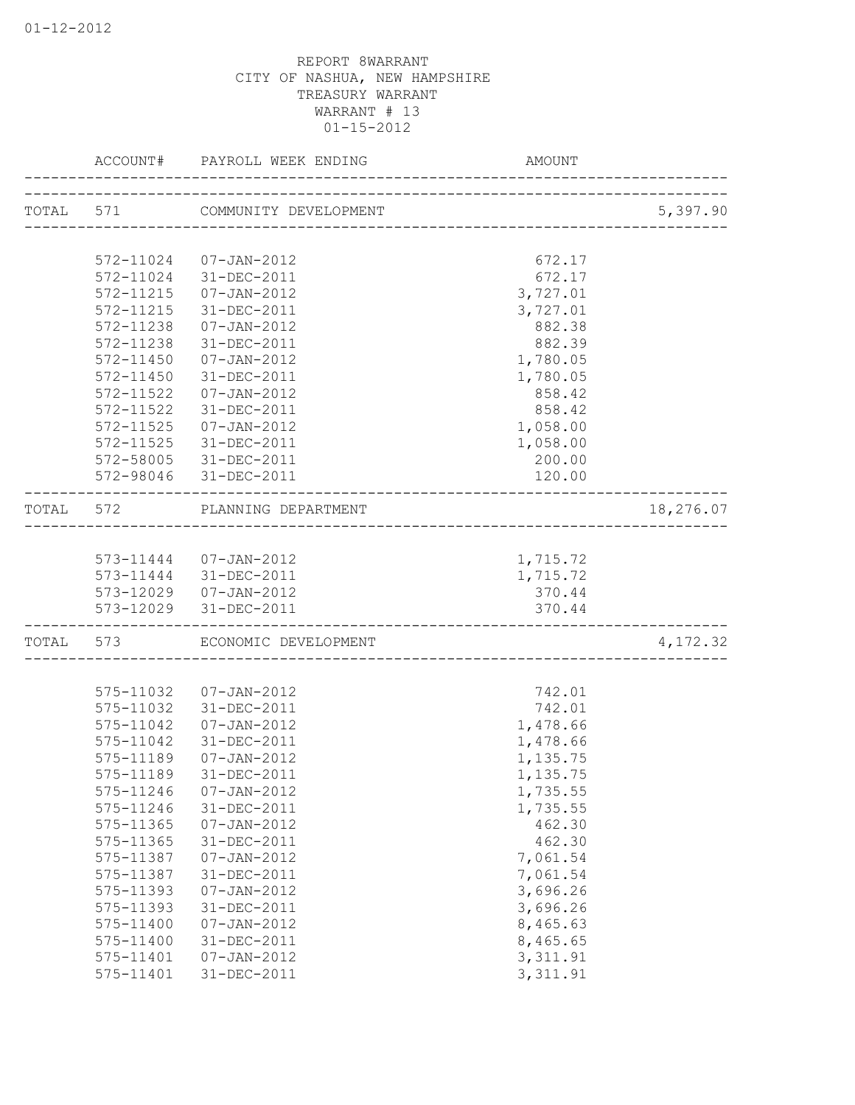|       |                        | ACCOUNT# PAYROLL WEEK ENDING     | AMOUNT                  |           |
|-------|------------------------|----------------------------------|-------------------------|-----------|
|       |                        | TOTAL 571 COMMUNITY DEVELOPMENT  | _______________________ | 5,397.90  |
|       |                        |                                  |                         |           |
|       | 572-11024              | 07-JAN-2012                      | 672.17                  |           |
|       | 572-11024              | 31-DEC-2011                      | 672.17                  |           |
|       | 572-11215              | $07 - JAN - 2012$                | 3,727.01                |           |
|       | 572-11215              | 31-DEC-2011                      | 3,727.01                |           |
|       | 572-11238              | $07 - JAN - 2012$                | 882.38                  |           |
|       | 572-11238              | 31-DEC-2011                      | 882.39                  |           |
|       | 572-11450              | $07 - JAN - 2012$                | 1,780.05                |           |
|       | 572-11450              | 31-DEC-2011                      | 1,780.05                |           |
|       | 572-11522              | $07 - JAN - 2012$                | 858.42                  |           |
|       | 572-11522              | 31-DEC-2011                      | 858.42                  |           |
|       | 572-11525              | 07-JAN-2012                      | 1,058.00                |           |
|       |                        | 572-11525 31-DEC-2011            | 1,058.00                |           |
|       |                        | 572-58005 31-DEC-2011            | 200.00                  |           |
|       |                        | 572-98046 31-DEC-2011            | 120.00                  |           |
| TOTAL | 572                    | PLANNING DEPARTMENT              |                         | 18,276.07 |
|       |                        |                                  |                         |           |
|       |                        | 573-11444 07-JAN-2012            | 1,715.72                |           |
|       |                        | 573-11444 31-DEC-2011            | 1,715.72                |           |
|       |                        | 573-12029  07-JAN-2012           | 370.44                  |           |
|       |                        | 573-12029 31-DEC-2011            | 370.44                  |           |
| TOTAL | 573                    | ECONOMIC DEVELOPMENT             |                         | 4,172.32  |
|       |                        |                                  |                         |           |
|       |                        | 575-11032  07-JAN-2012           | 742.01                  |           |
|       |                        | 575-11032 31-DEC-2011            | 742.01                  |           |
|       | 575-11042              | $07 - JAN - 2012$                | 1,478.66                |           |
|       | 575-11042              | 31-DEC-2011                      | 1,478.66                |           |
|       | 575-11189              | $07 - JAN - 2012$                | 1,135.75                |           |
|       | 575-11189              | 31-DEC-2011                      | 1,135.75                |           |
|       | 575-11246<br>575-11246 | $07 - JAN - 2012$                | 1,735.55                |           |
|       |                        | 31-DEC-2011                      | 1,735.55                |           |
|       | 575-11365              | $07 - JAN - 2012$                | 462.30                  |           |
|       | 575-11365              | 31-DEC-2011                      | 462.30                  |           |
|       | 575-11387<br>575-11387 | $07 - JAN - 2012$                | 7,061.54<br>7,061.54    |           |
|       |                        | 31-DEC-2011                      |                         |           |
|       | 575-11393<br>575-11393 | $07 - JAN - 2012$<br>31-DEC-2011 | 3,696.26<br>3,696.26    |           |
|       | 575-11400              |                                  |                         |           |
|       | 575-11400              | $07 - JAN - 2012$<br>31-DEC-2011 | 8,465.63                |           |
|       | 575-11401              | $07 - JAN - 2012$                | 8,465.65<br>3, 311.91   |           |
|       | 575-11401              | 31-DEC-2011                      | 3, 311.91               |           |
|       |                        |                                  |                         |           |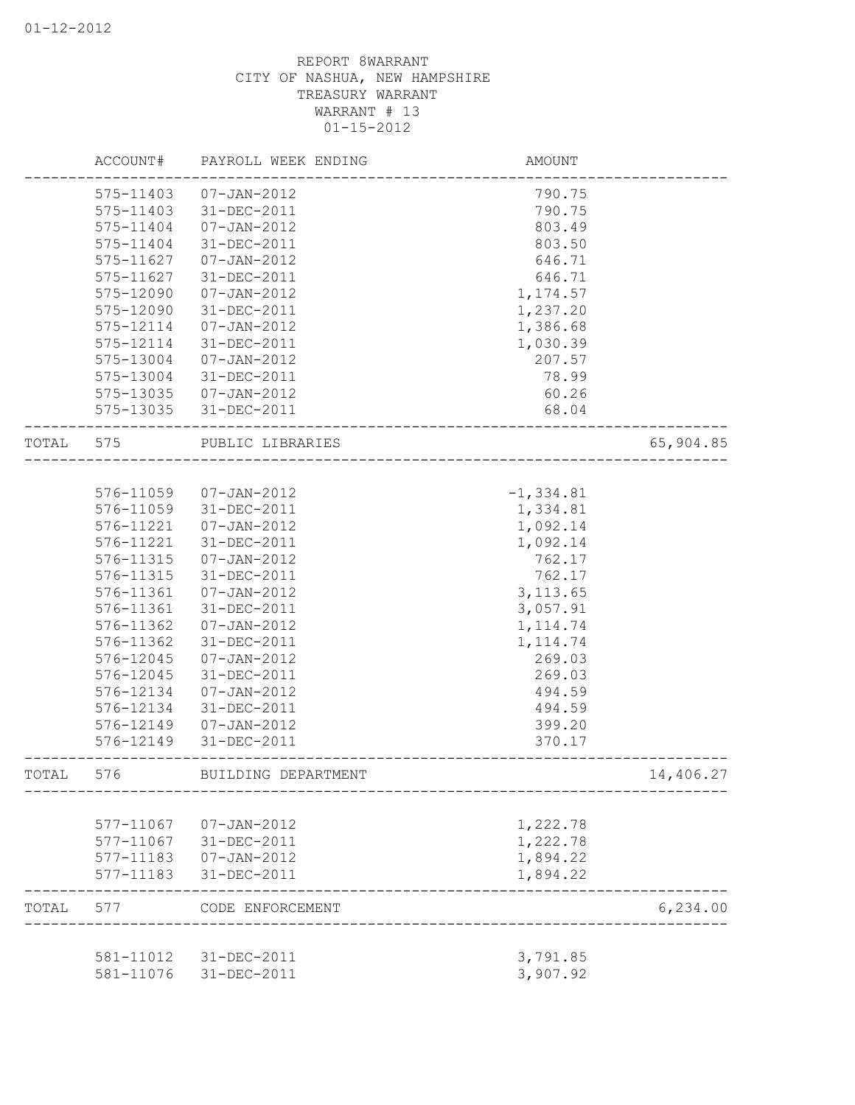|       | ACCOUNT#      | PAYROLL WEEK ENDING | AMOUNT       |           |
|-------|---------------|---------------------|--------------|-----------|
|       | 575-11403     | 07-JAN-2012         | 790.75       |           |
|       | 575-11403     | 31-DEC-2011         | 790.75       |           |
|       | 575-11404     | $07 - JAN - 2012$   | 803.49       |           |
|       | $575 - 11404$ | 31-DEC-2011         | 803.50       |           |
|       | 575-11627     | $07 - JAN - 2012$   | 646.71       |           |
|       | 575-11627     | 31-DEC-2011         | 646.71       |           |
|       | 575-12090     | $07 - JAN - 2012$   | 1, 174.57    |           |
|       | 575-12090     | 31-DEC-2011         | 1,237.20     |           |
|       | 575-12114     | $07 - JAN - 2012$   | 1,386.68     |           |
|       | 575-12114     | 31-DEC-2011         | 1,030.39     |           |
|       | 575-13004     | 07-JAN-2012         | 207.57       |           |
|       | 575-13004     | 31-DEC-2011         | 78.99        |           |
|       | 575-13035     | 07-JAN-2012         | 60.26        |           |
|       | 575-13035     | 31-DEC-2011         | 68.04        |           |
| TOTAL | 575           | PUBLIC LIBRARIES    |              | 65,904.85 |
|       |               |                     |              |           |
|       | 576-11059     | 07-JAN-2012         | $-1, 334.81$ |           |
|       | 576-11059     | 31-DEC-2011         | 1,334.81     |           |
|       | 576-11221     | $07 - JAN - 2012$   | 1,092.14     |           |
|       | 576-11221     | 31-DEC-2011         | 1,092.14     |           |
|       | 576-11315     | $07 - JAN - 2012$   | 762.17       |           |
|       | 576-11315     | 31-DEC-2011         | 762.17       |           |
|       | 576-11361     | $07 - JAN - 2012$   | 3, 113.65    |           |
|       | 576-11361     | 31-DEC-2011         | 3,057.91     |           |
|       | 576-11362     | $07 - JAN - 2012$   | 1, 114.74    |           |
|       | 576-11362     | 31-DEC-2011         | 1, 114.74    |           |
|       | 576-12045     | $07 - JAN - 2012$   | 269.03       |           |
|       | 576-12045     | 31-DEC-2011         | 269.03       |           |
|       | 576-12134     | $07 - JAN - 2012$   | 494.59       |           |
|       | 576-12134     | 31-DEC-2011         | 494.59       |           |
|       | 576-12149     | $07 - JAN - 2012$   | 399.20       |           |
|       | 576-12149     | 31-DEC-2011         | 370.17       |           |
| TOTAL | 576           | BUILDING DEPARTMENT |              | 14,406.27 |
|       |               |                     |              |           |
|       | 577-11067     | $07 - JAN - 2012$   | 1,222.78     |           |
|       | 577-11067     | 31-DEC-2011         | 1,222.78     |           |
|       | 577-11183     | $07 - JAN - 2012$   | 1,894.22     |           |
|       | 577-11183     | 31-DEC-2011         | 1,894.22     |           |
| TOTAL | 577           | CODE ENFORCEMENT    |              | 6, 234.00 |
|       | 581-11012     | 31-DEC-2011         | 3,791.85     |           |
|       | 581-11076     | 31-DEC-2011         | 3,907.92     |           |
|       |               |                     |              |           |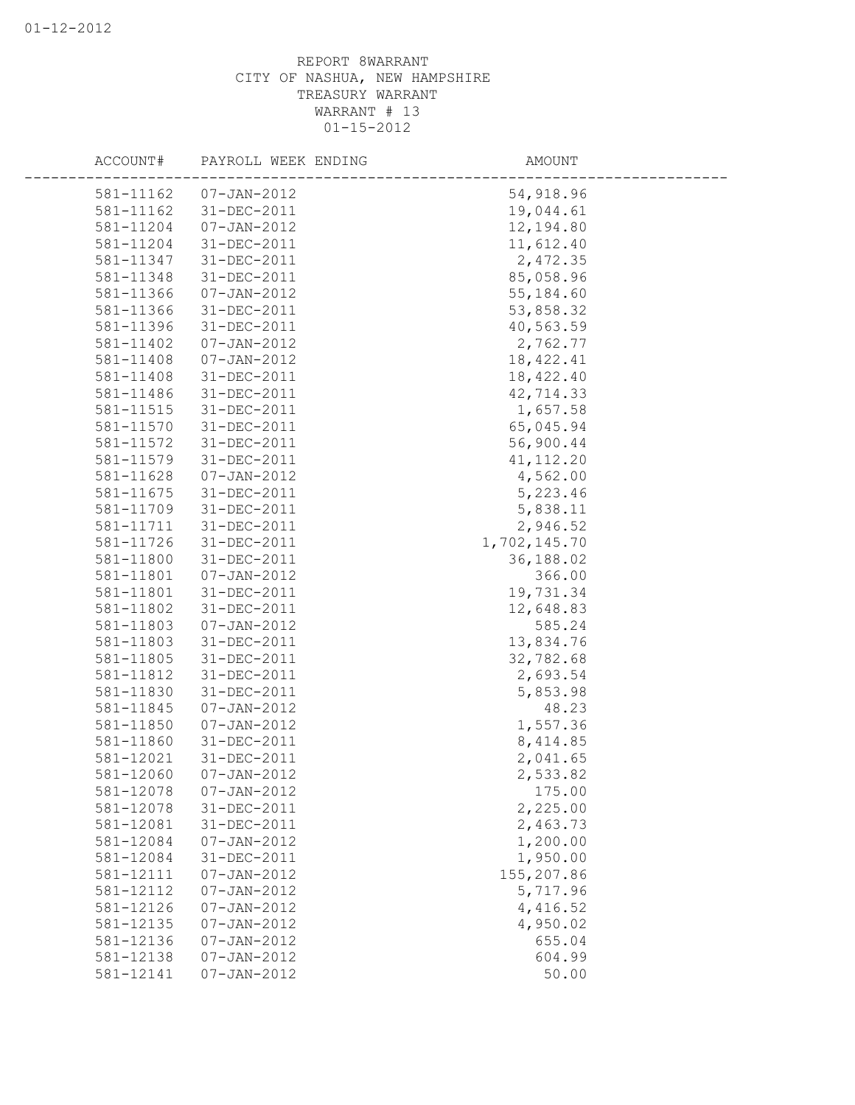| ACCOUNT#  | PAYROLL WEEK ENDING | AMOUNT       |
|-----------|---------------------|--------------|
| 581-11162 | $07 - JAN - 2012$   | 54,918.96    |
| 581-11162 | 31-DEC-2011         | 19,044.61    |
| 581-11204 | $07 - JAN - 2012$   | 12,194.80    |
| 581-11204 | 31-DEC-2011         | 11,612.40    |
| 581-11347 | 31-DEC-2011         | 2,472.35     |
| 581-11348 | $31 - DEC - 2011$   | 85,058.96    |
| 581-11366 | $07 - JAN - 2012$   | 55, 184.60   |
| 581-11366 | 31-DEC-2011         | 53,858.32    |
| 581-11396 | $31 - DEC - 2011$   | 40,563.59    |
| 581-11402 | $07 - JAN - 2012$   | 2,762.77     |
| 581-11408 | $07 - JAN - 2012$   | 18, 422.41   |
| 581-11408 | 31-DEC-2011         | 18,422.40    |
| 581-11486 | $31 - DEC - 2011$   | 42,714.33    |
| 581-11515 | 31-DEC-2011         | 1,657.58     |
| 581-11570 | 31-DEC-2011         | 65,045.94    |
| 581-11572 | 31-DEC-2011         | 56,900.44    |
| 581-11579 | 31-DEC-2011         | 41, 112.20   |
| 581-11628 | $07 - JAN - 2012$   | 4,562.00     |
| 581-11675 | 31-DEC-2011         | 5,223.46     |
| 581-11709 | 31-DEC-2011         | 5,838.11     |
| 581-11711 | 31-DEC-2011         | 2,946.52     |
| 581-11726 | 31-DEC-2011         | 1,702,145.70 |
| 581-11800 | $31 - DEC - 2011$   | 36,188.02    |
| 581-11801 | $07 - JAN - 2012$   | 366.00       |
| 581-11801 | 31-DEC-2011         | 19,731.34    |
| 581-11802 | $31 - DEC - 2011$   | 12,648.83    |
| 581-11803 | $07 - JAN - 2012$   | 585.24       |
| 581-11803 | 31-DEC-2011         | 13,834.76    |
| 581-11805 | 31-DEC-2011         | 32,782.68    |
| 581-11812 | 31-DEC-2011         | 2,693.54     |
| 581-11830 | $31 - DEC - 2011$   | 5,853.98     |
| 581-11845 | $07 - JAN - 2012$   | 48.23        |
| 581-11850 | $07 - JAN - 2012$   | 1,557.36     |
| 581-11860 | $31 - DEC - 2011$   | 8, 414.85    |
| 581-12021 | 31-DEC-2011         | 2,041.65     |
| 581-12060 | $07 - JAN - 2012$   | 2,533.82     |
| 581-12078 | $07 - JAN - 2012$   | 175.00       |
| 581-12078 | 31-DEC-2011         | 2,225.00     |
| 581-12081 | 31-DEC-2011         | 2,463.73     |
| 581-12084 | $07 - JAN - 2012$   | 1,200.00     |
| 581-12084 | 31-DEC-2011         | 1,950.00     |
| 581-12111 | $07 - JAN - 2012$   | 155,207.86   |
| 581-12112 | $07 - JAN - 2012$   | 5,717.96     |
| 581-12126 | $07 - JAN - 2012$   | 4,416.52     |
| 581-12135 | $07 - JAN - 2012$   | 4,950.02     |
| 581-12136 | $07 - JAN - 2012$   | 655.04       |
| 581-12138 | $07 - JAN - 2012$   | 604.99       |
| 581-12141 | $07 - JAN - 2012$   | 50.00        |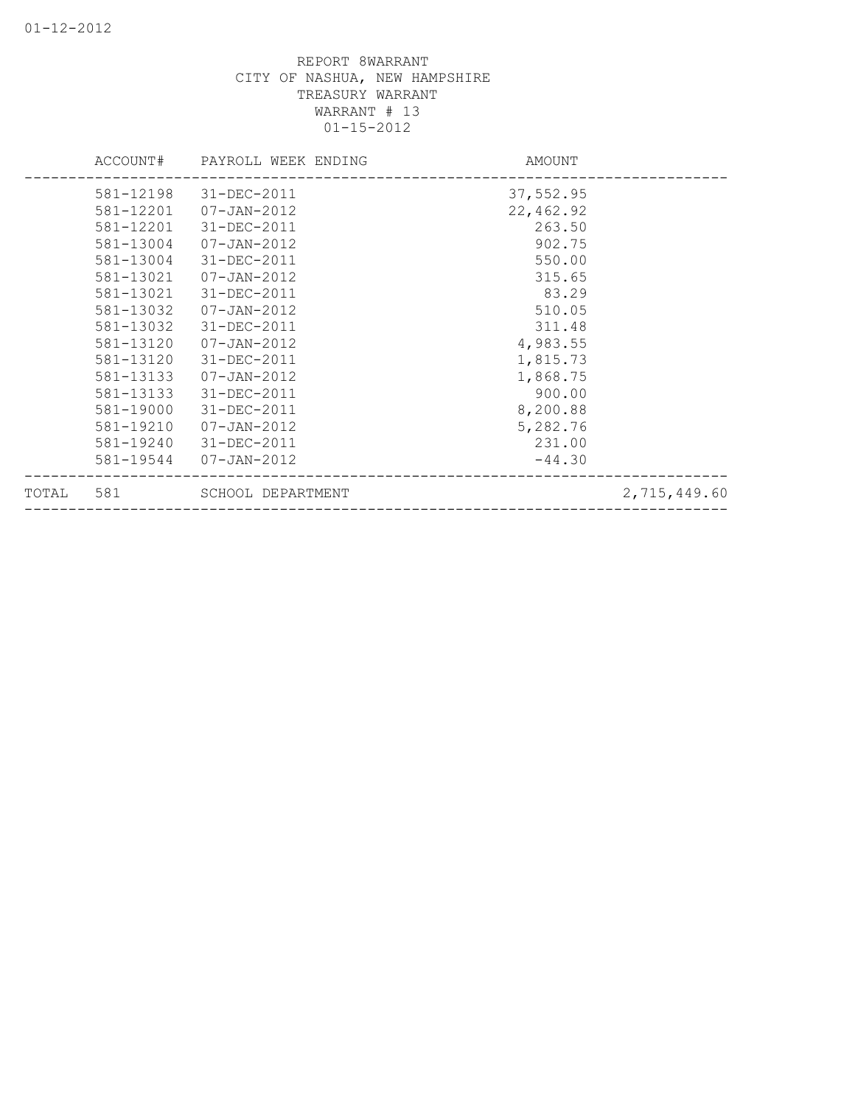| TOTAL | 581       | SCHOOL DEPARTMENT   |           | 2,715,449.60 |
|-------|-----------|---------------------|-----------|--------------|
|       | 581-19544 | 07-JAN-2012         | $-44.30$  |              |
|       | 581-19240 | 31-DEC-2011         | 231.00    |              |
|       | 581-19210 | $07 - JAN - 2012$   | 5,282.76  |              |
|       | 581-19000 | 31-DEC-2011         | 8,200.88  |              |
|       | 581-13133 | 31-DEC-2011         | 900.00    |              |
|       | 581-13133 | 07-JAN-2012         | 1,868.75  |              |
|       | 581-13120 | 31-DEC-2011         | 1,815.73  |              |
|       | 581-13120 | 07-JAN-2012         | 4,983.55  |              |
|       | 581-13032 | 31-DEC-2011         | 311.48    |              |
|       | 581-13032 | 07-JAN-2012         | 510.05    |              |
|       | 581-13021 | 31-DEC-2011         | 83.29     |              |
|       | 581-13021 | 07-JAN-2012         | 315.65    |              |
|       | 581-13004 | 31-DEC-2011         | 550.00    |              |
|       | 581-13004 | 07-JAN-2012         | 902.75    |              |
|       | 581-12201 | 31-DEC-2011         | 263.50    |              |
|       | 581-12201 | 07-JAN-2012         | 22,462.92 |              |
|       | 581-12198 | 31-DEC-2011         | 37,552.95 |              |
|       | ACCOUNT#  | PAYROLL WEEK ENDING | AMOUNT    |              |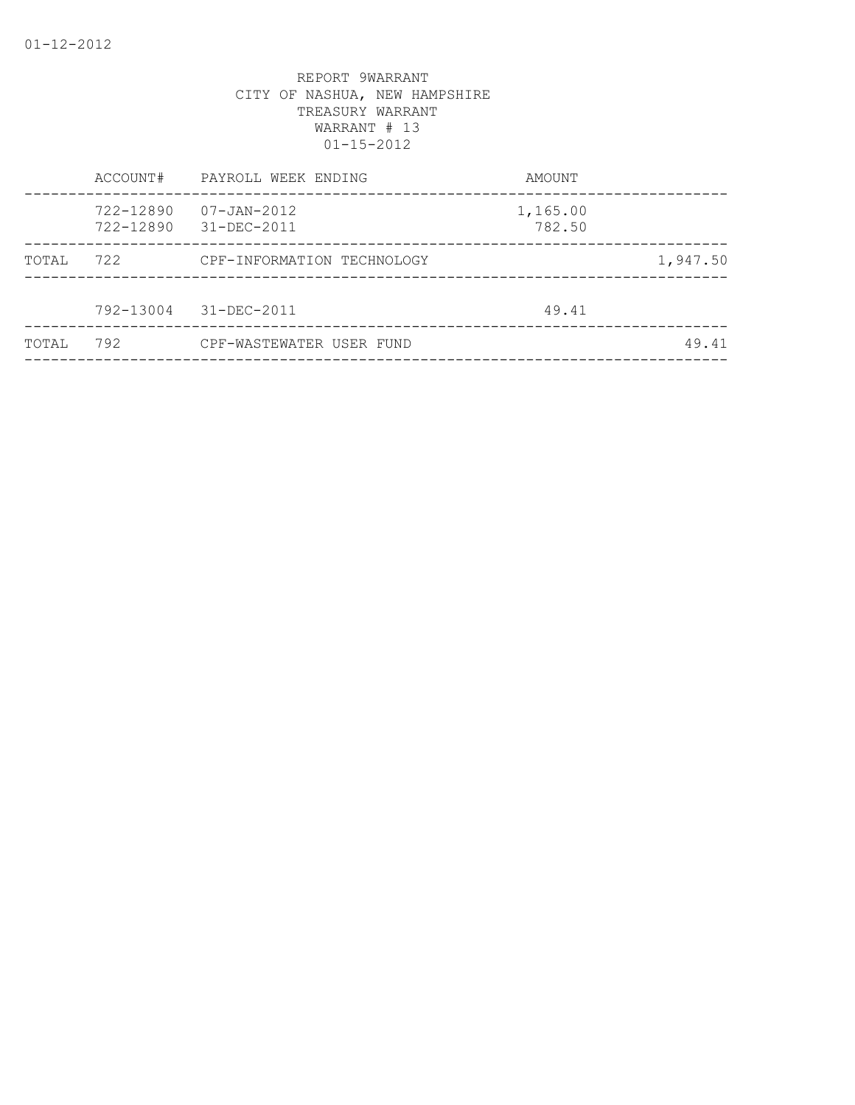|       | ACCOUNT#               | PAYROLL WEEK ENDING        | AMOUNT             |          |
|-------|------------------------|----------------------------|--------------------|----------|
|       | 722-12890<br>722-12890 | 07-JAN-2012<br>31-DEC-2011 | 1,165.00<br>782.50 |          |
| TOTAL | 722                    | CPF-INFORMATION TECHNOLOGY |                    | 1,947.50 |
|       | 792-13004              | 31-DEC-2011                | 49.41              |          |
| TOTAL | 792                    | CPF-WASTEWATER USER FUND   |                    | 49.41    |
|       |                        |                            |                    |          |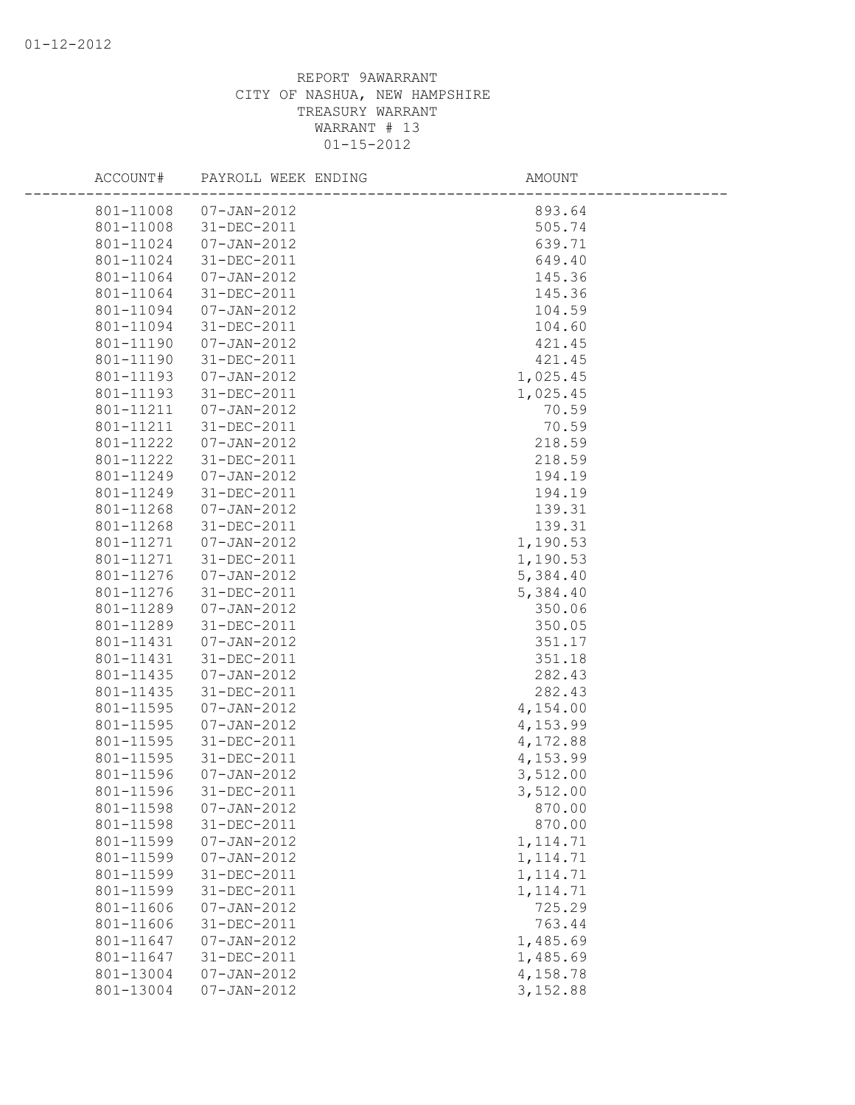| ACCOUNT#              | PAYROLL WEEK ENDING | AMOUNT    |
|-----------------------|---------------------|-----------|
| 801-11008             | $07 - JAN - 2012$   | 893.64    |
| 801-11008 31-DEC-2011 |                     | 505.74    |
| 801-11024             | 07-JAN-2012         | 639.71    |
| 801-11024             | 31-DEC-2011         | 649.40    |
| 801-11064             | 07-JAN-2012         | 145.36    |
| 801-11064             | 31-DEC-2011         | 145.36    |
| 801-11094             | $07 - JAN - 2012$   | 104.59    |
| 801-11094             | 31-DEC-2011         | 104.60    |
| 801-11190             | $07 - JAN - 2012$   | 421.45    |
| 801-11190             | 31-DEC-2011         | 421.45    |
| 801-11193             | $07 - JAN - 2012$   | 1,025.45  |
| 801-11193             | 31-DEC-2011         | 1,025.45  |
| 801-11211             | $07 - JAN - 2012$   | 70.59     |
| 801-11211             | 31-DEC-2011         | 70.59     |
| 801-11222             | $07 - JAN - 2012$   | 218.59    |
| 801-11222             | 31-DEC-2011         | 218.59    |
| 801-11249             | $07 - JAN - 2012$   | 194.19    |
| 801-11249             | 31-DEC-2011         | 194.19    |
| 801-11268             | $07 - JAN - 2012$   | 139.31    |
| 801-11268             | 31-DEC-2011         | 139.31    |
| 801-11271             | $07 - JAN - 2012$   | 1,190.53  |
| 801-11271             | 31-DEC-2011         | 1,190.53  |
| 801-11276             | $07 - JAN - 2012$   | 5,384.40  |
| 801-11276             | 31-DEC-2011         | 5,384.40  |
| 801-11289             | $07 - JAN - 2012$   | 350.06    |
| 801-11289             | 31-DEC-2011         | 350.05    |
| 801-11431             | $07 - JAN - 2012$   | 351.17    |
| 801-11431             | 31-DEC-2011         | 351.18    |
| 801-11435             | $07 - JAN - 2012$   | 282.43    |
| 801-11435             | 31-DEC-2011         | 282.43    |
| 801-11595             | $07 - JAN - 2012$   | 4,154.00  |
| 801-11595             | $07 - JAN - 2012$   | 4,153.99  |
| 801-11595             | 31-DEC-2011         | 4,172.88  |
| 801-11595             | 31-DEC-2011         | 4,153.99  |
| 801-11596             | $07 - JAN - 2012$   | 3,512.00  |
| 801-11596             | 31-DEC-2011         | 3,512.00  |
| 801-11598             | $07 - JAN - 2012$   | 870.00    |
| 801-11598             | 31-DEC-2011         | 870.00    |
| 801-11599             | $07 - JAN - 2012$   | 1, 114.71 |
| 801-11599             | $07 - JAN - 2012$   | 1, 114.71 |
| 801-11599             | $31 - DEC - 2011$   | 1, 114.71 |
| 801-11599             | 31-DEC-2011         | 1, 114.71 |
| 801-11606             | $07 - JAN - 2012$   | 725.29    |
| 801-11606             | $31 - DEC - 2011$   | 763.44    |
| 801-11647             | $07 - JAN - 2012$   | 1,485.69  |
| 801-11647             | 31-DEC-2011         | 1,485.69  |
| 801-13004             | $07 - JAN - 2012$   | 4,158.78  |
| 801-13004             | $07 - JAN - 2012$   | 3,152.88  |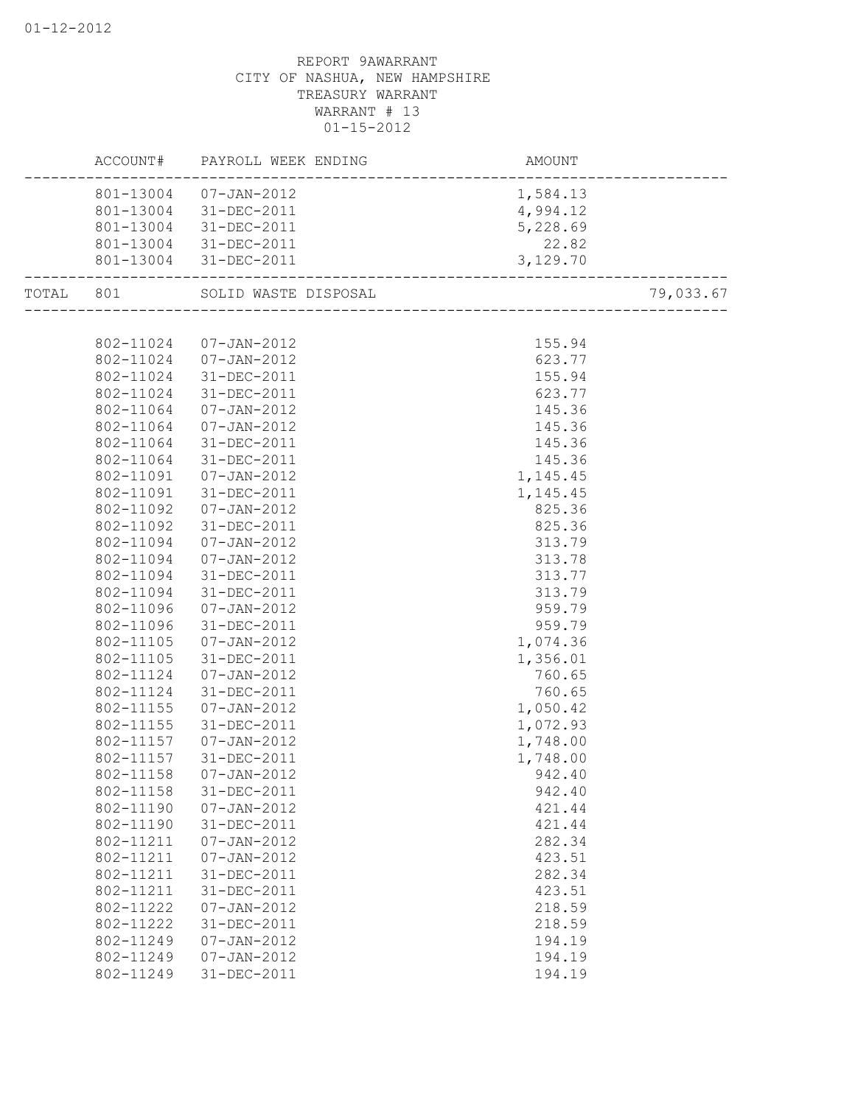|           | ACCOUNT#  | PAYROLL WEEK ENDING  | AMOUNT    |           |
|-----------|-----------|----------------------|-----------|-----------|
|           | 801-13004 | $07 - JAN - 2012$    | 1,584.13  |           |
|           | 801-13004 | 31-DEC-2011          | 4,994.12  |           |
|           | 801-13004 | 31-DEC-2011          | 5,228.69  |           |
|           | 801-13004 | 31-DEC-2011          | 22.82     |           |
|           | 801-13004 | 31-DEC-2011          | 3,129.70  |           |
| TOTAL 801 |           | SOLID WASTE DISPOSAL |           | 79,033.67 |
|           |           |                      |           |           |
|           | 802-11024 | 07-JAN-2012          | 155.94    |           |
|           | 802-11024 | $07 - JAN - 2012$    | 623.77    |           |
|           | 802-11024 | 31-DEC-2011          | 155.94    |           |
|           | 802-11024 | 31-DEC-2011          | 623.77    |           |
|           | 802-11064 | 07-JAN-2012          | 145.36    |           |
|           | 802-11064 | 07-JAN-2012          | 145.36    |           |
|           | 802-11064 | 31-DEC-2011          | 145.36    |           |
|           | 802-11064 | 31-DEC-2011          | 145.36    |           |
|           | 802-11091 | $07 - JAN - 2012$    | 1, 145.45 |           |
|           | 802-11091 | 31-DEC-2011          | 1, 145.45 |           |
|           | 802-11092 | $07 - JAN - 2012$    | 825.36    |           |
|           | 802-11092 | 31-DEC-2011          | 825.36    |           |
|           | 802-11094 | 07-JAN-2012          | 313.79    |           |
|           | 802-11094 | 07-JAN-2012          | 313.78    |           |
|           | 802-11094 | 31-DEC-2011          | 313.77    |           |
|           | 802-11094 | 31-DEC-2011          | 313.79    |           |
|           | 802-11096 | $07 - JAN - 2012$    | 959.79    |           |
|           | 802-11096 | 31-DEC-2011          | 959.79    |           |
|           | 802-11105 | $07 - JAN - 2012$    | 1,074.36  |           |
|           | 802-11105 | 31-DEC-2011          | 1,356.01  |           |
|           | 802-11124 | $07 - JAN - 2012$    | 760.65    |           |
|           | 802-11124 | 31-DEC-2011          | 760.65    |           |
|           | 802-11155 | 07-JAN-2012          | 1,050.42  |           |
|           | 802-11155 | 31-DEC-2011          | 1,072.93  |           |
|           | 802-11157 | 07-JAN-2012          | 1,748.00  |           |
|           | 802-11157 | 31-DEC-2011          | 1,748.00  |           |
|           | 802-11158 | 07-JAN-2012          | 942.40    |           |
|           | 802-11158 | 31-DEC-2011          | 942.40    |           |
|           | 802-11190 | $07 - JAN - 2012$    | 421.44    |           |
|           | 802-11190 | 31-DEC-2011          | 421.44    |           |
|           | 802-11211 | $07 - JAN - 2012$    | 282.34    |           |
|           | 802-11211 | $07 - JAN - 2012$    | 423.51    |           |
|           | 802-11211 | 31-DEC-2011          | 282.34    |           |
|           | 802-11211 | 31-DEC-2011          | 423.51    |           |
|           | 802-11222 | $07 - JAN - 2012$    | 218.59    |           |
|           | 802-11222 | 31-DEC-2011          | 218.59    |           |
|           | 802-11249 | $07 - JAN - 2012$    | 194.19    |           |
|           | 802-11249 | $07 - JAN - 2012$    | 194.19    |           |
|           | 802-11249 | 31-DEC-2011          | 194.19    |           |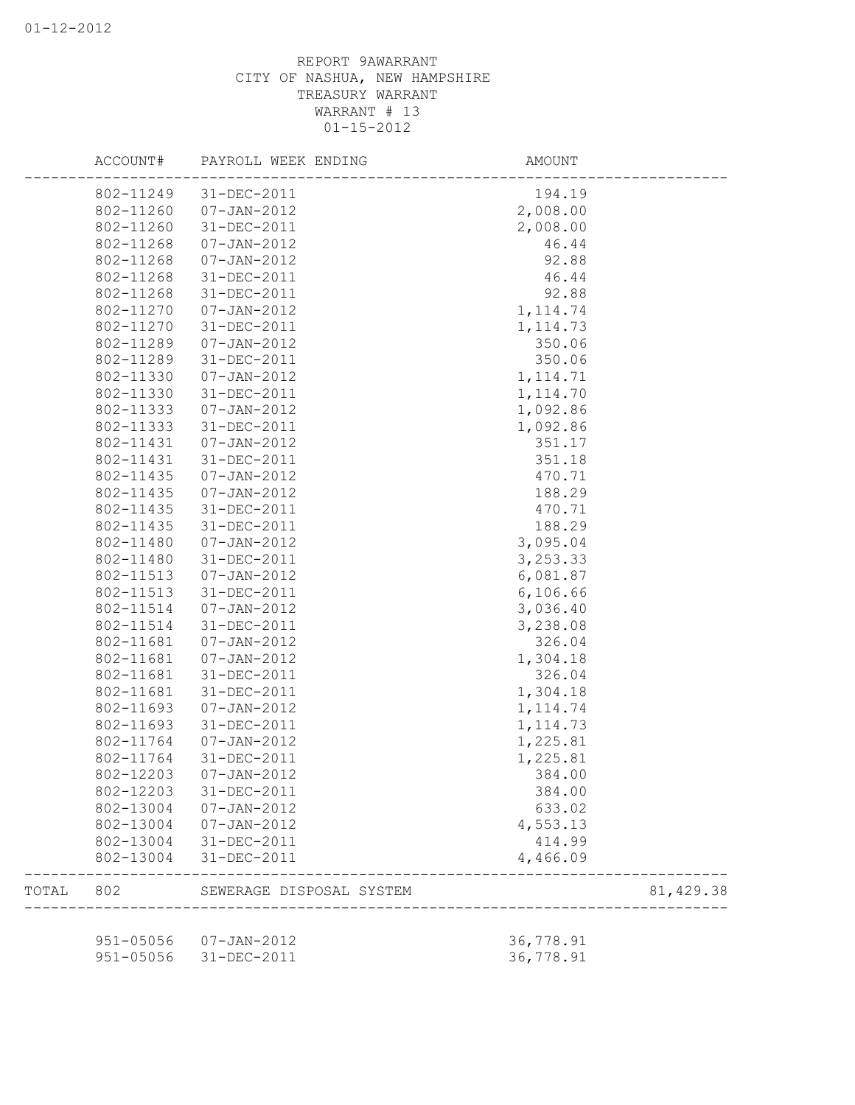|       | ACCOUNT#  | PAYROLL WEEK ENDING      | AMOUNT    |           |
|-------|-----------|--------------------------|-----------|-----------|
|       |           | 802-11249 31-DEC-2011    | 194.19    |           |
|       | 802-11260 | $07 - JAN - 2012$        | 2,008.00  |           |
|       | 802-11260 | 31-DEC-2011              | 2,008.00  |           |
|       | 802-11268 | $07 - JAN - 2012$        | 46.44     |           |
|       | 802-11268 | $07 - JAN - 2012$        | 92.88     |           |
|       | 802-11268 | 31-DEC-2011              | 46.44     |           |
|       | 802-11268 | 31-DEC-2011              | 92.88     |           |
|       | 802-11270 | $07 - JAN - 2012$        | 1, 114.74 |           |
|       | 802-11270 | $31 - DEC - 2011$        | 1, 114.73 |           |
|       | 802-11289 | $07 - JAN - 2012$        | 350.06    |           |
|       | 802-11289 | 31-DEC-2011              | 350.06    |           |
|       | 802-11330 | $07 - JAN - 2012$        | 1, 114.71 |           |
|       | 802-11330 | $31 - DEC - 2011$        | 1, 114.70 |           |
|       | 802-11333 | 07-JAN-2012              | 1,092.86  |           |
|       | 802-11333 | 31-DEC-2011              | 1,092.86  |           |
|       | 802-11431 | 07-JAN-2012              | 351.17    |           |
|       | 802-11431 | 31-DEC-2011              | 351.18    |           |
|       | 802-11435 | $07 - JAN - 2012$        | 470.71    |           |
|       | 802-11435 | 07-JAN-2012              | 188.29    |           |
|       | 802-11435 | 31-DEC-2011              | 470.71    |           |
|       | 802-11435 | 31-DEC-2011              | 188.29    |           |
|       | 802-11480 | $07 - JAN - 2012$        | 3,095.04  |           |
|       | 802-11480 | 31-DEC-2011              | 3, 253.33 |           |
|       | 802-11513 | 07-JAN-2012              | 6,081.87  |           |
|       | 802-11513 | 31-DEC-2011              | 6,106.66  |           |
|       | 802-11514 | $07 - JAN - 2012$        | 3,036.40  |           |
|       | 802-11514 | 31-DEC-2011              | 3,238.08  |           |
|       | 802-11681 | $07 - JAN - 2012$        | 326.04    |           |
|       | 802-11681 | $07 - JAN - 2012$        | 1,304.18  |           |
|       | 802-11681 | 31-DEC-2011              | 326.04    |           |
|       | 802-11681 | $31 - DEC - 2011$        | 1,304.18  |           |
|       | 802-11693 | $07 - JAN - 2012$        | 1, 114.74 |           |
|       | 802-11693 | 31-DEC-2011              | 1, 114.73 |           |
|       | 802-11764 | $07 - JAN - 2012$        | 1,225.81  |           |
|       | 802-11764 | 31-DEC-2011              | 1,225.81  |           |
|       | 802-12203 | $07 - JAN - 2012$        | 384.00    |           |
|       | 802-12203 | 31-DEC-2011              | 384.00    |           |
|       | 802-13004 | $07 - JAN - 2012$        | 633.02    |           |
|       | 802-13004 | $07 - JAN - 2012$        | 4,553.13  |           |
|       | 802-13004 | 31-DEC-2011              | 414.99    |           |
|       | 802-13004 | 31-DEC-2011              | 4,466.09  |           |
| TOTAL | 802       | SEWERAGE DISPOSAL SYSTEM |           | 81,429.38 |
|       |           |                          |           |           |
|       | 951-05056 | $07 - JAN - 2012$        | 36,778.91 |           |
|       | 951-05056 | 31-DEC-2011              | 36,778.91 |           |